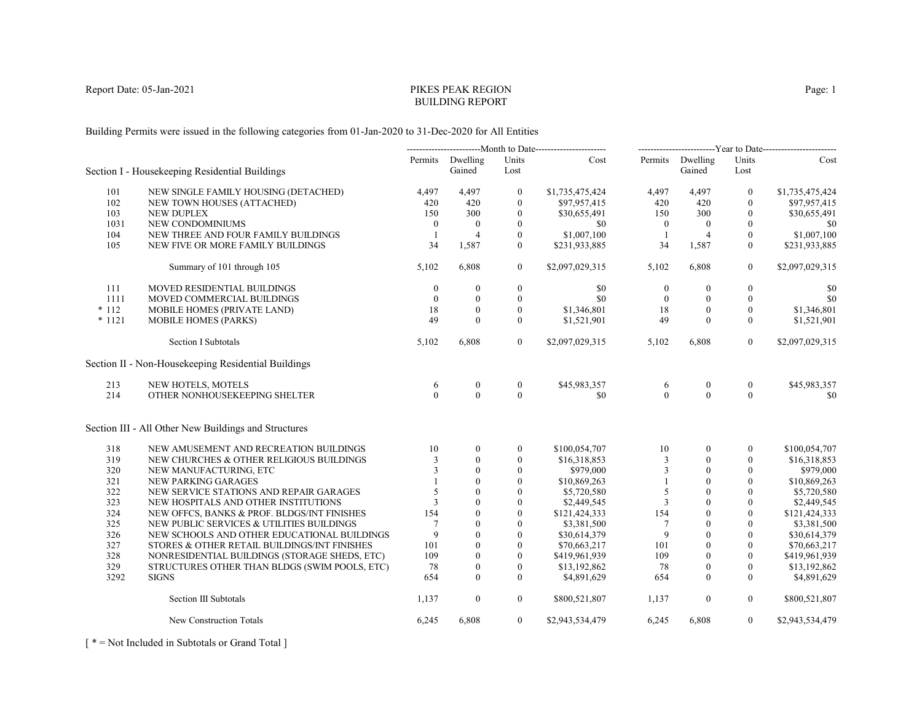# PIKES PEAK REGIONBUILDING REPORT

Building Permits were issued in the following categories from 01-Jan-2020 to 31-Dec-2020 for All Entities

|          |                                                      | ---------------------------Month to Date------------------------ |                            | -------------------------Year to Date------------------------ |                 |                  |                            |                  |                 |
|----------|------------------------------------------------------|------------------------------------------------------------------|----------------------------|---------------------------------------------------------------|-----------------|------------------|----------------------------|------------------|-----------------|
|          | Section I - Housekeeping Residential Buildings       |                                                                  | Permits Dwelling<br>Gained | Units<br>Lost                                                 | Cost            |                  | Permits Dwelling<br>Gained | Units<br>Lost    | Cost            |
| 101      | NEW SINGLE FAMILY HOUSING (DETACHED)                 | 4,497                                                            | 4,497                      | $\mathbf{0}$                                                  | \$1,735,475,424 | 4,497            | 4,497                      | $\mathbf{0}$     | \$1,735,475,424 |
| 102      | NEW TOWN HOUSES (ATTACHED)                           | 420                                                              | 420                        | $\mathbf{0}$                                                  | \$97,957,415    | 420              | 420                        | $\mathbf{0}$     | \$97,957,415    |
| 103      | <b>NEW DUPLEX</b>                                    | 150                                                              | 300                        | $\mathbf{0}$                                                  | \$30,655,491    | 150              | 300                        | $\mathbf{0}$     | \$30,655,491    |
| 1031     | NEW CONDOMINIUMS                                     | $\overline{0}$                                                   | $\boldsymbol{0}$           | $\mathbf{0}$                                                  | \$0             | $\mathbf{0}$     | $\mathbf{0}$               | $\mathbf{0}$     | \$0             |
| 104      | NEW THREE AND FOUR FAMILY BUILDINGS                  | -1                                                               | $\overline{4}$             | $\mathbf{0}$                                                  | \$1,007,100     | -1               | $\overline{4}$             | $\mathbf{0}$     | \$1,007,100     |
| 105      | NEW FIVE OR MORE FAMILY BUILDINGS                    | 34                                                               | 1,587                      | $\theta$                                                      | \$231,933,885   | 34               | 1,587                      | $\mathbf{0}$     | \$231,933,885   |
|          | Summary of 101 through 105                           | 5,102                                                            | 6,808                      | $\overline{0}$                                                | \$2,097,029,315 | 5,102            | 6,808                      | $\overline{0}$   | \$2,097,029,315 |
| 111      | <b>MOVED RESIDENTIAL BUILDINGS</b>                   | $\theta$                                                         | $\mathbf{0}$               | $\boldsymbol{0}$                                              | \$0             | $\boldsymbol{0}$ | $\mathbf{0}$               | $\boldsymbol{0}$ | \$0             |
| 1111     | MOVED COMMERCIAL BUILDINGS                           | $\theta$                                                         | $\mathbf{0}$               | $\mathbf{0}$                                                  | \$0             | $\overline{0}$   | $\mathbf{0}$               | $\mathbf{0}$     | \$0             |
| $*112$   | MOBILE HOMES (PRIVATE LAND)                          | 18                                                               | $\theta$                   | $\theta$                                                      | \$1,346,801     | 18               | $\Omega$                   | $\theta$         | \$1,346,801     |
| $* 1121$ | <b>MOBILE HOMES (PARKS)</b>                          | 49                                                               | $\theta$                   | $\theta$                                                      | \$1,521,901     | 49               | $\theta$                   | $\theta$         | \$1,521,901     |
|          | Section I Subtotals                                  | 5,102                                                            | 6,808                      | $\overline{0}$                                                | \$2,097,029,315 | 5,102            | 6,808                      | $\overline{0}$   | \$2,097,029,315 |
|          | Section II - Non-Housekeeping Residential Buildings  |                                                                  |                            |                                                               |                 |                  |                            |                  |                 |
| 213      | NEW HOTELS, MOTELS                                   | 6                                                                | $\boldsymbol{0}$           | $\boldsymbol{0}$                                              | \$45,983,357    | 6                | $\boldsymbol{0}$           | $\boldsymbol{0}$ | \$45,983,357    |
| 214      | OTHER NONHOUSEKEEPING SHELTER                        | $\Omega$                                                         | $\Omega$                   | $\theta$                                                      | \$0             | $\theta$         | $\Omega$                   | $\theta$         | $\$0$           |
|          | Section III - All Other New Buildings and Structures |                                                                  |                            |                                                               |                 |                  |                            |                  |                 |
| 318      | NEW AMUSEMENT AND RECREATION BUILDINGS               | 10                                                               | $\theta$                   | $\mathbf{0}$                                                  | \$100,054,707   | 10               | $\theta$                   | $\theta$         | \$100,054,707   |
| 319      | NEW CHURCHES & OTHER RELIGIOUS BUILDINGS             |                                                                  | $\Omega$                   | $\mathbf{0}$                                                  | \$16,318,853    | 3                | $\mathbf{0}$               | 0                | \$16,318,853    |
| 320      | NEW MANUFACTURING, ETC                               | 3                                                                | $\mathbf{0}$               | $\boldsymbol{0}$                                              | \$979,000       | 3                | $\mathbf{0}$               | $\boldsymbol{0}$ | \$979,000       |
| 321      | NEW PARKING GARAGES                                  |                                                                  | $\theta$                   | $\mathbf{0}$                                                  | \$10,869,263    |                  | $\theta$                   | $\mathbf{0}$     | \$10,869,263    |
| 322      | NEW SERVICE STATIONS AND REPAIR GARAGES              | 5                                                                | $\theta$                   | $\mathbf{0}$                                                  | \$5,720,580     | 5                | $\theta$                   | $\mathbf{0}$     | \$5,720,580     |
| 323      | NEW HOSPITALS AND OTHER INSTITUTIONS                 | 3                                                                | $\theta$                   | $\mathbf{0}$                                                  | \$2,449,545     | 3                | $\theta$                   | $\boldsymbol{0}$ | \$2,449,545     |
| 324      | NEW OFFCS, BANKS & PROF. BLDGS/INT FINISHES          | 154                                                              | $\theta$                   | $\theta$                                                      | \$121,424,333   | 154              | $\mathbf{0}$               | $\mathbf{0}$     | \$121,424,333   |
| 325      | NEW PUBLIC SERVICES & UTILITIES BUILDINGS            | $7\phantom{.0}$                                                  | $\theta$                   | $\theta$                                                      | \$3,381,500     | $\overline{7}$   | $\theta$                   | $\theta$         | \$3,381,500     |
| 326      | NEW SCHOOLS AND OTHER EDUCATIONAL BUILDINGS          | 9                                                                | $\theta$                   | $\mathbf{0}$                                                  | \$30,614,379    | 9                | $\theta$                   | $\mathbf{0}$     | \$30,614,379    |
| 327      | STORES & OTHER RETAIL BUILDINGS/INT FINISHES         | 101                                                              | $\mathbf{0}$               | $\theta$                                                      | \$70,663,217    | 101              | $\theta$                   | $\theta$         | \$70,663,217    |
| 328      | NONRESIDENTIAL BUILDINGS (STORAGE SHEDS, ETC)        | 109                                                              | $\Omega$                   | $\theta$                                                      | \$419,961,939   | 109              | $\Omega$                   | $\theta$         | \$419,961,939   |
| 329      | STRUCTURES OTHER THAN BLDGS (SWIM POOLS, ETC)        | 78                                                               | $\mathbf{0}$               | $\mathbf{0}$                                                  | \$13,192,862    | 78               | $\mathbf{0}$               | $\mathbf{0}$     | \$13,192,862    |
| 3292     | <b>SIGNS</b>                                         | 654                                                              | $\theta$                   | $\Omega$                                                      | \$4,891,629     | 654              | $\Omega$                   | $\theta$         | \$4,891,629     |
|          | Section III Subtotals                                | 1,137                                                            | $\mathbf{0}$               | $\overline{0}$                                                | \$800,521,807   | 1,137            | $\boldsymbol{0}$           | $\overline{0}$   | \$800,521,807   |
|          | New Construction Totals                              | 6,245                                                            | 6,808                      | $\overline{0}$                                                | \$2,943,534,479 | 6,245            | 6,808                      | $\overline{0}$   | \$2,943,534,479 |

[ \* = Not Included in Subtotals or Grand Total ]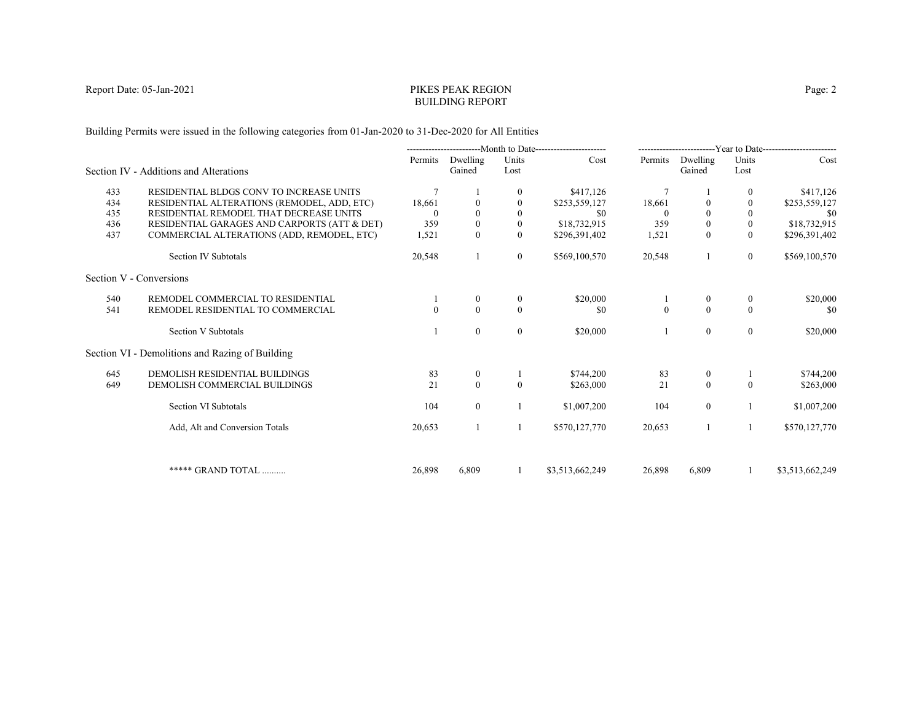# PIKES PEAK REGIONBUILDING REPORT

Building Permits were issued in the following categories from 01-Jan-2020 to 31-Dec-2020 for All Entities

|     |                                                 | ----------------------------Month to Date------------------------ |                    |               | -------------------------Year to Date------------------------ |                |                    |                  |                 |
|-----|-------------------------------------------------|-------------------------------------------------------------------|--------------------|---------------|---------------------------------------------------------------|----------------|--------------------|------------------|-----------------|
|     | Section IV - Additions and Alterations          | Permits                                                           | Dwelling<br>Gained | Units<br>Lost | Cost                                                          | Permits        | Dwelling<br>Gained | Units<br>Lost    | Cost            |
| 433 | RESIDENTIAL BLDGS CONV TO INCREASE UNITS        | 7                                                                 |                    |               | \$417,126                                                     | $\overline{7}$ |                    | $\mathbf{0}$     | \$417,126       |
| 434 | RESIDENTIAL ALTERATIONS (REMODEL, ADD, ETC)     | 18,661                                                            |                    | $\Omega$      | \$253,559,127                                                 | 18,661         | $\Omega$           | $\theta$         | \$253,559,127   |
| 435 | RESIDENTIAL REMODEL THAT DECREASE UNITS         |                                                                   |                    |               | \$0                                                           |                | $\theta$           | $\mathbf{0}$     | -\$0            |
| 436 | RESIDENTIAL GARAGES AND CARPORTS (ATT & DET)    | 359                                                               |                    | $\mathbf{0}$  | \$18,732,915                                                  | 359            | $\boldsymbol{0}$   | $\mathbf{0}$     | \$18,732,915    |
| 437 | COMMERCIAL ALTERATIONS (ADD, REMODEL, ETC)      | 1,521                                                             | $\Omega$           | $\Omega$      | \$296,391,402                                                 | 1,521          | $\theta$           | $\theta$         | \$296,391,402   |
|     | Section IV Subtotals                            | 20,548                                                            |                    | $\mathbf{0}$  | \$569,100,570                                                 | 20,548         |                    | $\overline{0}$   | \$569,100,570   |
|     | Section V - Conversions                         |                                                                   |                    |               |                                                               |                |                    |                  |                 |
| 540 | REMODEL COMMERCIAL TO RESIDENTIAL               |                                                                   | $\theta$           | $\bf{0}$      | \$20,000                                                      |                | $\bf{0}$           | $\boldsymbol{0}$ | \$20,000        |
| 541 | REMODEL RESIDENTIAL TO COMMERCIAL               | $\Omega$                                                          | $\Omega$           | $\theta$      | \$0                                                           | $\theta$       | $\theta$           | $\Omega$         | \$0             |
|     | Section V Subtotals                             |                                                                   | $\theta$           | $\mathbf{0}$  | \$20,000                                                      |                | $\mathbf{0}$       | $\mathbf{0}$     | \$20,000        |
|     | Section VI - Demolitions and Razing of Building |                                                                   |                    |               |                                                               |                |                    |                  |                 |
| 645 | DEMOLISH RESIDENTIAL BUILDINGS                  | 83                                                                | $\mathbf{0}$       |               | \$744,200                                                     | 83             | $\boldsymbol{0}$   |                  | \$744,200       |
| 649 | DEMOLISH COMMERCIAL BUILDINGS                   | 21                                                                | $\mathbf{0}$       | $\Omega$      | \$263,000                                                     | 21             | $\mathbf{0}$       | $\Omega$         | \$263,000       |
|     | Section VI Subtotals                            | 104                                                               | $\overline{0}$     |               | \$1,007,200                                                   | 104            | $\overline{0}$     |                  | \$1,007,200     |
|     | Add, Alt and Conversion Totals                  | 20,653                                                            |                    |               | \$570,127,770                                                 | 20,653         |                    | 1                | \$570,127,770   |
|     |                                                 |                                                                   |                    |               |                                                               |                |                    |                  |                 |
|     | ***** GRAND TOTAL                               | 26,898                                                            | 6.809              |               | \$3,513,662,249                                               | 26,898         | 6,809              |                  | \$3,513,662,249 |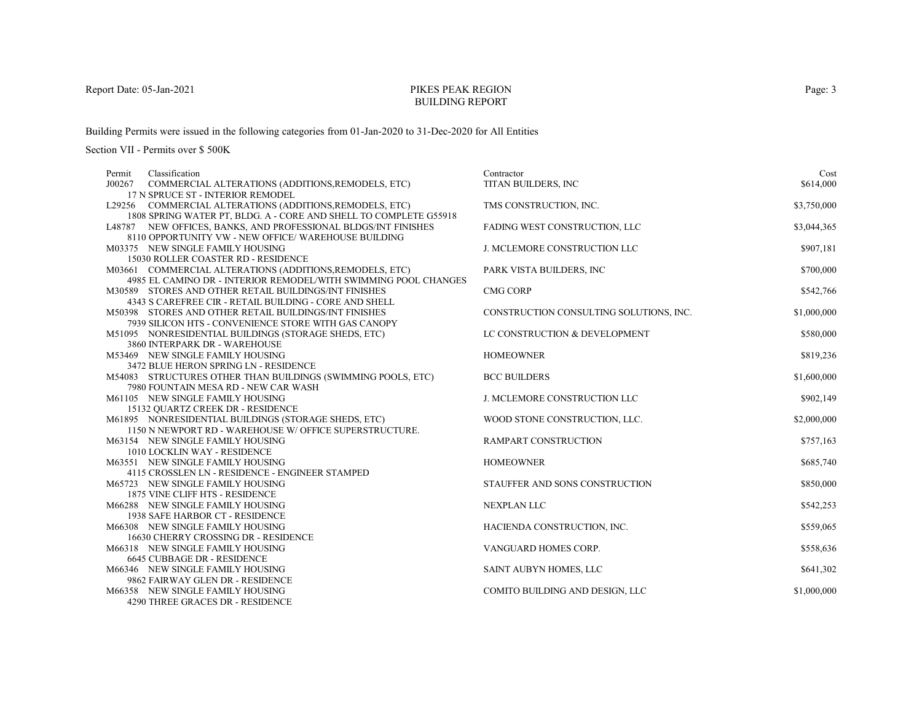# PIKES PEAK REGIONBUILDING REPORT

Building Permits were issued in the following categories from 01-Jan-2020 to 31-Dec-2020 for All Entities

| Permit | Classification                                                    | Contractor                              | Cost        |
|--------|-------------------------------------------------------------------|-----------------------------------------|-------------|
| J00267 | COMMERCIAL ALTERATIONS (ADDITIONS, REMODELS, ETC)                 | TITAN BUILDERS, INC                     | \$614,000   |
|        | 17 N SPRUCE ST - INTERIOR REMODEL                                 |                                         |             |
|        | L29256 COMMERCIAL ALTERATIONS (ADDITIONS, REMODELS, ETC)          | TMS CONSTRUCTION, INC.                  | \$3,750,000 |
|        | 1808 SPRING WATER PT, BLDG. A - CORE AND SHELL TO COMPLETE G55918 |                                         |             |
|        | L48787 NEW OFFICES, BANKS, AND PROFESSIONAL BLDGS/INT FINISHES    | FADING WEST CONSTRUCTION, LLC           | \$3,044,365 |
|        | 8110 OPPORTUNITY VW - NEW OFFICE/ WAREHOUSE BUILDING              |                                         |             |
|        | M03375 NEW SINGLE FAMILY HOUSING                                  | J. MCLEMORE CONSTRUCTION LLC            | \$907,181   |
|        | 15030 ROLLER COASTER RD - RESIDENCE                               |                                         |             |
|        | M03661 COMMERCIAL ALTERATIONS (ADDITIONS, REMODELS, ETC)          | PARK VISTA BUILDERS, INC                | \$700,000   |
|        | 4985 EL CAMINO DR - INTERIOR REMODEL/WITH SWIMMING POOL CHANGES   |                                         |             |
|        | M30589 STORES AND OTHER RETAIL BUILDINGS/INT FINISHES             | <b>CMG CORP</b>                         | \$542,766   |
|        | 4343 S CAREFREE CIR - RETAIL BUILDING - CORE AND SHELL            |                                         |             |
|        | M50398 STORES AND OTHER RETAIL BUILDINGS/INT FINISHES             | CONSTRUCTION CONSULTING SOLUTIONS, INC. | \$1,000,000 |
|        | 7939 SILICON HTS - CONVENIENCE STORE WITH GAS CANOPY              |                                         |             |
|        | M51095 NONRESIDENTIAL BUILDINGS (STORAGE SHEDS, ETC)              | LC CONSTRUCTION & DEVELOPMENT           | \$580,000   |
|        | 3860 INTERPARK DR - WAREHOUSE<br>M53469 NEW SINGLE FAMILY HOUSING | <b>HOMEOWNER</b>                        | \$819,236   |
|        | 3472 BLUE HERON SPRING LN - RESIDENCE                             |                                         |             |
|        | M54083 STRUCTURES OTHER THAN BUILDINGS (SWIMMING POOLS, ETC)      | <b>BCC BUILDERS</b>                     | \$1,600,000 |
|        | 7980 FOUNTAIN MESA RD - NEW CAR WASH                              |                                         |             |
|        | M61105 NEW SINGLE FAMILY HOUSING                                  | <b>J. MCLEMORE CONSTRUCTION LLC</b>     | \$902,149   |
|        | 15132 QUARTZ CREEK DR - RESIDENCE                                 |                                         |             |
|        | M61895 NONRESIDENTIAL BUILDINGS (STORAGE SHEDS, ETC)              | WOOD STONE CONSTRUCTION, LLC.           | \$2,000,000 |
|        | 1150 N NEWPORT RD - WAREHOUSE W/ OFFICE SUPERSTRUCTURE.           |                                         |             |
|        | M63154 NEW SINGLE FAMILY HOUSING                                  | RAMPART CONSTRUCTION                    | \$757,163   |
|        | 1010 LOCKLIN WAY - RESIDENCE                                      |                                         |             |
|        | M63551 NEW SINGLE FAMILY HOUSING                                  | <b>HOMEOWNER</b>                        | \$685,740   |
|        | 4115 CROSSLEN LN - RESIDENCE - ENGINEER STAMPED                   |                                         |             |
|        | M65723 NEW SINGLE FAMILY HOUSING                                  | STAUFFER AND SONS CONSTRUCTION          | \$850,000   |
|        | 1875 VINE CLIFF HTS - RESIDENCE                                   |                                         |             |
|        | M66288 NEW SINGLE FAMILY HOUSING                                  | <b>NEXPLAN LLC</b>                      | \$542,253   |
|        | 1938 SAFE HARBOR CT - RESIDENCE                                   |                                         |             |
|        | M66308 NEW SINGLE FAMILY HOUSING                                  | HACIENDA CONSTRUCTION, INC.             | \$559,065   |
|        | 16630 CHERRY CROSSING DR - RESIDENCE                              |                                         |             |
|        | M66318 NEW SINGLE FAMILY HOUSING                                  | VANGUARD HOMES CORP.                    | \$558,636   |
|        | 6645 CUBBAGE DR - RESIDENCE                                       |                                         |             |
|        | M66346 NEW SINGLE FAMILY HOUSING                                  | SAINT AUBYN HOMES, LLC                  | \$641,302   |
|        | 9862 FAIRWAY GLEN DR - RESIDENCE                                  |                                         |             |
|        | M66358 NEW SINGLE FAMILY HOUSING                                  | COMITO BUILDING AND DESIGN, LLC         | \$1,000,000 |
|        | 4290 THREE GRACES DR - RESIDENCE                                  |                                         |             |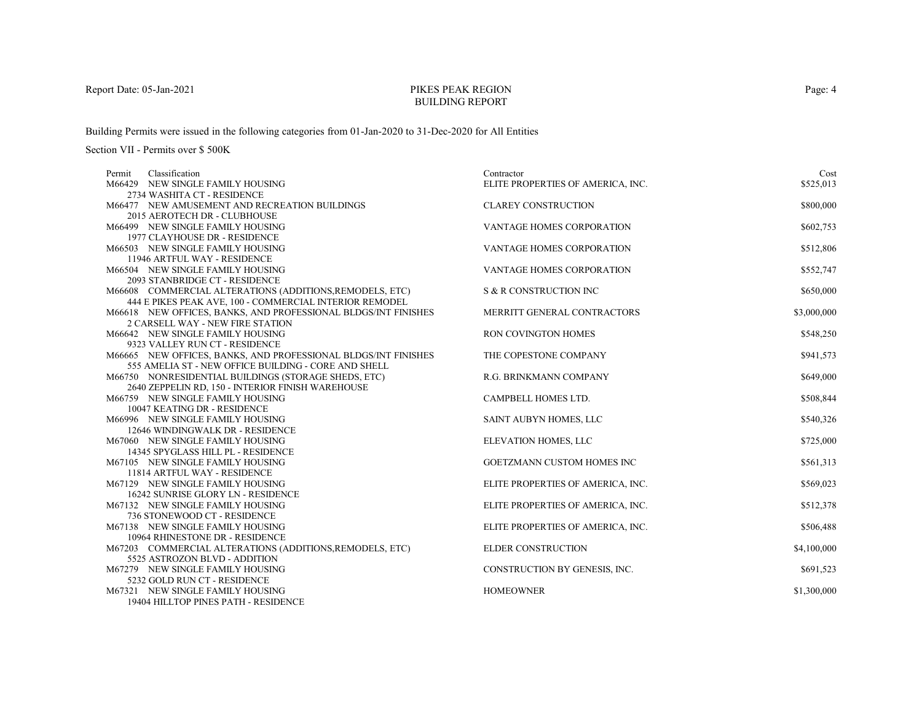# PIKES PEAK REGIONBUILDING REPORT

Building Permits were issued in the following categories from 01-Jan-2020 to 31-Dec-2020 for All Entities

| Classification<br>Permit                                         | Contractor                        | Cost        |
|------------------------------------------------------------------|-----------------------------------|-------------|
| M66429 NEW SINGLE FAMILY HOUSING                                 | ELITE PROPERTIES OF AMERICA, INC. | \$525,013   |
| 2734 WASHITA CT - RESIDENCE                                      |                                   |             |
| M66477 NEW AMUSEMENT AND RECREATION BUILDINGS                    | <b>CLAREY CONSTRUCTION</b>        | \$800,000   |
| 2015 AEROTECH DR - CLUBHOUSE                                     |                                   |             |
| M66499 NEW SINGLE FAMILY HOUSING                                 | <b>VANTAGE HOMES CORPORATION</b>  | \$602,753   |
| 1977 CLAYHOUSE DR - RESIDENCE                                    |                                   |             |
| M66503 NEW SINGLE FAMILY HOUSING                                 | VANTAGE HOMES CORPORATION         | \$512,806   |
| 11946 ARTFUL WAY - RESIDENCE                                     |                                   |             |
| M66504 NEW SINGLE FAMILY HOUSING                                 | <b>VANTAGE HOMES CORPORATION</b>  | \$552,747   |
| 2093 STANBRIDGE CT - RESIDENCE                                   |                                   |             |
| M66608 COMMERCIAL ALTERATIONS (ADDITIONS, REMODELS, ETC)         | S & R CONSTRUCTION INC            | \$650,000   |
| 444 E PIKES PEAK AVE, 100 - COMMERCIAL INTERIOR REMODEL          |                                   |             |
| M66618 NEW OFFICES, BANKS, AND PROFESSIONAL BLDGS/INT FINISHES   | MERRITT GENERAL CONTRACTORS       | \$3,000,000 |
| 2 CARSELL WAY - NEW FIRE STATION                                 |                                   |             |
| M66642 NEW SINGLE FAMILY HOUSING                                 | <b>RON COVINGTON HOMES</b>        | \$548,250   |
| 9323 VALLEY RUN CT - RESIDENCE                                   |                                   |             |
| M66665 NEW OFFICES, BANKS, AND PROFESSIONAL BLDGS/INT FINISHES   | THE COPESTONE COMPANY             | \$941,573   |
| 555 AMELIA ST - NEW OFFICE BUILDING - CORE AND SHELL             |                                   |             |
| M66750 NONRESIDENTIAL BUILDINGS (STORAGE SHEDS, ETC)             | R.G. BRINKMANN COMPANY            | \$649,000   |
| 2640 ZEPPELIN RD, 150 - INTERIOR FINISH WAREHOUSE                |                                   |             |
| M66759 NEW SINGLE FAMILY HOUSING                                 | CAMPBELL HOMES LTD.               | \$508,844   |
| 10047 KEATING DR - RESIDENCE                                     |                                   |             |
| M66996 NEW SINGLE FAMILY HOUSING                                 | SAINT AUBYN HOMES, LLC            | \$540,326   |
| 12646 WINDINGWALK DR - RESIDENCE                                 |                                   |             |
| M67060 NEW SINGLE FAMILY HOUSING                                 | ELEVATION HOMES, LLC              | \$725,000   |
| 14345 SPYGLASS HILL PL - RESIDENCE                               |                                   |             |
| M67105 NEW SINGLE FAMILY HOUSING                                 | <b>GOETZMANN CUSTOM HOMES INC</b> | \$561,313   |
| 11814 ARTFUL WAY - RESIDENCE                                     |                                   |             |
| M67129 NEW SINGLE FAMILY HOUSING                                 | ELITE PROPERTIES OF AMERICA, INC. | \$569,023   |
| 16242 SUNRISE GLORY LN - RESIDENCE                               |                                   |             |
| M67132 NEW SINGLE FAMILY HOUSING<br>736 STONEWOOD CT - RESIDENCE | ELITE PROPERTIES OF AMERICA, INC. | \$512,378   |
| M67138 NEW SINGLE FAMILY HOUSING                                 |                                   |             |
| 10964 RHINESTONE DR - RESIDENCE                                  | ELITE PROPERTIES OF AMERICA, INC. | \$506,488   |
| M67203 COMMERCIAL ALTERATIONS (ADDITIONS, REMODELS, ETC)         | ELDER CONSTRUCTION                | \$4,100,000 |
| 5525 ASTROZON BLVD - ADDITION                                    |                                   |             |
| M67279 NEW SINGLE FAMILY HOUSING                                 | CONSTRUCTION BY GENESIS, INC.     | \$691,523   |
| 5232 GOLD RUN CT - RESIDENCE                                     |                                   |             |
| M67321 NEW SINGLE FAMILY HOUSING                                 | <b>HOMEOWNER</b>                  | \$1,300,000 |
| 19404 HILLTOP PINES PATH - RESIDENCE                             |                                   |             |
|                                                                  |                                   |             |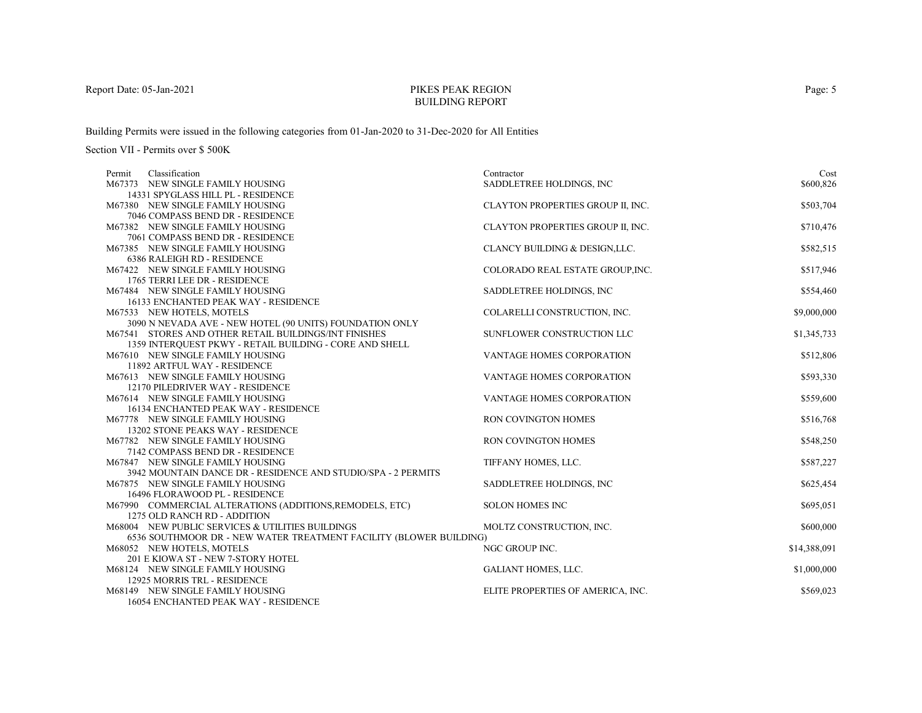# PIKES PEAK REGIONBUILDING REPORT

Building Permits were issued in the following categories from 01-Jan-2020 to 31-Dec-2020 for All Entities

| Classification<br>Permit                                                 | Contractor                        | Cost         |
|--------------------------------------------------------------------------|-----------------------------------|--------------|
| M67373 NEW SINGLE FAMILY HOUSING                                         | SADDLETREE HOLDINGS, INC          | \$600,826    |
| 14331 SPYGLASS HILL PL - RESIDENCE                                       |                                   |              |
| M67380 NEW SINGLE FAMILY HOUSING                                         | CLAYTON PROPERTIES GROUP II, INC. | \$503,704    |
| 7046 COMPASS BEND DR - RESIDENCE                                         |                                   |              |
| M67382 NEW SINGLE FAMILY HOUSING                                         | CLAYTON PROPERTIES GROUP II, INC. | \$710,476    |
| 7061 COMPASS BEND DR - RESIDENCE                                         |                                   |              |
| M67385 NEW SINGLE FAMILY HOUSING                                         | CLANCY BUILDING & DESIGN, LLC.    | \$582,515    |
| <b>6386 RALEIGH RD - RESIDENCE</b>                                       |                                   |              |
| M67422 NEW SINGLE FAMILY HOUSING                                         | COLORADO REAL ESTATE GROUP, INC.  | \$517,946    |
| 1765 TERRI LEE DR - RESIDENCE                                            |                                   |              |
| M67484 NEW SINGLE FAMILY HOUSING                                         | SADDLETREE HOLDINGS, INC          | \$554,460    |
| 16133 ENCHANTED PEAK WAY - RESIDENCE                                     |                                   |              |
| M67533 NEW HOTELS, MOTELS                                                | COLARELLI CONSTRUCTION, INC.      | \$9,000,000  |
| 3090 N NEVADA AVE - NEW HOTEL (90 UNITS) FOUNDATION ONLY                 |                                   |              |
| M67541 STORES AND OTHER RETAIL BUILDINGS/INT FINISHES                    | SUNFLOWER CONSTRUCTION LLC        | \$1,345,733  |
| 1359 INTERQUEST PKWY - RETAIL BUILDING - CORE AND SHELL                  |                                   |              |
| M67610 NEW SINGLE FAMILY HOUSING                                         | <b>VANTAGE HOMES CORPORATION</b>  | \$512,806    |
| 11892 ARTFUL WAY - RESIDENCE                                             |                                   |              |
| M67613 NEW SINGLE FAMILY HOUSING                                         | <b>VANTAGE HOMES CORPORATION</b>  | \$593,330    |
| 12170 PILEDRIVER WAY - RESIDENCE                                         |                                   |              |
| M67614 NEW SINGLE FAMILY HOUSING                                         | VANTAGE HOMES CORPORATION         | \$559,600    |
| 16134 ENCHANTED PEAK WAY - RESIDENCE<br>M67778 NEW SINGLE FAMILY HOUSING | <b>RON COVINGTON HOMES</b>        |              |
| 13202 STONE PEAKS WAY - RESIDENCE                                        |                                   | \$516,768    |
| M67782 NEW SINGLE FAMILY HOUSING                                         | RON COVINGTON HOMES               | \$548,250    |
| 7142 COMPASS BEND DR - RESIDENCE                                         |                                   |              |
| M67847 NEW SINGLE FAMILY HOUSING                                         | TIFFANY HOMES, LLC.               | \$587,227    |
| 3942 MOUNTAIN DANCE DR - RESIDENCE AND STUDIO/SPA - 2 PERMITS            |                                   |              |
| M67875 NEW SINGLE FAMILY HOUSING                                         | SADDLETREE HOLDINGS, INC.         | \$625,454    |
| 16496 FLORAWOOD PL - RESIDENCE                                           |                                   |              |
| M67990 COMMERCIAL ALTERATIONS (ADDITIONS, REMODELS, ETC)                 | <b>SOLON HOMES INC</b>            | \$695,051    |
| 1275 OLD RANCH RD - ADDITION                                             |                                   |              |
| M68004 NEW PUBLIC SERVICES & UTILITIES BUILDINGS                         | MOLTZ CONSTRUCTION, INC.          | \$600,000    |
| 6536 SOUTHMOOR DR - NEW WATER TREATMENT FACILITY (BLOWER BUILDING)       |                                   |              |
| M68052 NEW HOTELS, MOTELS                                                | NGC GROUP INC.                    | \$14,388,091 |
| 201 E KIOWA ST - NEW 7-STORY HOTEL                                       |                                   |              |
| M68124 NEW SINGLE FAMILY HOUSING                                         | GALIANT HOMES, LLC.               | \$1,000,000  |
| 12925 MORRIS TRL - RESIDENCE                                             |                                   |              |
| M68149 NEW SINGLE FAMILY HOUSING                                         | ELITE PROPERTIES OF AMERICA, INC. | \$569,023    |
| 16054 ENCHANTED PEAK WAY - RESIDENCE                                     |                                   |              |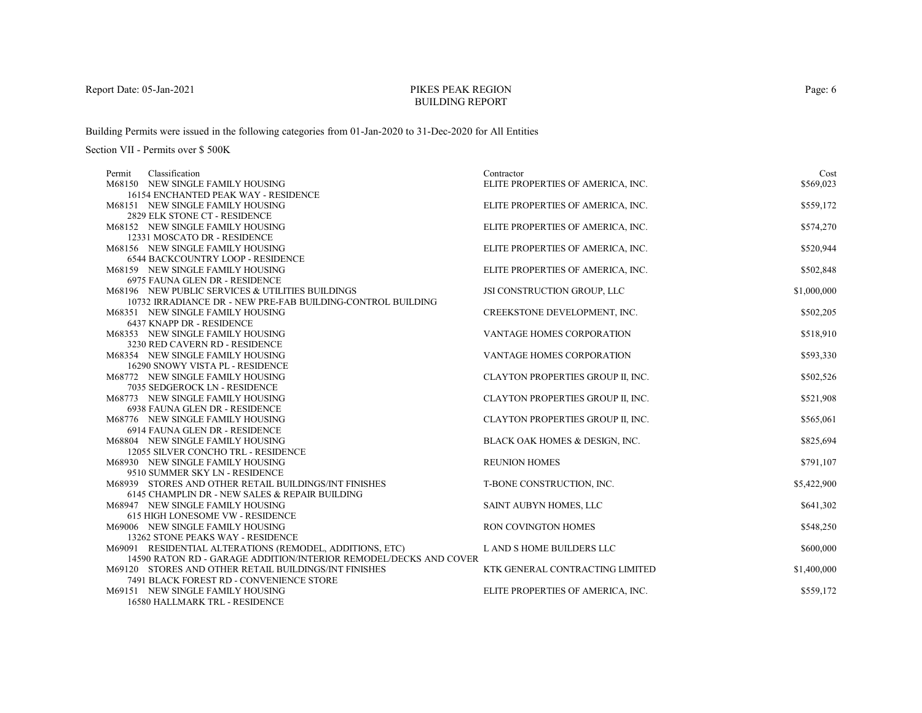# PIKES PEAK REGIONBUILDING REPORT

Building Permits were issued in the following categories from 01-Jan-2020 to 31-Dec-2020 for All Entities

| Classification<br>Permit                                                | Contractor                        | Cost        |
|-------------------------------------------------------------------------|-----------------------------------|-------------|
| M68150 NEW SINGLE FAMILY HOUSING                                        | ELITE PROPERTIES OF AMERICA, INC. | \$569,023   |
| 16154 ENCHANTED PEAK WAY - RESIDENCE                                    |                                   |             |
| M68151 NEW SINGLE FAMILY HOUSING                                        | ELITE PROPERTIES OF AMERICA, INC. | \$559,172   |
| 2829 ELK STONE CT - RESIDENCE                                           |                                   |             |
| M68152 NEW SINGLE FAMILY HOUSING                                        | ELITE PROPERTIES OF AMERICA, INC. | \$574,270   |
| 12331 MOSCATO DR - RESIDENCE                                            |                                   |             |
| M68156 NEW SINGLE FAMILY HOUSING                                        | ELITE PROPERTIES OF AMERICA, INC. | \$520,944   |
| <b>6544 BACKCOUNTRY LOOP - RESIDENCE</b>                                |                                   |             |
| M68159 NEW SINGLE FAMILY HOUSING                                        | ELITE PROPERTIES OF AMERICA, INC. | \$502,848   |
| 6975 FAUNA GLEN DR - RESIDENCE                                          |                                   |             |
| M68196 NEW PUBLIC SERVICES & UTILITIES BUILDINGS                        | JSI CONSTRUCTION GROUP, LLC       | \$1,000,000 |
| 10732 IRRADIANCE DR - NEW PRE-FAB BUILDING-CONTROL BUILDING             |                                   |             |
| M68351 NEW SINGLE FAMILY HOUSING                                        | CREEKSTONE DEVELOPMENT, INC.      | \$502,205   |
| 6437 KNAPP DR - RESIDENCE                                               |                                   |             |
| M68353 NEW SINGLE FAMILY HOUSING                                        | VANTAGE HOMES CORPORATION         | \$518,910   |
| 3230 RED CAVERN RD - RESIDENCE                                          |                                   |             |
| M68354 NEW SINGLE FAMILY HOUSING                                        | VANTAGE HOMES CORPORATION         | \$593,330   |
| 16290 SNOWY VISTA PL - RESIDENCE                                        |                                   |             |
| M68772 NEW SINGLE FAMILY HOUSING                                        | CLAYTON PROPERTIES GROUP II, INC. | \$502,526   |
| 7035 SEDGEROCK LN - RESIDENCE                                           |                                   |             |
| M68773 NEW SINGLE FAMILY HOUSING                                        | CLAYTON PROPERTIES GROUP II, INC. | \$521,908   |
| 6938 FAUNA GLEN DR - RESIDENCE                                          |                                   |             |
| M68776 NEW SINGLE FAMILY HOUSING                                        | CLAYTON PROPERTIES GROUP II, INC. | \$565,061   |
| 6914 FAUNA GLEN DR - RESIDENCE                                          |                                   |             |
| M68804 NEW SINGLE FAMILY HOUSING                                        | BLACK OAK HOMES & DESIGN, INC.    | \$825,694   |
| 12055 SILVER CONCHO TRL - RESIDENCE<br>M68930 NEW SINGLE FAMILY HOUSING | <b>REUNION HOMES</b>              |             |
| 9510 SUMMER SKY LN - RESIDENCE                                          |                                   | \$791,107   |
| M68939 STORES AND OTHER RETAIL BUILDINGS/INT FINISHES                   | T-BONE CONSTRUCTION, INC.         | \$5,422,900 |
| 6145 CHAMPLIN DR - NEW SALES & REPAIR BUILDING                          |                                   |             |
| M68947 NEW SINGLE FAMILY HOUSING                                        | SAINT AUBYN HOMES, LLC            | \$641,302   |
| <b>615 HIGH LONESOME VW - RESIDENCE</b>                                 |                                   |             |
| M69006 NEW SINGLE FAMILY HOUSING                                        | <b>RON COVINGTON HOMES</b>        | \$548,250   |
| 13262 STONE PEAKS WAY - RESIDENCE                                       |                                   |             |
| M69091 RESIDENTIAL ALTERATIONS (REMODEL, ADDITIONS, ETC)                | L AND S HOME BUILDERS LLC         | \$600,000   |
| 14590 RATON RD - GARAGE ADDITION/INTERIOR REMODEL/DECKS AND COVER       |                                   |             |
| M69120 STORES AND OTHER RETAIL BUILDINGS/INT FINISHES                   | KTK GENERAL CONTRACTING LIMITED   | \$1,400,000 |
| 7491 BLACK FOREST RD - CONVENIENCE STORE                                |                                   |             |
| M69151 NEW SINGLE FAMILY HOUSING                                        | ELITE PROPERTIES OF AMERICA, INC. | \$559,172   |
| 16580 HALLMARK TRL - RESIDENCE                                          |                                   |             |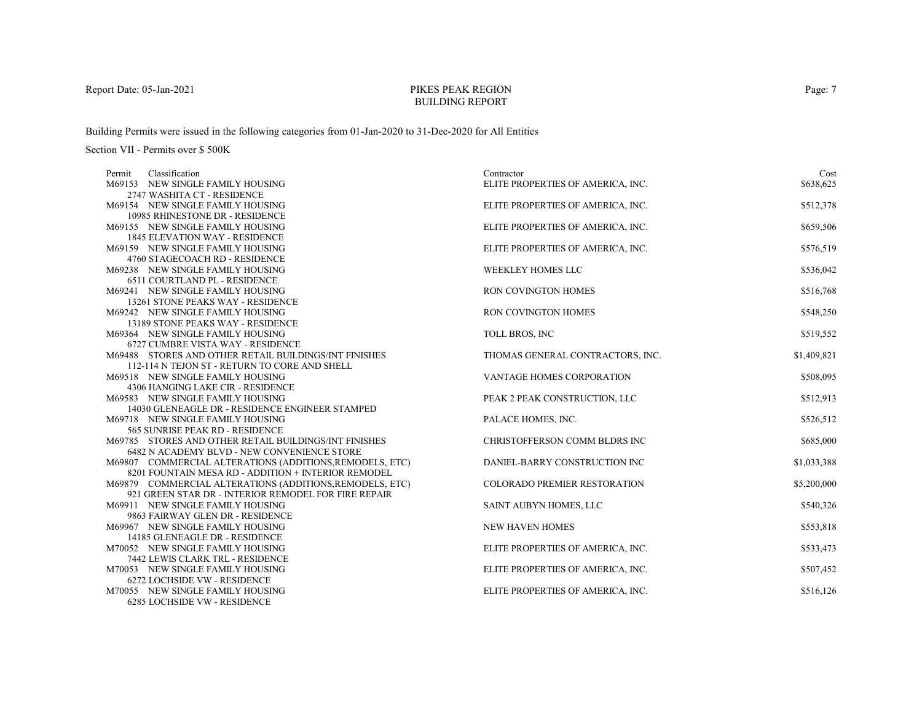# PIKES PEAK REGIONBUILDING REPORT

Building Permits were issued in the following categories from 01-Jan-2020 to 31-Dec-2020 for All Entities

| Classification<br>Permit                                                            | Contractor                          | Cost        |
|-------------------------------------------------------------------------------------|-------------------------------------|-------------|
| M69153 NEW SINGLE FAMILY HOUSING                                                    | ELITE PROPERTIES OF AMERICA, INC.   | \$638,625   |
| 2747 WASHITA CT - RESIDENCE                                                         |                                     |             |
| M69154 NEW SINGLE FAMILY HOUSING                                                    | ELITE PROPERTIES OF AMERICA, INC.   | \$512,378   |
| 10985 RHINESTONE DR - RESIDENCE                                                     |                                     |             |
| M69155 NEW SINGLE FAMILY HOUSING                                                    | ELITE PROPERTIES OF AMERICA, INC.   | \$659,506   |
| <b>1845 ELEVATION WAY - RESIDENCE</b>                                               |                                     |             |
| M69159 NEW SINGLE FAMILY HOUSING                                                    | ELITE PROPERTIES OF AMERICA, INC.   | \$576,519   |
| 4760 STAGECOACH RD - RESIDENCE                                                      |                                     |             |
| M69238 NEW SINGLE FAMILY HOUSING                                                    | <b>WEEKLEY HOMES LLC</b>            | \$536,042   |
| 6511 COURTLAND PL - RESIDENCE                                                       |                                     |             |
| M69241 NEW SINGLE FAMILY HOUSING                                                    | RON COVINGTON HOMES                 | \$516,768   |
| 13261 STONE PEAKS WAY - RESIDENCE                                                   |                                     |             |
| M69242 NEW SINGLE FAMILY HOUSING                                                    | <b>RON COVINGTON HOMES</b>          | \$548,250   |
| 13189 STONE PEAKS WAY - RESIDENCE                                                   |                                     |             |
| M69364 NEW SINGLE FAMILY HOUSING                                                    | <b>TOLL BROS, INC</b>               | \$519,552   |
| 6727 CUMBRE VISTA WAY - RESIDENCE                                                   |                                     |             |
| M69488 STORES AND OTHER RETAIL BUILDINGS/INT FINISHES                               | THOMAS GENERAL CONTRACTORS, INC.    | \$1,409,821 |
| 112-114 N TEJON ST - RETURN TO CORE AND SHELL                                       |                                     |             |
| M69518 NEW SINGLE FAMILY HOUSING                                                    | <b>VANTAGE HOMES CORPORATION</b>    | \$508,095   |
| 4306 HANGING LAKE CIR - RESIDENCE                                                   |                                     |             |
| M69583 NEW SINGLE FAMILY HOUSING                                                    | PEAK 2 PEAK CONSTRUCTION, LLC       | \$512,913   |
| 14030 GLENEAGLE DR - RESIDENCE ENGINEER STAMPED<br>M69718 NEW SINGLE FAMILY HOUSING | PALACE HOMES, INC.                  |             |
| 565 SUNRISE PEAK RD - RESIDENCE                                                     |                                     | \$526,512   |
| M69785 STORES AND OTHER RETAIL BUILDINGS/INT FINISHES                               | CHRISTOFFERSON COMM BLDRS INC       | \$685,000   |
| 6482 N ACADEMY BLVD - NEW CONVENIENCE STORE                                         |                                     |             |
| M69807 COMMERCIAL ALTERATIONS (ADDITIONS, REMODELS, ETC)                            | DANIEL-BARRY CONSTRUCTION INC       | \$1,033,388 |
| 8201 FOUNTAIN MESA RD - ADDITION + INTERIOR REMODEL                                 |                                     |             |
| M69879 COMMERCIAL ALTERATIONS (ADDITIONS, REMODELS, ETC)                            | <b>COLORADO PREMIER RESTORATION</b> | \$5,200,000 |
| 921 GREEN STAR DR - INTERIOR REMODEL FOR FIRE REPAIR                                |                                     |             |
| M69911 NEW SINGLE FAMILY HOUSING                                                    | SAINT AUBYN HOMES, LLC              | \$540,326   |
| 9863 FAIRWAY GLEN DR - RESIDENCE                                                    |                                     |             |
| M69967 NEW SINGLE FAMILY HOUSING                                                    | <b>NEW HAVEN HOMES</b>              | \$553,818   |
| 14185 GLENEAGLE DR - RESIDENCE                                                      |                                     |             |
| M70052 NEW SINGLE FAMILY HOUSING                                                    | ELITE PROPERTIES OF AMERICA, INC.   | \$533,473   |
| 7442 LEWIS CLARK TRL - RESIDENCE                                                    |                                     |             |
| M70053 NEW SINGLE FAMILY HOUSING                                                    | ELITE PROPERTIES OF AMERICA, INC.   | \$507,452   |
| 6272 LOCHSIDE VW - RESIDENCE                                                        |                                     |             |
| M70055 NEW SINGLE FAMILY HOUSING                                                    | ELITE PROPERTIES OF AMERICA, INC.   | \$516,126   |
| 6285 LOCHSIDE VW - RESIDENCE                                                        |                                     |             |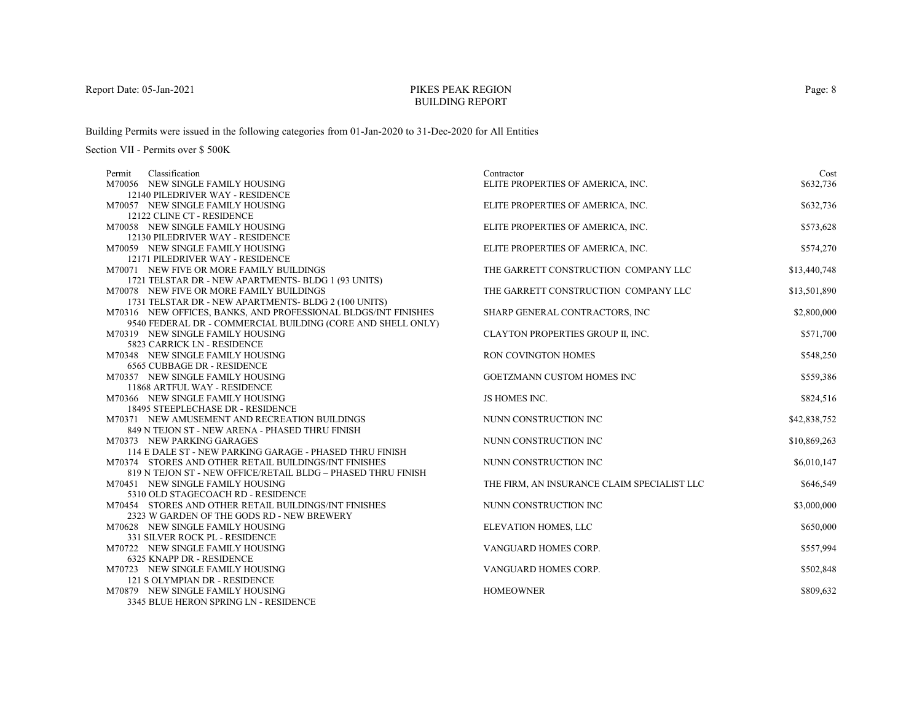# PIKES PEAK REGIONBUILDING REPORT

Building Permits were issued in the following categories from 01-Jan-2020 to 31-Dec-2020 for All Entities

| Classification<br>Permit                                               | Contractor                                  | Cost         |
|------------------------------------------------------------------------|---------------------------------------------|--------------|
| M70056 NEW SINGLE FAMILY HOUSING                                       | ELITE PROPERTIES OF AMERICA, INC.           | \$632,736    |
| 12140 PILEDRIVER WAY - RESIDENCE                                       |                                             |              |
| M70057 NEW SINGLE FAMILY HOUSING                                       | ELITE PROPERTIES OF AMERICA, INC.           | \$632,736    |
| 12122 CLINE CT - RESIDENCE                                             |                                             |              |
| M70058 NEW SINGLE FAMILY HOUSING                                       | ELITE PROPERTIES OF AMERICA, INC.           | \$573,628    |
| 12130 PILEDRIVER WAY - RESIDENCE                                       |                                             |              |
| M70059 NEW SINGLE FAMILY HOUSING                                       | ELITE PROPERTIES OF AMERICA, INC.           | \$574,270    |
| 12171 PILEDRIVER WAY - RESIDENCE                                       |                                             |              |
| M70071 NEW FIVE OR MORE FAMILY BUILDINGS                               | THE GARRETT CONSTRUCTION COMPANY LLC        | \$13,440,748 |
| 1721 TELSTAR DR - NEW APARTMENTS-BLDG 1 (93 UNITS)                     |                                             |              |
| M70078 NEW FIVE OR MORE FAMILY BUILDINGS                               | THE GARRETT CONSTRUCTION COMPANY LLC        | \$13,501,890 |
| 1731 TELSTAR DR - NEW APARTMENTS-BLDG 2 (100 UNITS)                    |                                             |              |
| M70316 NEW OFFICES, BANKS, AND PROFESSIONAL BLDGS/INT FINISHES         | SHARP GENERAL CONTRACTORS, INC              | \$2,800,000  |
| 9540 FEDERAL DR - COMMERCIAL BUILDING (CORE AND SHELL ONLY)            |                                             |              |
| M70319 NEW SINGLE FAMILY HOUSING                                       | CLAYTON PROPERTIES GROUP II, INC.           | \$571,700    |
| 5823 CARRICK LN - RESIDENCE                                            |                                             |              |
| M70348 NEW SINGLE FAMILY HOUSING                                       | RON COVINGTON HOMES                         | \$548,250    |
| <b>6565 CUBBAGE DR - RESIDENCE</b><br>M70357 NEW SINGLE FAMILY HOUSING | GOETZMANN CUSTOM HOMES INC                  | \$559,386    |
| 11868 ARTFUL WAY - RESIDENCE                                           |                                             |              |
| M70366 NEW SINGLE FAMILY HOUSING                                       | JS HOMES INC.                               | \$824,516    |
| 18495 STEEPLECHASE DR - RESIDENCE                                      |                                             |              |
| M70371 NEW AMUSEMENT AND RECREATION BUILDINGS                          | NUNN CONSTRUCTION INC                       | \$42,838,752 |
| 849 N TEJON ST - NEW ARENA - PHASED THRU FINISH                        |                                             |              |
| M70373 NEW PARKING GARAGES                                             | NUNN CONSTRUCTION INC                       | \$10,869,263 |
| 114 E DALE ST - NEW PARKING GARAGE - PHASED THRU FINISH                |                                             |              |
| M70374 STORES AND OTHER RETAIL BUILDINGS/INT FINISHES                  | NUNN CONSTRUCTION INC                       | \$6,010,147  |
| 819 N TEJON ST - NEW OFFICE/RETAIL BLDG - PHASED THRU FINISH           |                                             |              |
| M70451 NEW SINGLE FAMILY HOUSING                                       | THE FIRM, AN INSURANCE CLAIM SPECIALIST LLC | \$646,549    |
| 5310 OLD STAGECOACH RD - RESIDENCE                                     |                                             |              |
| M70454 STORES AND OTHER RETAIL BUILDINGS/INT FINISHES                  | NUNN CONSTRUCTION INC                       | \$3,000,000  |
| 2323 W GARDEN OF THE GODS RD - NEW BREWERY                             |                                             |              |
| M70628 NEW SINGLE FAMILY HOUSING                                       | ELEVATION HOMES, LLC                        | \$650,000    |
| 331 SILVER ROCK PL - RESIDENCE                                         |                                             |              |
| M70722 NEW SINGLE FAMILY HOUSING                                       | VANGUARD HOMES CORP.                        | \$557,994    |
| 6325 KNAPP DR - RESIDENCE                                              |                                             |              |
| M70723 NEW SINGLE FAMILY HOUSING                                       | VANGUARD HOMES CORP.                        | \$502,848    |
| 121 S OLYMPIAN DR - RESIDENCE                                          |                                             |              |
| M70879 NEW SINGLE FAMILY HOUSING                                       | <b>HOMEOWNER</b>                            | \$809,632    |
| 3345 BLUE HERON SPRING LN - RESIDENCE                                  |                                             |              |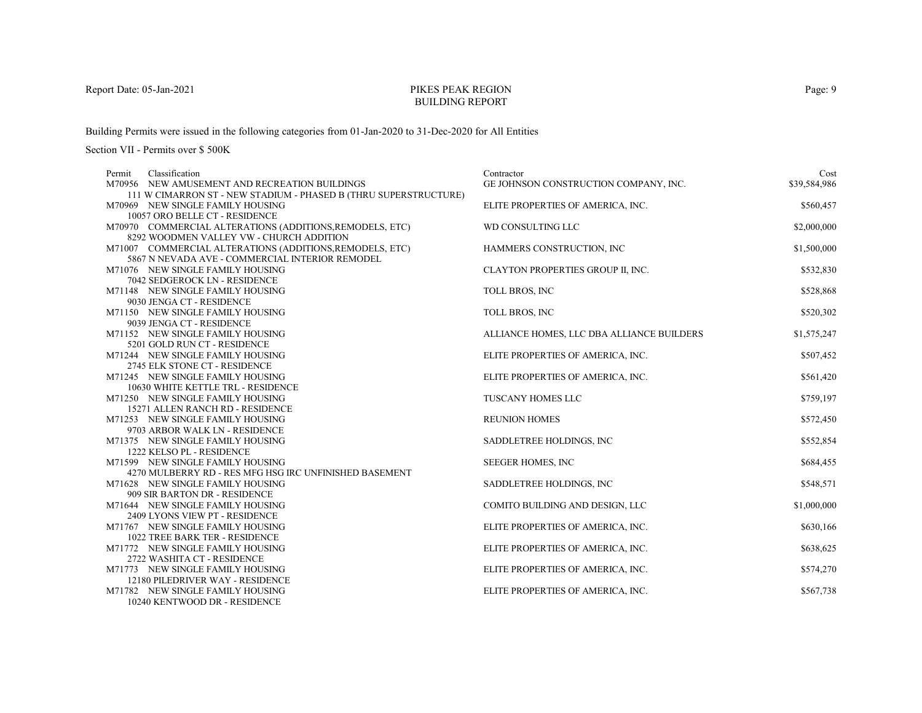# PIKES PEAK REGIONBUILDING REPORT

Building Permits were issued in the following categories from 01-Jan-2020 to 31-Dec-2020 for All Entities

| Classification<br>Permit                                             | Contractor                                | Cost         |
|----------------------------------------------------------------------|-------------------------------------------|--------------|
| M70956 NEW AMUSEMENT AND RECREATION BUILDINGS                        | GE JOHNSON CONSTRUCTION COMPANY, INC.     | \$39,584,986 |
| 111 W CIMARRON ST - NEW STADIUM - PHASED B (THRU SUPERSTRUCTURE)     |                                           |              |
| M70969 NEW SINGLE FAMILY HOUSING                                     | ELITE PROPERTIES OF AMERICA, INC.         | \$560,457    |
| 10057 ORO BELLE CT - RESIDENCE                                       |                                           |              |
| M70970 COMMERCIAL ALTERATIONS (ADDITIONS, REMODELS, ETC)             | WD CONSULTING LLC                         | \$2,000,000  |
| 8292 WOODMEN VALLEY VW - CHURCH ADDITION                             |                                           |              |
| M71007 COMMERCIAL ALTERATIONS (ADDITIONS, REMODELS, ETC)             | HAMMERS CONSTRUCTION, INC                 | \$1,500,000  |
| 5867 N NEVADA AVE - COMMERCIAL INTERIOR REMODEL                      |                                           |              |
| M71076 NEW SINGLE FAMILY HOUSING                                     | CLAYTON PROPERTIES GROUP II, INC.         | \$532,830    |
| 7042 SEDGEROCK LN - RESIDENCE                                        |                                           |              |
| M71148 NEW SINGLE FAMILY HOUSING                                     | TOLL BROS, INC                            | \$528,868    |
| 9030 JENGA CT - RESIDENCE                                            |                                           |              |
| M71150 NEW SINGLE FAMILY HOUSING                                     | TOLL BROS, INC                            | \$520,302    |
| 9039 JENGA CT - RESIDENCE                                            |                                           |              |
| M71152 NEW SINGLE FAMILY HOUSING                                     | ALLIANCE HOMES, LLC DBA ALLIANCE BUILDERS | \$1,575,247  |
| 5201 GOLD RUN CT - RESIDENCE                                         |                                           |              |
| M71244 NEW SINGLE FAMILY HOUSING                                     | ELITE PROPERTIES OF AMERICA, INC.         | \$507,452    |
| 2745 ELK STONE CT - RESIDENCE                                        |                                           |              |
| M71245 NEW SINGLE FAMILY HOUSING                                     | ELITE PROPERTIES OF AMERICA, INC.         | \$561,420    |
| 10630 WHITE KETTLE TRL - RESIDENCE                                   |                                           |              |
| M71250 NEW SINGLE FAMILY HOUSING                                     | TUSCANY HOMES LLC                         | \$759,197    |
| 15271 ALLEN RANCH RD - RESIDENCE<br>M71253 NEW SINGLE FAMILY HOUSING | <b>REUNION HOMES</b>                      |              |
| 9703 ARBOR WALK LN - RESIDENCE                                       |                                           | \$572,450    |
| M71375 NEW SINGLE FAMILY HOUSING                                     | SADDLETREE HOLDINGS, INC.                 | \$552,854    |
| 1222 KELSO PL - RESIDENCE                                            |                                           |              |
| M71599 NEW SINGLE FAMILY HOUSING                                     | <b>SEEGER HOMES, INC</b>                  | \$684,455    |
| 4270 MULBERRY RD - RES MFG HSG IRC UNFINISHED BASEMENT               |                                           |              |
| M71628 NEW SINGLE FAMILY HOUSING                                     | SADDLETREE HOLDINGS, INC.                 | \$548,571    |
| 909 SIR BARTON DR - RESIDENCE                                        |                                           |              |
| M71644 NEW SINGLE FAMILY HOUSING                                     | COMITO BUILDING AND DESIGN, LLC           | \$1,000,000  |
| 2409 LYONS VIEW PT - RESIDENCE                                       |                                           |              |
| M71767 NEW SINGLE FAMILY HOUSING                                     | ELITE PROPERTIES OF AMERICA, INC.         | \$630,166    |
| 1022 TREE BARK TER - RESIDENCE                                       |                                           |              |
| M71772 NEW SINGLE FAMILY HOUSING                                     | ELITE PROPERTIES OF AMERICA, INC.         | \$638,625    |
| 2722 WASHITA CT - RESIDENCE                                          |                                           |              |
| M71773 NEW SINGLE FAMILY HOUSING                                     | ELITE PROPERTIES OF AMERICA, INC.         | \$574,270    |
| 12180 PILEDRIVER WAY - RESIDENCE                                     |                                           |              |
| M71782 NEW SINGLE FAMILY HOUSING                                     | ELITE PROPERTIES OF AMERICA, INC.         | \$567,738    |
| 10240 KENTWOOD DR - RESIDENCE                                        |                                           |              |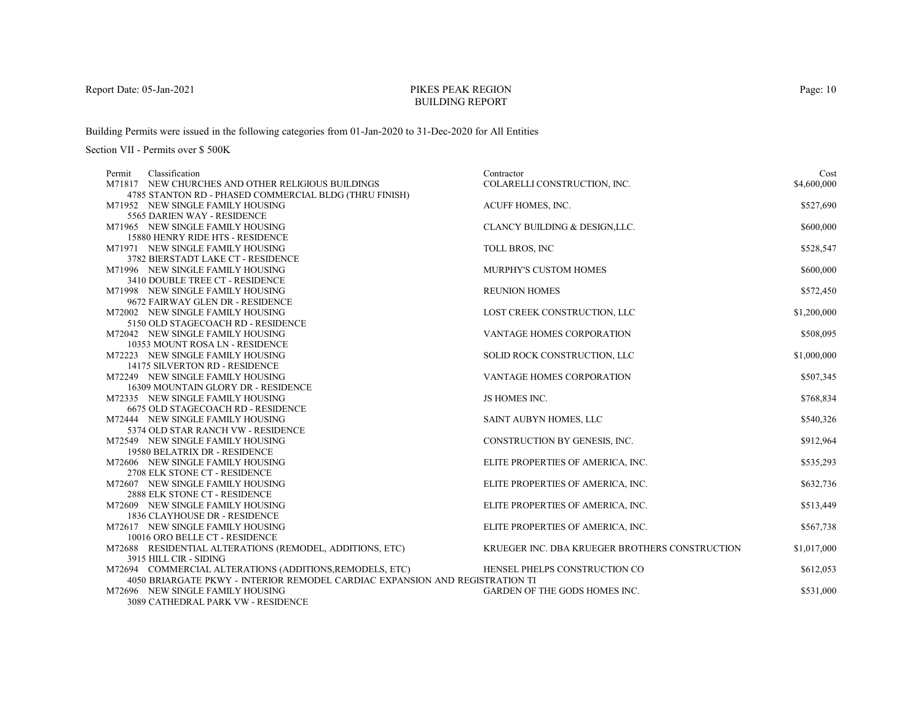# PIKES PEAK REGIONBUILDING REPORT

Building Permits were issued in the following categories from 01-Jan-2020 to 31-Dec-2020 for All Entities

| Classification<br>Permit                                                                                         | Contractor                                     | Cost        |
|------------------------------------------------------------------------------------------------------------------|------------------------------------------------|-------------|
| M71817 NEW CHURCHES AND OTHER RELIGIOUS BUILDINGS                                                                | COLARELLI CONSTRUCTION, INC.                   | \$4,600,000 |
| 4785 STANTON RD - PHASED COMMERCIAL BLDG (THRU FINISH)                                                           |                                                |             |
| M71952 NEW SINGLE FAMILY HOUSING                                                                                 | ACUFF HOMES, INC.                              | \$527,690   |
| 5565 DARIEN WAY - RESIDENCE                                                                                      |                                                |             |
| M71965 NEW SINGLE FAMILY HOUSING                                                                                 | CLANCY BUILDING & DESIGN, LLC.                 | \$600,000   |
| 15880 HENRY RIDE HTS - RESIDENCE                                                                                 |                                                |             |
| M71971 NEW SINGLE FAMILY HOUSING                                                                                 | TOLL BROS, INC                                 | \$528,547   |
| 3782 BIERSTADT LAKE CT - RESIDENCE                                                                               |                                                |             |
| M71996 NEW SINGLE FAMILY HOUSING                                                                                 | MURPHY'S CUSTOM HOMES                          | \$600,000   |
| 3410 DOUBLE TREE CT - RESIDENCE                                                                                  |                                                |             |
| M71998 NEW SINGLE FAMILY HOUSING                                                                                 | <b>REUNION HOMES</b>                           | \$572,450   |
| 9672 FAIRWAY GLEN DR - RESIDENCE                                                                                 |                                                |             |
| M72002 NEW SINGLE FAMILY HOUSING                                                                                 | LOST CREEK CONSTRUCTION, LLC                   | \$1,200,000 |
| 5150 OLD STAGECOACH RD - RESIDENCE                                                                               |                                                |             |
| M72042 NEW SINGLE FAMILY HOUSING                                                                                 | <b>VANTAGE HOMES CORPORATION</b>               | \$508,095   |
| 10353 MOUNT ROSA LN - RESIDENCE                                                                                  |                                                |             |
| M72223 NEW SINGLE FAMILY HOUSING                                                                                 | SOLID ROCK CONSTRUCTION, LLC                   | \$1,000,000 |
| 14175 SILVERTON RD - RESIDENCE                                                                                   |                                                |             |
| M72249 NEW SINGLE FAMILY HOUSING                                                                                 | VANTAGE HOMES CORPORATION                      | \$507,345   |
| 16309 MOUNTAIN GLORY DR - RESIDENCE                                                                              |                                                |             |
| M72335 NEW SINGLE FAMILY HOUSING                                                                                 | JS HOMES INC.                                  | \$768,834   |
| <b>6675 OLD STAGECOACH RD - RESIDENCE</b>                                                                        |                                                |             |
| M72444 NEW SINGLE FAMILY HOUSING                                                                                 | SAINT AUBYN HOMES, LLC                         | \$540,326   |
| 5374 OLD STAR RANCH VW - RESIDENCE                                                                               |                                                |             |
| M72549 NEW SINGLE FAMILY HOUSING                                                                                 | CONSTRUCTION BY GENESIS, INC.                  | \$912,964   |
| 19580 BELATRIX DR - RESIDENCE                                                                                    |                                                |             |
| M72606 NEW SINGLE FAMILY HOUSING                                                                                 | ELITE PROPERTIES OF AMERICA, INC.              | \$535,293   |
| 2708 ELK STONE CT - RESIDENCE                                                                                    |                                                |             |
| M72607 NEW SINGLE FAMILY HOUSING                                                                                 | ELITE PROPERTIES OF AMERICA, INC.              | \$632,736   |
| 2888 ELK STONE CT - RESIDENCE                                                                                    |                                                |             |
| M72609 NEW SINGLE FAMILY HOUSING                                                                                 | ELITE PROPERTIES OF AMERICA, INC.              | \$513,449   |
| 1836 CLAYHOUSE DR - RESIDENCE                                                                                    |                                                |             |
| M72617 NEW SINGLE FAMILY HOUSING                                                                                 | ELITE PROPERTIES OF AMERICA, INC.              | \$567,738   |
| 10016 ORO BELLE CT - RESIDENCE                                                                                   |                                                |             |
| M72688 RESIDENTIAL ALTERATIONS (REMODEL, ADDITIONS, ETC)                                                         | KRUEGER INC. DBA KRUEGER BROTHERS CONSTRUCTION | \$1,017,000 |
| 3915 HILL CIR - SIDING                                                                                           |                                                |             |
| M72694 COMMERCIAL ALTERATIONS (ADDITIONS, REMODELS, ETC)                                                         | HENSEL PHELPS CONSTRUCTION CO                  | \$612,053   |
| 4050 BRIARGATE PKWY - INTERIOR REMODEL CARDIAC EXPANSION AND REGISTRATION TI<br>M72696 NEW SINGLE FAMILY HOUSING | <b>GARDEN OF THE GODS HOMES INC.</b>           |             |
| 3089 CATHEDRAL PARK VW - RESIDENCE                                                                               |                                                | \$531,000   |
|                                                                                                                  |                                                |             |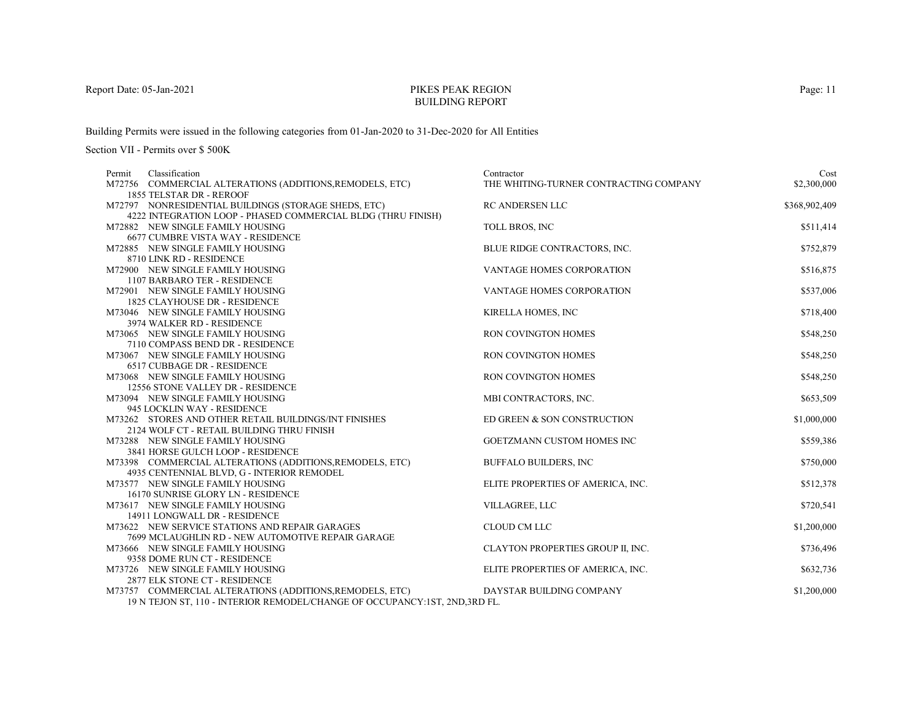# PIKES PEAK REGIONBUILDING REPORT

Building Permits were issued in the following categories from 01-Jan-2020 to 31-Dec-2020 for All Entities

| Classification<br>Permit                                                     | Contractor                             | Cost          |
|------------------------------------------------------------------------------|----------------------------------------|---------------|
| M72756 COMMERCIAL ALTERATIONS (ADDITIONS, REMODELS, ETC)                     | THE WHITING-TURNER CONTRACTING COMPANY | \$2,300,000   |
| 1855 TELSTAR DR - REROOF                                                     |                                        |               |
| M72797 NONRESIDENTIAL BUILDINGS (STORAGE SHEDS, ETC)                         | <b>RC ANDERSEN LLC</b>                 | \$368,902,409 |
| 4222 INTEGRATION LOOP - PHASED COMMERCIAL BLDG (THRU FINISH)                 |                                        |               |
| M72882 NEW SINGLE FAMILY HOUSING                                             | <b>TOLL BROS, INC</b>                  | \$511,414     |
| 6677 CUMBRE VISTA WAY - RESIDENCE                                            |                                        |               |
| M72885 NEW SINGLE FAMILY HOUSING                                             | BLUE RIDGE CONTRACTORS, INC.           | \$752,879     |
| 8710 LINK RD - RESIDENCE                                                     |                                        |               |
| M72900 NEW SINGLE FAMILY HOUSING                                             | <b>VANTAGE HOMES CORPORATION</b>       | \$516,875     |
| 1107 BARBARO TER - RESIDENCE                                                 |                                        |               |
| M72901 NEW SINGLE FAMILY HOUSING                                             | VANTAGE HOMES CORPORATION              | \$537,006     |
| <b>1825 CLAYHOUSE DR - RESIDENCE</b>                                         |                                        |               |
| M73046 NEW SINGLE FAMILY HOUSING                                             | <b>KIRELLA HOMES, INC</b>              | \$718,400     |
| 3974 WALKER RD - RESIDENCE                                                   |                                        |               |
| M73065 NEW SINGLE FAMILY HOUSING                                             | <b>RON COVINGTON HOMES</b>             | \$548,250     |
| 7110 COMPASS BEND DR - RESIDENCE                                             |                                        |               |
| M73067 NEW SINGLE FAMILY HOUSING                                             | <b>RON COVINGTON HOMES</b>             | \$548,250     |
| 6517 CUBBAGE DR - RESIDENCE                                                  |                                        |               |
| M73068 NEW SINGLE FAMILY HOUSING                                             | RON COVINGTON HOMES                    | \$548,250     |
| 12556 STONE VALLEY DR - RESIDENCE                                            |                                        |               |
| M73094 NEW SINGLE FAMILY HOUSING<br>945 LOCKLIN WAY - RESIDENCE              | MBI CONTRACTORS, INC.                  | \$653,509     |
| M73262 STORES AND OTHER RETAIL BUILDINGS/INT FINISHES                        | ED GREEN & SON CONSTRUCTION            |               |
| 2124 WOLF CT - RETAIL BUILDING THRU FINISH                                   |                                        | \$1,000,000   |
| M73288 NEW SINGLE FAMILY HOUSING                                             | GOETZMANN CUSTOM HOMES INC             | \$559,386     |
| 3841 HORSE GULCH LOOP - RESIDENCE                                            |                                        |               |
| M73398 COMMERCIAL ALTERATIONS (ADDITIONS, REMODELS, ETC)                     | <b>BUFFALO BUILDERS, INC</b>           | \$750,000     |
| 4935 CENTENNIAL BLVD, G - INTERIOR REMODEL                                   |                                        |               |
| M73577 NEW SINGLE FAMILY HOUSING                                             | ELITE PROPERTIES OF AMERICA, INC.      | \$512,378     |
| 16170 SUNRISE GLORY LN - RESIDENCE                                           |                                        |               |
| M73617 NEW SINGLE FAMILY HOUSING                                             | VILLAGREE, LLC                         | \$720,541     |
| 14911 LONGWALL DR - RESIDENCE                                                |                                        |               |
| M73622 NEW SERVICE STATIONS AND REPAIR GARAGES                               | CLOUD CM LLC                           | \$1,200,000   |
| 7699 MCLAUGHLIN RD - NEW AUTOMOTIVE REPAIR GARAGE                            |                                        |               |
| M73666 NEW SINGLE FAMILY HOUSING                                             | CLAYTON PROPERTIES GROUP II, INC.      | \$736,496     |
| 9358 DOME RUN CT - RESIDENCE                                                 |                                        |               |
| M73726 NEW SINGLE FAMILY HOUSING                                             | ELITE PROPERTIES OF AMERICA, INC.      | \$632,736     |
| 2877 ELK STONE CT - RESIDENCE                                                |                                        |               |
| M73757 COMMERCIAL ALTERATIONS (ADDITIONS, REMODELS, ETC)                     | DAYSTAR BUILDING COMPANY               | \$1,200,000   |
| 19 N TEJON ST, 110 - INTERIOR REMODEL/CHANGE OF OCCUPANCY: 1ST, 2ND, 3RD FL. |                                        |               |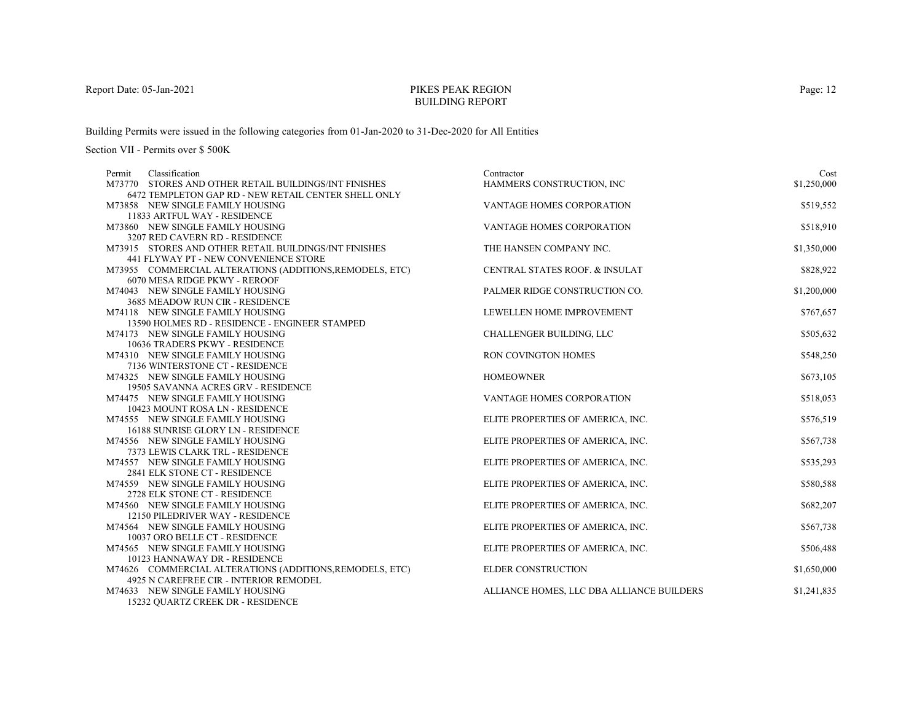# PIKES PEAK REGIONBUILDING REPORT

Building Permits were issued in the following categories from 01-Jan-2020 to 31-Dec-2020 for All Entities

Section VII - Permits over \$ 500K

| \$1,250,000<br>M73770 STORES AND OTHER RETAIL BUILDINGS/INT FINISHES<br>HAMMERS CONSTRUCTION, INC<br>6472 TEMPLETON GAP RD - NEW RETAIL CENTER SHELL ONLY<br>M73858 NEW SINGLE FAMILY HOUSING<br>VANTAGE HOMES CORPORATION<br>\$519,552<br>11833 ARTFUL WAY - RESIDENCE<br>\$518,910<br>M73860 NEW SINGLE FAMILY HOUSING<br><b>VANTAGE HOMES CORPORATION</b><br>3207 RED CAVERN RD - RESIDENCE<br>\$1,350,000<br>M73915 STORES AND OTHER RETAIL BUILDINGS/INT FINISHES<br>THE HANSEN COMPANY INC.<br>441 FLYWAY PT - NEW CONVENIENCE STORE<br>M73955 COMMERCIAL ALTERATIONS (ADDITIONS, REMODELS, ETC)<br>CENTRAL STATES ROOF. & INSULAT<br>\$828,922<br>6070 MESA RIDGE PKWY - REROOF<br>M74043 NEW SINGLE FAMILY HOUSING<br>PALMER RIDGE CONSTRUCTION CO.<br>\$1,200,000<br>3685 MEADOW RUN CIR - RESIDENCE<br>\$767,657<br>M74118 NEW SINGLE FAMILY HOUSING<br>LEWELLEN HOME IMPROVEMENT<br>13590 HOLMES RD - RESIDENCE - ENGINEER STAMPED<br>M74173 NEW SINGLE FAMILY HOUSING<br>CHALLENGER BUILDING, LLC<br>\$505,632<br>10636 TRADERS PKWY - RESIDENCE<br>RON COVINGTON HOMES<br>\$548,250<br>M74310 NEW SINGLE FAMILY HOUSING<br>7136 WINTERSTONE CT - RESIDENCE<br>\$673,105<br>M74325 NEW SINGLE FAMILY HOUSING<br><b>HOMEOWNER</b><br>19505 SAVANNA ACRES GRV - RESIDENCE<br>M74475 NEW SINGLE FAMILY HOUSING<br>VANTAGE HOMES CORPORATION<br>\$518,053<br>10423 MOUNT ROSA LN - RESIDENCE<br>\$576,519<br>M74555 NEW SINGLE FAMILY HOUSING<br>ELITE PROPERTIES OF AMERICA, INC.<br>16188 SUNRISE GLORY LN - RESIDENCE<br>M74556 NEW SINGLE FAMILY HOUSING<br>ELITE PROPERTIES OF AMERICA, INC.<br>\$567,738<br>7373 LEWIS CLARK TRL - RESIDENCE<br>\$535,293<br>M74557 NEW SINGLE FAMILY HOUSING<br>ELITE PROPERTIES OF AMERICA, INC.<br>2841 ELK STONE CT - RESIDENCE<br>\$580,588<br>M74559 NEW SINGLE FAMILY HOUSING<br>ELITE PROPERTIES OF AMERICA, INC.<br>2728 ELK STONE CT - RESIDENCE<br>\$682,207<br>M74560 NEW SINGLE FAMILY HOUSING<br>ELITE PROPERTIES OF AMERICA, INC.<br>12150 PILEDRIVER WAY - RESIDENCE<br>ELITE PROPERTIES OF AMERICA, INC.<br>\$567,738<br>M74564 NEW SINGLE FAMILY HOUSING<br>10037 ORO BELLE CT - RESIDENCE<br>M74565 NEW SINGLE FAMILY HOUSING<br>ELITE PROPERTIES OF AMERICA, INC.<br>\$506,488<br>10123 HANNAWAY DR - RESIDENCE<br><b>ELDER CONSTRUCTION</b><br>M74626 COMMERCIAL ALTERATIONS (ADDITIONS, REMODELS, ETC)<br>\$1,650,000<br>4925 N CAREFREE CIR - INTERIOR REMODEL<br>M74633 NEW SINGLE FAMILY HOUSING<br>ALLIANCE HOMES, LLC DBA ALLIANCE BUILDERS<br>\$1,241,835 | Classification<br>Permit          | Contractor | Cost |
|-------------------------------------------------------------------------------------------------------------------------------------------------------------------------------------------------------------------------------------------------------------------------------------------------------------------------------------------------------------------------------------------------------------------------------------------------------------------------------------------------------------------------------------------------------------------------------------------------------------------------------------------------------------------------------------------------------------------------------------------------------------------------------------------------------------------------------------------------------------------------------------------------------------------------------------------------------------------------------------------------------------------------------------------------------------------------------------------------------------------------------------------------------------------------------------------------------------------------------------------------------------------------------------------------------------------------------------------------------------------------------------------------------------------------------------------------------------------------------------------------------------------------------------------------------------------------------------------------------------------------------------------------------------------------------------------------------------------------------------------------------------------------------------------------------------------------------------------------------------------------------------------------------------------------------------------------------------------------------------------------------------------------------------------------------------------------------------------------------------------------------------------------------------------------------------------------------------------------------------------------------------------------------------------------------------------------------------------------------------------------------------------------------------------------------------------------------------------------------------------------------------------------------------|-----------------------------------|------------|------|
|                                                                                                                                                                                                                                                                                                                                                                                                                                                                                                                                                                                                                                                                                                                                                                                                                                                                                                                                                                                                                                                                                                                                                                                                                                                                                                                                                                                                                                                                                                                                                                                                                                                                                                                                                                                                                                                                                                                                                                                                                                                                                                                                                                                                                                                                                                                                                                                                                                                                                                                                     |                                   |            |      |
|                                                                                                                                                                                                                                                                                                                                                                                                                                                                                                                                                                                                                                                                                                                                                                                                                                                                                                                                                                                                                                                                                                                                                                                                                                                                                                                                                                                                                                                                                                                                                                                                                                                                                                                                                                                                                                                                                                                                                                                                                                                                                                                                                                                                                                                                                                                                                                                                                                                                                                                                     |                                   |            |      |
|                                                                                                                                                                                                                                                                                                                                                                                                                                                                                                                                                                                                                                                                                                                                                                                                                                                                                                                                                                                                                                                                                                                                                                                                                                                                                                                                                                                                                                                                                                                                                                                                                                                                                                                                                                                                                                                                                                                                                                                                                                                                                                                                                                                                                                                                                                                                                                                                                                                                                                                                     |                                   |            |      |
|                                                                                                                                                                                                                                                                                                                                                                                                                                                                                                                                                                                                                                                                                                                                                                                                                                                                                                                                                                                                                                                                                                                                                                                                                                                                                                                                                                                                                                                                                                                                                                                                                                                                                                                                                                                                                                                                                                                                                                                                                                                                                                                                                                                                                                                                                                                                                                                                                                                                                                                                     |                                   |            |      |
|                                                                                                                                                                                                                                                                                                                                                                                                                                                                                                                                                                                                                                                                                                                                                                                                                                                                                                                                                                                                                                                                                                                                                                                                                                                                                                                                                                                                                                                                                                                                                                                                                                                                                                                                                                                                                                                                                                                                                                                                                                                                                                                                                                                                                                                                                                                                                                                                                                                                                                                                     |                                   |            |      |
|                                                                                                                                                                                                                                                                                                                                                                                                                                                                                                                                                                                                                                                                                                                                                                                                                                                                                                                                                                                                                                                                                                                                                                                                                                                                                                                                                                                                                                                                                                                                                                                                                                                                                                                                                                                                                                                                                                                                                                                                                                                                                                                                                                                                                                                                                                                                                                                                                                                                                                                                     |                                   |            |      |
|                                                                                                                                                                                                                                                                                                                                                                                                                                                                                                                                                                                                                                                                                                                                                                                                                                                                                                                                                                                                                                                                                                                                                                                                                                                                                                                                                                                                                                                                                                                                                                                                                                                                                                                                                                                                                                                                                                                                                                                                                                                                                                                                                                                                                                                                                                                                                                                                                                                                                                                                     |                                   |            |      |
|                                                                                                                                                                                                                                                                                                                                                                                                                                                                                                                                                                                                                                                                                                                                                                                                                                                                                                                                                                                                                                                                                                                                                                                                                                                                                                                                                                                                                                                                                                                                                                                                                                                                                                                                                                                                                                                                                                                                                                                                                                                                                                                                                                                                                                                                                                                                                                                                                                                                                                                                     |                                   |            |      |
|                                                                                                                                                                                                                                                                                                                                                                                                                                                                                                                                                                                                                                                                                                                                                                                                                                                                                                                                                                                                                                                                                                                                                                                                                                                                                                                                                                                                                                                                                                                                                                                                                                                                                                                                                                                                                                                                                                                                                                                                                                                                                                                                                                                                                                                                                                                                                                                                                                                                                                                                     |                                   |            |      |
|                                                                                                                                                                                                                                                                                                                                                                                                                                                                                                                                                                                                                                                                                                                                                                                                                                                                                                                                                                                                                                                                                                                                                                                                                                                                                                                                                                                                                                                                                                                                                                                                                                                                                                                                                                                                                                                                                                                                                                                                                                                                                                                                                                                                                                                                                                                                                                                                                                                                                                                                     |                                   |            |      |
|                                                                                                                                                                                                                                                                                                                                                                                                                                                                                                                                                                                                                                                                                                                                                                                                                                                                                                                                                                                                                                                                                                                                                                                                                                                                                                                                                                                                                                                                                                                                                                                                                                                                                                                                                                                                                                                                                                                                                                                                                                                                                                                                                                                                                                                                                                                                                                                                                                                                                                                                     |                                   |            |      |
|                                                                                                                                                                                                                                                                                                                                                                                                                                                                                                                                                                                                                                                                                                                                                                                                                                                                                                                                                                                                                                                                                                                                                                                                                                                                                                                                                                                                                                                                                                                                                                                                                                                                                                                                                                                                                                                                                                                                                                                                                                                                                                                                                                                                                                                                                                                                                                                                                                                                                                                                     |                                   |            |      |
|                                                                                                                                                                                                                                                                                                                                                                                                                                                                                                                                                                                                                                                                                                                                                                                                                                                                                                                                                                                                                                                                                                                                                                                                                                                                                                                                                                                                                                                                                                                                                                                                                                                                                                                                                                                                                                                                                                                                                                                                                                                                                                                                                                                                                                                                                                                                                                                                                                                                                                                                     |                                   |            |      |
|                                                                                                                                                                                                                                                                                                                                                                                                                                                                                                                                                                                                                                                                                                                                                                                                                                                                                                                                                                                                                                                                                                                                                                                                                                                                                                                                                                                                                                                                                                                                                                                                                                                                                                                                                                                                                                                                                                                                                                                                                                                                                                                                                                                                                                                                                                                                                                                                                                                                                                                                     |                                   |            |      |
|                                                                                                                                                                                                                                                                                                                                                                                                                                                                                                                                                                                                                                                                                                                                                                                                                                                                                                                                                                                                                                                                                                                                                                                                                                                                                                                                                                                                                                                                                                                                                                                                                                                                                                                                                                                                                                                                                                                                                                                                                                                                                                                                                                                                                                                                                                                                                                                                                                                                                                                                     |                                   |            |      |
|                                                                                                                                                                                                                                                                                                                                                                                                                                                                                                                                                                                                                                                                                                                                                                                                                                                                                                                                                                                                                                                                                                                                                                                                                                                                                                                                                                                                                                                                                                                                                                                                                                                                                                                                                                                                                                                                                                                                                                                                                                                                                                                                                                                                                                                                                                                                                                                                                                                                                                                                     |                                   |            |      |
|                                                                                                                                                                                                                                                                                                                                                                                                                                                                                                                                                                                                                                                                                                                                                                                                                                                                                                                                                                                                                                                                                                                                                                                                                                                                                                                                                                                                                                                                                                                                                                                                                                                                                                                                                                                                                                                                                                                                                                                                                                                                                                                                                                                                                                                                                                                                                                                                                                                                                                                                     |                                   |            |      |
|                                                                                                                                                                                                                                                                                                                                                                                                                                                                                                                                                                                                                                                                                                                                                                                                                                                                                                                                                                                                                                                                                                                                                                                                                                                                                                                                                                                                                                                                                                                                                                                                                                                                                                                                                                                                                                                                                                                                                                                                                                                                                                                                                                                                                                                                                                                                                                                                                                                                                                                                     |                                   |            |      |
|                                                                                                                                                                                                                                                                                                                                                                                                                                                                                                                                                                                                                                                                                                                                                                                                                                                                                                                                                                                                                                                                                                                                                                                                                                                                                                                                                                                                                                                                                                                                                                                                                                                                                                                                                                                                                                                                                                                                                                                                                                                                                                                                                                                                                                                                                                                                                                                                                                                                                                                                     |                                   |            |      |
|                                                                                                                                                                                                                                                                                                                                                                                                                                                                                                                                                                                                                                                                                                                                                                                                                                                                                                                                                                                                                                                                                                                                                                                                                                                                                                                                                                                                                                                                                                                                                                                                                                                                                                                                                                                                                                                                                                                                                                                                                                                                                                                                                                                                                                                                                                                                                                                                                                                                                                                                     |                                   |            |      |
|                                                                                                                                                                                                                                                                                                                                                                                                                                                                                                                                                                                                                                                                                                                                                                                                                                                                                                                                                                                                                                                                                                                                                                                                                                                                                                                                                                                                                                                                                                                                                                                                                                                                                                                                                                                                                                                                                                                                                                                                                                                                                                                                                                                                                                                                                                                                                                                                                                                                                                                                     |                                   |            |      |
|                                                                                                                                                                                                                                                                                                                                                                                                                                                                                                                                                                                                                                                                                                                                                                                                                                                                                                                                                                                                                                                                                                                                                                                                                                                                                                                                                                                                                                                                                                                                                                                                                                                                                                                                                                                                                                                                                                                                                                                                                                                                                                                                                                                                                                                                                                                                                                                                                                                                                                                                     |                                   |            |      |
|                                                                                                                                                                                                                                                                                                                                                                                                                                                                                                                                                                                                                                                                                                                                                                                                                                                                                                                                                                                                                                                                                                                                                                                                                                                                                                                                                                                                                                                                                                                                                                                                                                                                                                                                                                                                                                                                                                                                                                                                                                                                                                                                                                                                                                                                                                                                                                                                                                                                                                                                     |                                   |            |      |
|                                                                                                                                                                                                                                                                                                                                                                                                                                                                                                                                                                                                                                                                                                                                                                                                                                                                                                                                                                                                                                                                                                                                                                                                                                                                                                                                                                                                                                                                                                                                                                                                                                                                                                                                                                                                                                                                                                                                                                                                                                                                                                                                                                                                                                                                                                                                                                                                                                                                                                                                     |                                   |            |      |
|                                                                                                                                                                                                                                                                                                                                                                                                                                                                                                                                                                                                                                                                                                                                                                                                                                                                                                                                                                                                                                                                                                                                                                                                                                                                                                                                                                                                                                                                                                                                                                                                                                                                                                                                                                                                                                                                                                                                                                                                                                                                                                                                                                                                                                                                                                                                                                                                                                                                                                                                     |                                   |            |      |
|                                                                                                                                                                                                                                                                                                                                                                                                                                                                                                                                                                                                                                                                                                                                                                                                                                                                                                                                                                                                                                                                                                                                                                                                                                                                                                                                                                                                                                                                                                                                                                                                                                                                                                                                                                                                                                                                                                                                                                                                                                                                                                                                                                                                                                                                                                                                                                                                                                                                                                                                     |                                   |            |      |
|                                                                                                                                                                                                                                                                                                                                                                                                                                                                                                                                                                                                                                                                                                                                                                                                                                                                                                                                                                                                                                                                                                                                                                                                                                                                                                                                                                                                                                                                                                                                                                                                                                                                                                                                                                                                                                                                                                                                                                                                                                                                                                                                                                                                                                                                                                                                                                                                                                                                                                                                     |                                   |            |      |
|                                                                                                                                                                                                                                                                                                                                                                                                                                                                                                                                                                                                                                                                                                                                                                                                                                                                                                                                                                                                                                                                                                                                                                                                                                                                                                                                                                                                                                                                                                                                                                                                                                                                                                                                                                                                                                                                                                                                                                                                                                                                                                                                                                                                                                                                                                                                                                                                                                                                                                                                     |                                   |            |      |
|                                                                                                                                                                                                                                                                                                                                                                                                                                                                                                                                                                                                                                                                                                                                                                                                                                                                                                                                                                                                                                                                                                                                                                                                                                                                                                                                                                                                                                                                                                                                                                                                                                                                                                                                                                                                                                                                                                                                                                                                                                                                                                                                                                                                                                                                                                                                                                                                                                                                                                                                     |                                   |            |      |
|                                                                                                                                                                                                                                                                                                                                                                                                                                                                                                                                                                                                                                                                                                                                                                                                                                                                                                                                                                                                                                                                                                                                                                                                                                                                                                                                                                                                                                                                                                                                                                                                                                                                                                                                                                                                                                                                                                                                                                                                                                                                                                                                                                                                                                                                                                                                                                                                                                                                                                                                     |                                   |            |      |
|                                                                                                                                                                                                                                                                                                                                                                                                                                                                                                                                                                                                                                                                                                                                                                                                                                                                                                                                                                                                                                                                                                                                                                                                                                                                                                                                                                                                                                                                                                                                                                                                                                                                                                                                                                                                                                                                                                                                                                                                                                                                                                                                                                                                                                                                                                                                                                                                                                                                                                                                     |                                   |            |      |
|                                                                                                                                                                                                                                                                                                                                                                                                                                                                                                                                                                                                                                                                                                                                                                                                                                                                                                                                                                                                                                                                                                                                                                                                                                                                                                                                                                                                                                                                                                                                                                                                                                                                                                                                                                                                                                                                                                                                                                                                                                                                                                                                                                                                                                                                                                                                                                                                                                                                                                                                     |                                   |            |      |
|                                                                                                                                                                                                                                                                                                                                                                                                                                                                                                                                                                                                                                                                                                                                                                                                                                                                                                                                                                                                                                                                                                                                                                                                                                                                                                                                                                                                                                                                                                                                                                                                                                                                                                                                                                                                                                                                                                                                                                                                                                                                                                                                                                                                                                                                                                                                                                                                                                                                                                                                     |                                   |            |      |
|                                                                                                                                                                                                                                                                                                                                                                                                                                                                                                                                                                                                                                                                                                                                                                                                                                                                                                                                                                                                                                                                                                                                                                                                                                                                                                                                                                                                                                                                                                                                                                                                                                                                                                                                                                                                                                                                                                                                                                                                                                                                                                                                                                                                                                                                                                                                                                                                                                                                                                                                     |                                   |            |      |
|                                                                                                                                                                                                                                                                                                                                                                                                                                                                                                                                                                                                                                                                                                                                                                                                                                                                                                                                                                                                                                                                                                                                                                                                                                                                                                                                                                                                                                                                                                                                                                                                                                                                                                                                                                                                                                                                                                                                                                                                                                                                                                                                                                                                                                                                                                                                                                                                                                                                                                                                     |                                   |            |      |
|                                                                                                                                                                                                                                                                                                                                                                                                                                                                                                                                                                                                                                                                                                                                                                                                                                                                                                                                                                                                                                                                                                                                                                                                                                                                                                                                                                                                                                                                                                                                                                                                                                                                                                                                                                                                                                                                                                                                                                                                                                                                                                                                                                                                                                                                                                                                                                                                                                                                                                                                     |                                   |            |      |
|                                                                                                                                                                                                                                                                                                                                                                                                                                                                                                                                                                                                                                                                                                                                                                                                                                                                                                                                                                                                                                                                                                                                                                                                                                                                                                                                                                                                                                                                                                                                                                                                                                                                                                                                                                                                                                                                                                                                                                                                                                                                                                                                                                                                                                                                                                                                                                                                                                                                                                                                     |                                   |            |      |
|                                                                                                                                                                                                                                                                                                                                                                                                                                                                                                                                                                                                                                                                                                                                                                                                                                                                                                                                                                                                                                                                                                                                                                                                                                                                                                                                                                                                                                                                                                                                                                                                                                                                                                                                                                                                                                                                                                                                                                                                                                                                                                                                                                                                                                                                                                                                                                                                                                                                                                                                     |                                   |            |      |
|                                                                                                                                                                                                                                                                                                                                                                                                                                                                                                                                                                                                                                                                                                                                                                                                                                                                                                                                                                                                                                                                                                                                                                                                                                                                                                                                                                                                                                                                                                                                                                                                                                                                                                                                                                                                                                                                                                                                                                                                                                                                                                                                                                                                                                                                                                                                                                                                                                                                                                                                     | 15232 OUARTZ CREEK DR - RESIDENCE |            |      |

Page: 12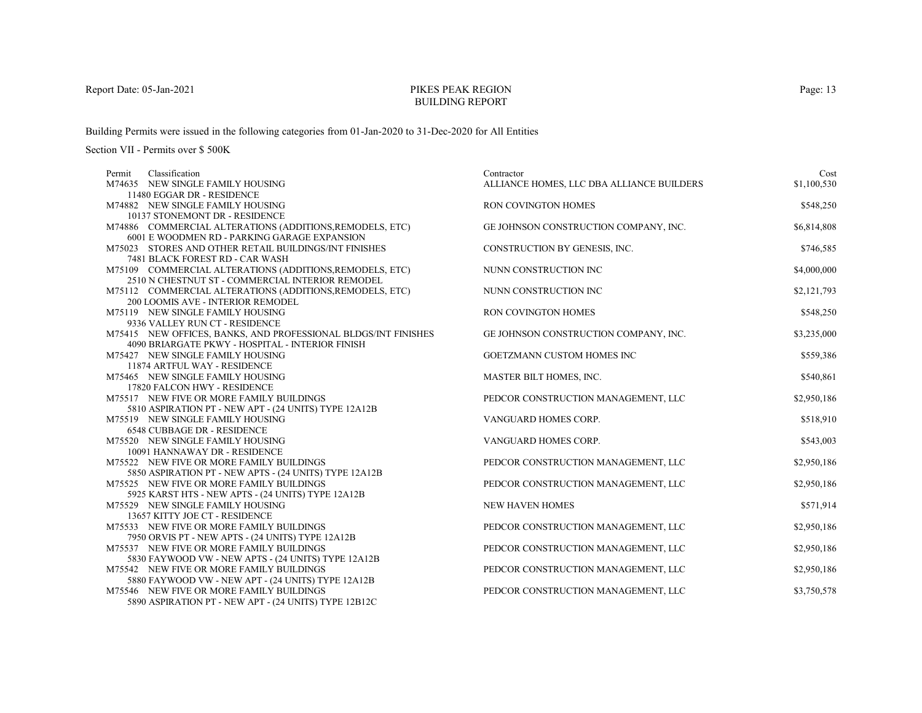# PIKES PEAK REGIONBUILDING REPORT

Building Permits were issued in the following categories from 01-Jan-2020 to 31-Dec-2020 for All Entities

| Classification<br>Permit                                         | Contractor                                | Cost        |
|------------------------------------------------------------------|-------------------------------------------|-------------|
| M74635 NEW SINGLE FAMILY HOUSING                                 | ALLIANCE HOMES, LLC DBA ALLIANCE BUILDERS | \$1,100,530 |
| 11480 EGGAR DR - RESIDENCE                                       |                                           |             |
| M74882 NEW SINGLE FAMILY HOUSING                                 | <b>RON COVINGTON HOMES</b>                | \$548,250   |
| 10137 STONEMONT DR - RESIDENCE                                   |                                           |             |
| M74886 COMMERCIAL ALTERATIONS (ADDITIONS, REMODELS, ETC)         | GE JOHNSON CONSTRUCTION COMPANY, INC.     | \$6,814,808 |
| 6001 E WOODMEN RD - PARKING GARAGE EXPANSION                     |                                           |             |
| M75023 STORES AND OTHER RETAIL BUILDINGS/INT FINISHES            | CONSTRUCTION BY GENESIS, INC.             | \$746,585   |
| 7481 BLACK FOREST RD - CAR WASH                                  |                                           |             |
| M75109 COMMERCIAL ALTERATIONS (ADDITIONS, REMODELS, ETC)         | NUNN CONSTRUCTION INC                     | \$4,000,000 |
| 2510 N CHESTNUT ST - COMMERCIAL INTERIOR REMODEL                 |                                           |             |
| M75112 COMMERCIAL ALTERATIONS (ADDITIONS, REMODELS, ETC)         | NUNN CONSTRUCTION INC                     | \$2,121,793 |
| 200 LOOMIS AVE - INTERIOR REMODEL                                |                                           |             |
| M75119 NEW SINGLE FAMILY HOUSING                                 | RON COVINGTON HOMES                       | \$548,250   |
| 9336 VALLEY RUN CT - RESIDENCE                                   |                                           |             |
| M75415 NEW OFFICES, BANKS, AND PROFESSIONAL BLDGS/INT FINISHES   | GE JOHNSON CONSTRUCTION COMPANY, INC.     | \$3,235,000 |
| 4090 BRIARGATE PKWY - HOSPITAL - INTERIOR FINISH                 |                                           |             |
| M75427 NEW SINGLE FAMILY HOUSING                                 | GOETZMANN CUSTOM HOMES INC                | \$559,386   |
| 11874 ARTFUL WAY - RESIDENCE                                     |                                           |             |
| M75465 NEW SINGLE FAMILY HOUSING<br>17820 FALCON HWY - RESIDENCE | MASTER BILT HOMES, INC.                   | \$540,861   |
| M75517 NEW FIVE OR MORE FAMILY BUILDINGS                         | PEDCOR CONSTRUCTION MANAGEMENT, LLC       | \$2,950,186 |
| 5810 ASPIRATION PT - NEW APT - (24 UNITS) TYPE 12A12B            |                                           |             |
| M75519 NEW SINGLE FAMILY HOUSING                                 | VANGUARD HOMES CORP.                      | \$518,910   |
| <b>6548 CUBBAGE DR - RESIDENCE</b>                               |                                           |             |
| M75520 NEW SINGLE FAMILY HOUSING                                 | VANGUARD HOMES CORP.                      | \$543,003   |
| 10091 HANNAWAY DR - RESIDENCE                                    |                                           |             |
| M75522 NEW FIVE OR MORE FAMILY BUILDINGS                         | PEDCOR CONSTRUCTION MANAGEMENT, LLC       | \$2,950,186 |
| 5850 ASPIRATION PT - NEW APTS - (24 UNITS) TYPE 12A12B           |                                           |             |
| M75525 NEW FIVE OR MORE FAMILY BUILDINGS                         | PEDCOR CONSTRUCTION MANAGEMENT, LLC       | \$2,950,186 |
| 5925 KARST HTS - NEW APTS - (24 UNITS) TYPE 12A12B               |                                           |             |
| M75529 NEW SINGLE FAMILY HOUSING                                 | <b>NEW HAVEN HOMES</b>                    | \$571,914   |
| 13657 KITTY JOE CT - RESIDENCE                                   |                                           |             |
| M75533 NEW FIVE OR MORE FAMILY BUILDINGS                         | PEDCOR CONSTRUCTION MANAGEMENT, LLC       | \$2,950,186 |
| 7950 ORVIS PT - NEW APTS - (24 UNITS) TYPE 12A12B                |                                           |             |
| M75537 NEW FIVE OR MORE FAMILY BUILDINGS                         | PEDCOR CONSTRUCTION MANAGEMENT, LLC       | \$2,950,186 |
| 5830 FAYWOOD VW - NEW APTS - (24 UNITS) TYPE 12A12B              |                                           |             |
| M75542 NEW FIVE OR MORE FAMILY BUILDINGS                         | PEDCOR CONSTRUCTION MANAGEMENT, LLC       | \$2,950,186 |
| 5880 FAYWOOD VW - NEW APT - (24 UNITS) TYPE 12A12B               |                                           |             |
| M75546 NEW FIVE OR MORE FAMILY BUILDINGS                         | PEDCOR CONSTRUCTION MANAGEMENT, LLC       | \$3,750,578 |
| 5890 ASPIRATION PT - NEW APT - (24 UNITS) TYPE 12B12C            |                                           |             |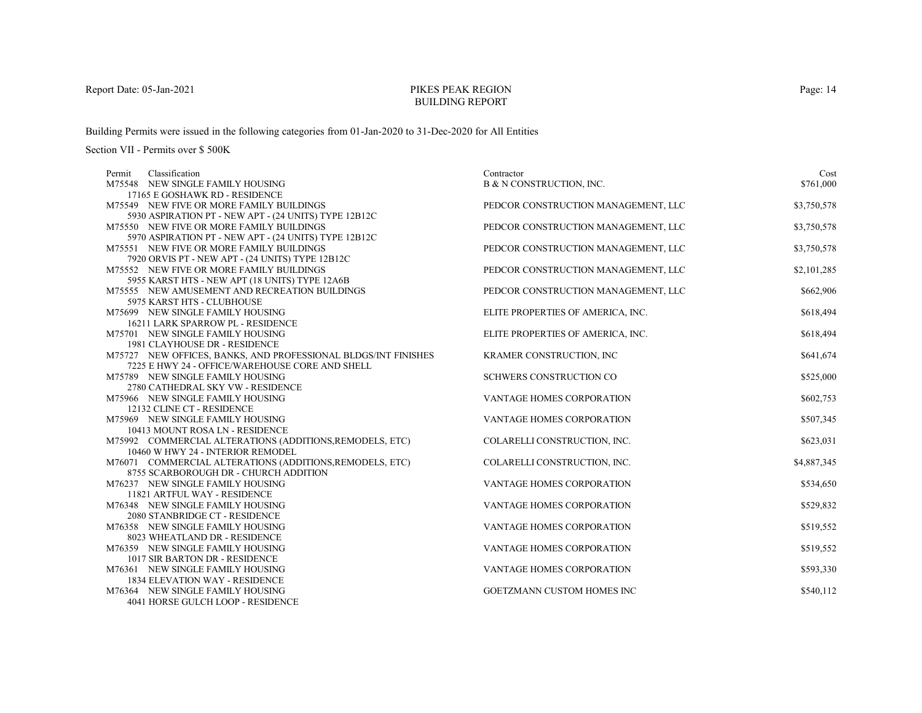# PIKES PEAK REGIONBUILDING REPORT

Building Permits were issued in the following categories from 01-Jan-2020 to 31-Dec-2020 for All Entities

| Classification<br>Permit                                                            | Contractor                          | Cost        |
|-------------------------------------------------------------------------------------|-------------------------------------|-------------|
| M75548 NEW SINGLE FAMILY HOUSING                                                    | B & N CONSTRUCTION, INC.            | \$761,000   |
| 17165 E GOSHAWK RD - RESIDENCE                                                      |                                     |             |
| M75549 NEW FIVE OR MORE FAMILY BUILDINGS                                            | PEDCOR CONSTRUCTION MANAGEMENT, LLC | \$3,750,578 |
| 5930 ASPIRATION PT - NEW APT - (24 UNITS) TYPE 12B12C                               |                                     |             |
| M75550 NEW FIVE OR MORE FAMILY BUILDINGS                                            | PEDCOR CONSTRUCTION MANAGEMENT, LLC | \$3,750,578 |
| 5970 ASPIRATION PT - NEW APT - (24 UNITS) TYPE 12B12C                               |                                     |             |
| M75551 NEW FIVE OR MORE FAMILY BUILDINGS                                            | PEDCOR CONSTRUCTION MANAGEMENT, LLC | \$3,750,578 |
| 7920 ORVIS PT - NEW APT - (24 UNITS) TYPE 12B12C                                    |                                     |             |
| M75552 NEW FIVE OR MORE FAMILY BUILDINGS                                            | PEDCOR CONSTRUCTION MANAGEMENT, LLC | \$2,101,285 |
| 5955 KARST HTS - NEW APT (18 UNITS) TYPE 12A6B                                      |                                     |             |
| M75555 NEW AMUSEMENT AND RECREATION BUILDINGS                                       | PEDCOR CONSTRUCTION MANAGEMENT, LLC | \$662,906   |
| 5975 KARST HTS - CLUBHOUSE                                                          |                                     |             |
| M75699 NEW SINGLE FAMILY HOUSING                                                    | ELITE PROPERTIES OF AMERICA, INC.   | \$618,494   |
| 16211 LARK SPARROW PL - RESIDENCE                                                   |                                     |             |
| M75701 NEW SINGLE FAMILY HOUSING                                                    | ELITE PROPERTIES OF AMERICA, INC.   | \$618,494   |
| <b>1981 CLAYHOUSE DR - RESIDENCE</b>                                                |                                     |             |
| M75727 NEW OFFICES, BANKS, AND PROFESSIONAL BLDGS/INT FINISHES                      | KRAMER CONSTRUCTION, INC            | \$641,674   |
| 7225 E HWY 24 - OFFICE/WAREHOUSE CORE AND SHELL<br>M75789 NEW SINGLE FAMILY HOUSING | SCHWERS CONSTRUCTION CO             | \$525,000   |
| 2780 CATHEDRAL SKY VW - RESIDENCE                                                   |                                     |             |
| M75966 NEW SINGLE FAMILY HOUSING                                                    | VANTAGE HOMES CORPORATION           | \$602,753   |
| 12132 CLINE CT - RESIDENCE                                                          |                                     |             |
| M75969 NEW SINGLE FAMILY HOUSING                                                    | VANTAGE HOMES CORPORATION           | \$507,345   |
| 10413 MOUNT ROSA LN - RESIDENCE                                                     |                                     |             |
| M75992 COMMERCIAL ALTERATIONS (ADDITIONS, REMODELS, ETC)                            | COLARELLI CONSTRUCTION, INC.        | \$623,031   |
| 10460 W HWY 24 - INTERIOR REMODEL                                                   |                                     |             |
| M76071 COMMERCIAL ALTERATIONS (ADDITIONS, REMODELS, ETC)                            | COLARELLI CONSTRUCTION, INC.        | \$4,887,345 |
| 8755 SCARBOROUGH DR - CHURCH ADDITION                                               |                                     |             |
| M76237 NEW SINGLE FAMILY HOUSING                                                    | VANTAGE HOMES CORPORATION           | \$534,650   |
| 11821 ARTFUL WAY - RESIDENCE                                                        |                                     |             |
| M76348 NEW SINGLE FAMILY HOUSING                                                    | <b>VANTAGE HOMES CORPORATION</b>    | \$529,832   |
| 2080 STANBRIDGE CT - RESIDENCE                                                      |                                     |             |
| M76358 NEW SINGLE FAMILY HOUSING                                                    | VANTAGE HOMES CORPORATION           | \$519,552   |
| 8023 WHEATLAND DR - RESIDENCE                                                       |                                     |             |
| M76359 NEW SINGLE FAMILY HOUSING                                                    | VANTAGE HOMES CORPORATION           | \$519,552   |
| 1017 SIR BARTON DR - RESIDENCE                                                      |                                     |             |
| M76361 NEW SINGLE FAMILY HOUSING                                                    | VANTAGE HOMES CORPORATION           | \$593,330   |
| <b>1834 ELEVATION WAY - RESIDENCE</b>                                               |                                     |             |
| M76364 NEW SINGLE FAMILY HOUSING                                                    | <b>GOETZMANN CUSTOM HOMES INC</b>   | \$540,112   |
| 4041 HORSE GULCH LOOP - RESIDENCE                                                   |                                     |             |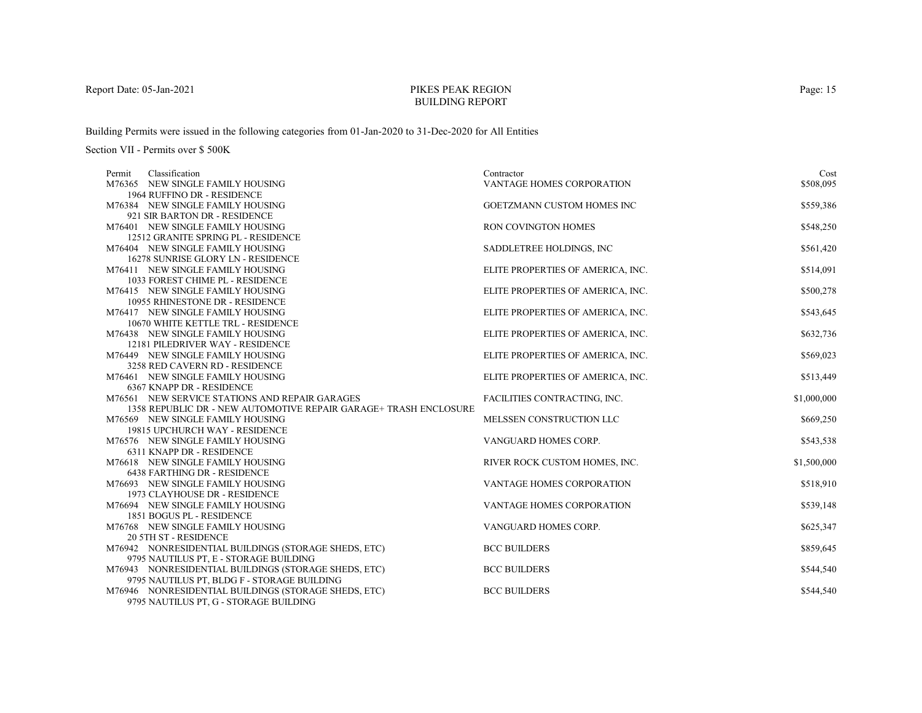# PIKES PEAK REGIONBUILDING REPORT

Building Permits were issued in the following categories from 01-Jan-2020 to 31-Dec-2020 for All Entities

| Classification<br>Permit                                         | Contractor                        | Cost        |
|------------------------------------------------------------------|-----------------------------------|-------------|
| M76365 NEW SINGLE FAMILY HOUSING                                 | VANTAGE HOMES CORPORATION         | \$508,095   |
| 1964 RUFFINO DR - RESIDENCE                                      |                                   |             |
| M76384 NEW SINGLE FAMILY HOUSING                                 | GOETZMANN CUSTOM HOMES INC        | \$559,386   |
| 921 SIR BARTON DR - RESIDENCE                                    |                                   |             |
| M76401 NEW SINGLE FAMILY HOUSING                                 | RON COVINGTON HOMES               | \$548,250   |
| 12512 GRANITE SPRING PL - RESIDENCE                              |                                   |             |
| M76404 NEW SINGLE FAMILY HOUSING                                 | SADDLETREE HOLDINGS, INC          | \$561,420   |
| 16278 SUNRISE GLORY LN - RESIDENCE                               |                                   |             |
| M76411 NEW SINGLE FAMILY HOUSING                                 | ELITE PROPERTIES OF AMERICA, INC. | \$514,091   |
| 1033 FOREST CHIME PL - RESIDENCE                                 |                                   |             |
| M76415 NEW SINGLE FAMILY HOUSING                                 | ELITE PROPERTIES OF AMERICA, INC. | \$500,278   |
| 10955 RHINESTONE DR - RESIDENCE                                  |                                   |             |
| M76417 NEW SINGLE FAMILY HOUSING                                 | ELITE PROPERTIES OF AMERICA, INC. | \$543,645   |
| 10670 WHITE KETTLE TRL - RESIDENCE                               |                                   |             |
| M76438 NEW SINGLE FAMILY HOUSING                                 | ELITE PROPERTIES OF AMERICA, INC. | \$632,736   |
| 12181 PILEDRIVER WAY - RESIDENCE                                 |                                   |             |
| M76449 NEW SINGLE FAMILY HOUSING                                 | ELITE PROPERTIES OF AMERICA, INC. | \$569,023   |
| 3258 RED CAVERN RD - RESIDENCE                                   |                                   |             |
| M76461 NEW SINGLE FAMILY HOUSING                                 | ELITE PROPERTIES OF AMERICA, INC. | \$513,449   |
| 6367 KNAPP DR - RESIDENCE                                        |                                   |             |
| M76561 NEW SERVICE STATIONS AND REPAIR GARAGES                   | FACILITIES CONTRACTING, INC.      | \$1,000,000 |
| 1358 REPUBLIC DR - NEW AUTOMOTIVE REPAIR GARAGE+ TRASH ENCLOSURE |                                   |             |
| M76569 NEW SINGLE FAMILY HOUSING                                 | MELSSEN CONSTRUCTION LLC          | \$669,250   |
| 19815 UPCHURCH WAY - RESIDENCE                                   |                                   |             |
| M76576 NEW SINGLE FAMILY HOUSING                                 | VANGUARD HOMES CORP.              | \$543,538   |
| 6311 KNAPP DR - RESIDENCE                                        |                                   |             |
| M76618 NEW SINGLE FAMILY HOUSING                                 | RIVER ROCK CUSTOM HOMES, INC.     | \$1,500,000 |
| <b>6438 FARTHING DR - RESIDENCE</b>                              |                                   |             |
| M76693 NEW SINGLE FAMILY HOUSING                                 | VANTAGE HOMES CORPORATION         | \$518,910   |
| 1973 CLAYHOUSE DR - RESIDENCE                                    |                                   |             |
| M76694 NEW SINGLE FAMILY HOUSING                                 | VANTAGE HOMES CORPORATION         | \$539,148   |
| 1851 BOGUS PL - RESIDENCE                                        |                                   |             |
| M76768 NEW SINGLE FAMILY HOUSING                                 | VANGUARD HOMES CORP.              | \$625,347   |
| <b>20 5TH ST - RESIDENCE</b>                                     |                                   |             |
| M76942 NONRESIDENTIAL BUILDINGS (STORAGE SHEDS, ETC)             | <b>BCC BUILDERS</b>               | \$859,645   |
| 9795 NAUTILUS PT, E - STORAGE BUILDING                           |                                   |             |
| M76943 NONRESIDENTIAL BUILDINGS (STORAGE SHEDS, ETC)             | <b>BCC BUILDERS</b>               | \$544,540   |
| 9795 NAUTILUS PT, BLDG F - STORAGE BUILDING                      |                                   |             |
| M76946 NONRESIDENTIAL BUILDINGS (STORAGE SHEDS, ETC)             | <b>BCC BUILDERS</b>               | \$544,540   |
| 9795 NAUTILUS PT. G - STORAGE BUILDING                           |                                   |             |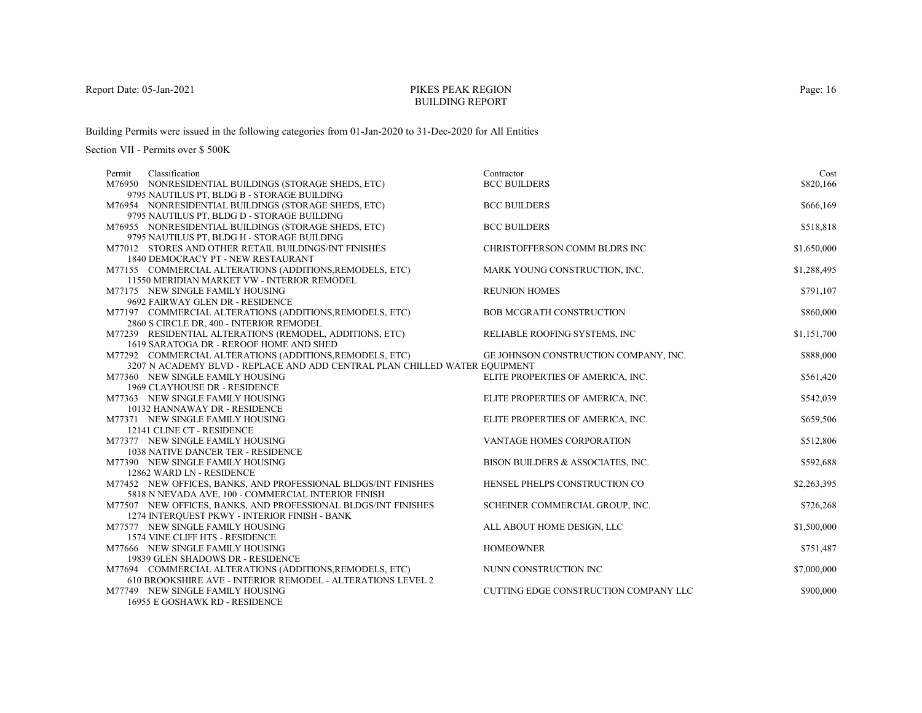# PIKES PEAK REGIONBUILDING REPORT

Building Permits were issued in the following categories from 01-Jan-2020 to 31-Dec-2020 for All Entities

| Classification<br>Permit                                                   | Contractor                            | Cost        |
|----------------------------------------------------------------------------|---------------------------------------|-------------|
| M76950 NONRESIDENTIAL BUILDINGS (STORAGE SHEDS, ETC)                       | <b>BCC BUILDERS</b>                   | \$820,166   |
| 9795 NAUTILUS PT, BLDG B - STORAGE BUILDING                                |                                       |             |
| M76954 NONRESIDENTIAL BUILDINGS (STORAGE SHEDS, ETC)                       | <b>BCC BUILDERS</b>                   | \$666,169   |
| 9795 NAUTILUS PT, BLDG D - STORAGE BUILDING                                |                                       |             |
| M76955 NONRESIDENTIAL BUILDINGS (STORAGE SHEDS, ETC)                       | <b>BCC BUILDERS</b>                   | \$518,818   |
| 9795 NAUTILUS PT, BLDG H - STORAGE BUILDING                                |                                       |             |
| M77012 STORES AND OTHER RETAIL BUILDINGS/INT FINISHES                      | CHRISTOFFERSON COMM BLDRS INC         | \$1,650,000 |
| 1840 DEMOCRACY PT - NEW RESTAURANT                                         |                                       |             |
| M77155 COMMERCIAL ALTERATIONS (ADDITIONS, REMODELS, ETC)                   | MARK YOUNG CONSTRUCTION, INC.         | \$1,288,495 |
| 11550 MERIDIAN MARKET VW - INTERIOR REMODEL                                |                                       |             |
| M77175 NEW SINGLE FAMILY HOUSING                                           | <b>REUNION HOMES</b>                  | \$791,107   |
| 9692 FAIRWAY GLEN DR - RESIDENCE                                           |                                       |             |
| M77197 COMMERCIAL ALTERATIONS (ADDITIONS, REMODELS, ETC)                   | <b>BOB MCGRATH CONSTRUCTION</b>       | \$860,000   |
| 2860 S CIRCLE DR, 400 - INTERIOR REMODEL                                   |                                       |             |
| M77239 RESIDENTIAL ALTERATIONS (REMODEL, ADDITIONS, ETC)                   | RELIABLE ROOFING SYSTEMS, INC         | \$1,151,700 |
| 1619 SARATOGA DR - REROOF HOME AND SHED                                    |                                       |             |
| M77292 COMMERCIAL ALTERATIONS (ADDITIONS, REMODELS, ETC)                   | GE JOHNSON CONSTRUCTION COMPANY, INC. | \$888,000   |
| 3207 N ACADEMY BLVD - REPLACE AND ADD CENTRAL PLAN CHILLED WATER EQUIPMENT |                                       |             |
| M77360 NEW SINGLE FAMILY HOUSING                                           | ELITE PROPERTIES OF AMERICA, INC.     | \$561,420   |
| 1969 CLAYHOUSE DR - RESIDENCE                                              |                                       |             |
| M77363 NEW SINGLE FAMILY HOUSING                                           | ELITE PROPERTIES OF AMERICA, INC.     | \$542,039   |
| 10132 HANNAWAY DR - RESIDENCE                                              |                                       | \$659,506   |
| M77371 NEW SINGLE FAMILY HOUSING<br>12141 CLINE CT - RESIDENCE             | ELITE PROPERTIES OF AMERICA, INC.     |             |
| M77377 NEW SINGLE FAMILY HOUSING                                           | VANTAGE HOMES CORPORATION             | \$512,806   |
| <b>1038 NATIVE DANCER TER - RESIDENCE</b>                                  |                                       |             |
| M77390 NEW SINGLE FAMILY HOUSING                                           | BISON BUILDERS & ASSOCIATES, INC.     | \$592,688   |
| 12862 WARD LN - RESIDENCE                                                  |                                       |             |
| M77452 NEW OFFICES, BANKS, AND PROFESSIONAL BLDGS/INT FINISHES             | HENSEL PHELPS CONSTRUCTION CO         | \$2,263,395 |
| 5818 N NEVADA AVE, 100 - COMMERCIAL INTERIOR FINISH                        |                                       |             |
| M77507 NEW OFFICES, BANKS, AND PROFESSIONAL BLDGS/INT FINISHES             | SCHEINER COMMERCIAL GROUP, INC.       | \$726,268   |
| 1274 INTERQUEST PKWY - INTERIOR FINISH - BANK                              |                                       |             |
| M77577 NEW SINGLE FAMILY HOUSING                                           | ALL ABOUT HOME DESIGN, LLC            | \$1,500,000 |
| 1574 VINE CLIFF HTS - RESIDENCE                                            |                                       |             |
| M77666 NEW SINGLE FAMILY HOUSING                                           | <b>HOMEOWNER</b>                      | \$751,487   |
| 19839 GLEN SHADOWS DR - RESIDENCE                                          |                                       |             |
| M77694 COMMERCIAL ALTERATIONS (ADDITIONS, REMODELS, ETC)                   | NUNN CONSTRUCTION INC                 | \$7,000,000 |
| 610 BROOKSHIRE AVE - INTERIOR REMODEL - ALTERATIONS LEVEL 2                |                                       |             |
| M77749 NEW SINGLE FAMILY HOUSING                                           | CUTTING EDGE CONSTRUCTION COMPANY LLC | \$900,000   |
| 16955 E GOSHAWK RD - RESIDENCE                                             |                                       |             |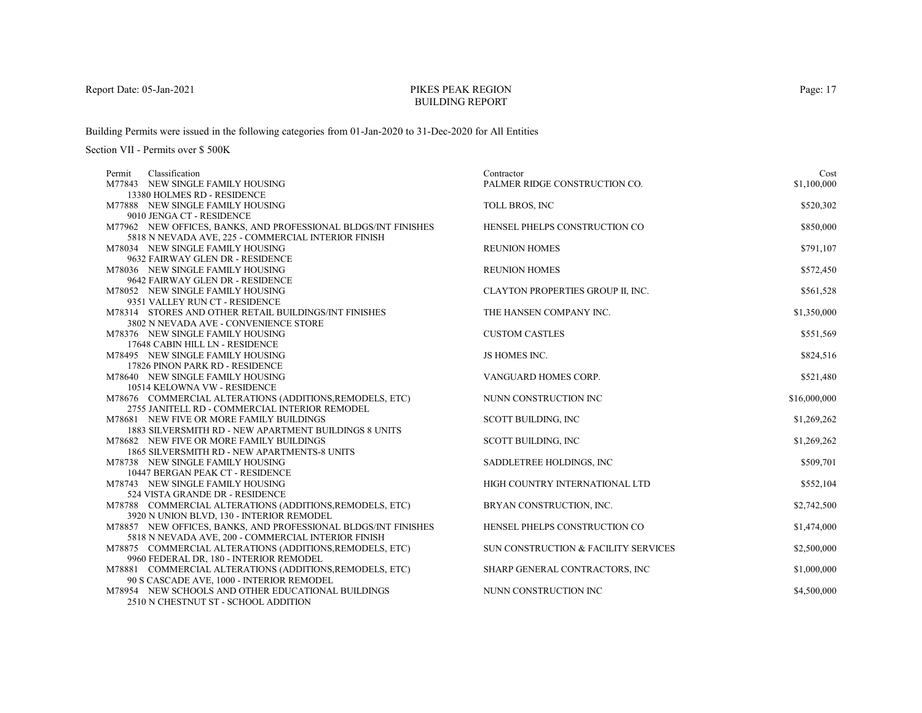# PIKES PEAK REGIONBUILDING REPORT

Building Permits were issued in the following categories from 01-Jan-2020 to 31-Dec-2020 for All Entities

| Classification<br>Permit                                                                          | Contractor                           | Cost         |
|---------------------------------------------------------------------------------------------------|--------------------------------------|--------------|
| M77843 NEW SINGLE FAMILY HOUSING                                                                  | PALMER RIDGE CONSTRUCTION CO.        | \$1,100,000  |
| 13380 HOLMES RD - RESIDENCE                                                                       |                                      |              |
| M77888 NEW SINGLE FAMILY HOUSING                                                                  | TOLL BROS, INC                       | \$520,302    |
| 9010 JENGA CT - RESIDENCE                                                                         |                                      |              |
| M77962 NEW OFFICES, BANKS, AND PROFESSIONAL BLDGS/INT FINISHES                                    | HENSEL PHELPS CONSTRUCTION CO        | \$850,000    |
| 5818 N NEVADA AVE, 225 - COMMERCIAL INTERIOR FINISH                                               |                                      |              |
| M78034 NEW SINGLE FAMILY HOUSING                                                                  | <b>REUNION HOMES</b>                 | \$791,107    |
| 9632 FAIRWAY GLEN DR - RESIDENCE                                                                  |                                      |              |
| M78036 NEW SINGLE FAMILY HOUSING                                                                  | <b>REUNION HOMES</b>                 | \$572,450    |
| 9642 FAIRWAY GLEN DR - RESIDENCE                                                                  |                                      |              |
| M78052 NEW SINGLE FAMILY HOUSING                                                                  | CLAYTON PROPERTIES GROUP II, INC.    | \$561,528    |
| 9351 VALLEY RUN CT - RESIDENCE                                                                    |                                      |              |
| M78314 STORES AND OTHER RETAIL BUILDINGS/INT FINISHES                                             | THE HANSEN COMPANY INC.              | \$1,350,000  |
| 3802 N NEVADA AVE - CONVENIENCE STORE                                                             |                                      |              |
| M78376 NEW SINGLE FAMILY HOUSING                                                                  | <b>CUSTOM CASTLES</b>                | \$551,569    |
| 17648 CABIN HILL LN - RESIDENCE                                                                   |                                      |              |
| M78495 NEW SINGLE FAMILY HOUSING                                                                  | JS HOMES INC.                        | \$824,516    |
| 17826 PINON PARK RD - RESIDENCE                                                                   |                                      |              |
| M78640 NEW SINGLE FAMILY HOUSING                                                                  | VANGUARD HOMES CORP.                 | \$521,480    |
| 10514 KELOWNA VW - RESIDENCE                                                                      |                                      |              |
| M78676 COMMERCIAL ALTERATIONS (ADDITIONS, REMODELS, ETC)                                          | NUNN CONSTRUCTION INC                | \$16,000,000 |
| 2755 JANITELL RD - COMMERCIAL INTERIOR REMODEL                                                    |                                      |              |
| M78681 NEW FIVE OR MORE FAMILY BUILDINGS<br>1883 SILVERSMITH RD - NEW APARTMENT BUILDINGS 8 UNITS | <b>SCOTT BUILDING, INC</b>           | \$1,269,262  |
| M78682 NEW FIVE OR MORE FAMILY BUILDINGS                                                          |                                      | \$1,269,262  |
| 1865 SILVERSMITH RD - NEW APARTMENTS-8 UNITS                                                      | <b>SCOTT BUILDING, INC</b>           |              |
| M78738 NEW SINGLE FAMILY HOUSING                                                                  | SADDLETREE HOLDINGS, INC             | \$509,701    |
| 10447 BERGAN PEAK CT - RESIDENCE                                                                  |                                      |              |
| M78743 NEW SINGLE FAMILY HOUSING                                                                  | HIGH COUNTRY INTERNATIONAL LTD       | \$552,104    |
| 524 VISTA GRANDE DR - RESIDENCE                                                                   |                                      |              |
| M78788 COMMERCIAL ALTERATIONS (ADDITIONS, REMODELS, ETC)                                          | BRYAN CONSTRUCTION, INC.             | \$2,742,500  |
| 3920 N UNION BLVD, 130 - INTERIOR REMODEL                                                         |                                      |              |
| M78857 NEW OFFICES, BANKS, AND PROFESSIONAL BLDGS/INT FINISHES                                    | HENSEL PHELPS CONSTRUCTION CO        | \$1,474,000  |
| 5818 N NEVADA AVE, 200 - COMMERCIAL INTERIOR FINISH                                               |                                      |              |
| M78875 COMMERCIAL ALTERATIONS (ADDITIONS, REMODELS, ETC)                                          | SUN CONSTRUCTION & FACILITY SERVICES | \$2,500,000  |
| 9960 FEDERAL DR, 180 - INTERIOR REMODEL                                                           |                                      |              |
| M78881 COMMERCIAL ALTERATIONS (ADDITIONS, REMODELS, ETC)                                          | SHARP GENERAL CONTRACTORS, INC       | \$1,000,000  |
| 90 S CASCADE AVE, 1000 - INTERIOR REMODEL                                                         |                                      |              |
| M78954 NEW SCHOOLS AND OTHER EDUCATIONAL BUILDINGS                                                | NUNN CONSTRUCTION INC                | \$4,500,000  |
| 2510 N CHESTNUT ST - SCHOOL ADDITION                                                              |                                      |              |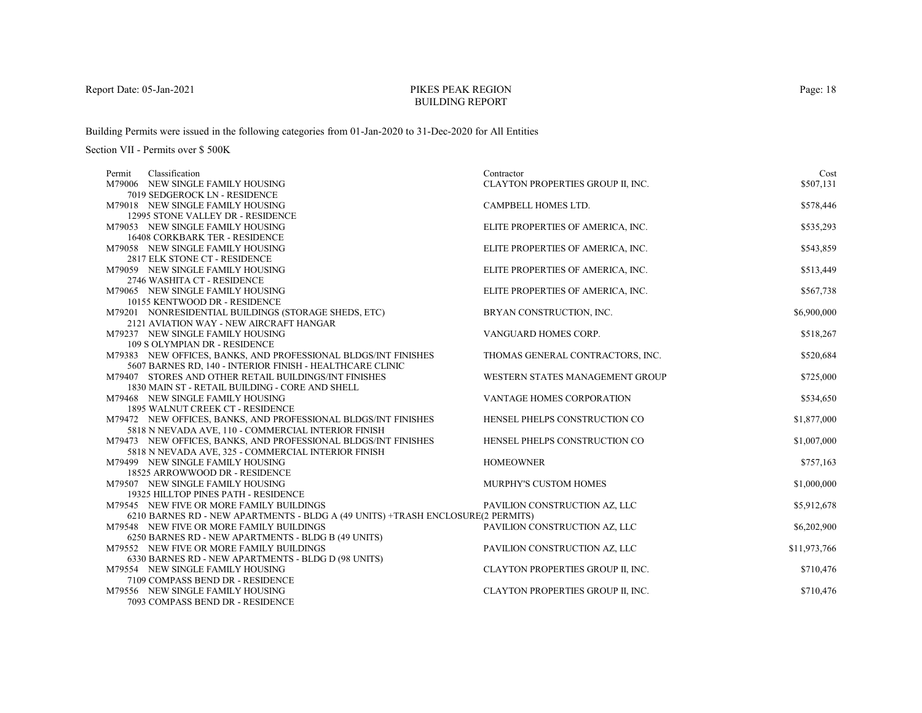# PIKES PEAK REGIONBUILDING REPORT

Building Permits were issued in the following categories from 01-Jan-2020 to 31-Dec-2020 for All Entities

| Classification<br>Permit                                                                                              | Contractor                        | Cost         |
|-----------------------------------------------------------------------------------------------------------------------|-----------------------------------|--------------|
| M79006 NEW SINGLE FAMILY HOUSING                                                                                      | CLAYTON PROPERTIES GROUP II, INC. | \$507,131    |
| 7019 SEDGEROCK LN - RESIDENCE                                                                                         |                                   |              |
| M79018 NEW SINGLE FAMILY HOUSING                                                                                      | CAMPBELL HOMES LTD.               | \$578,446    |
| 12995 STONE VALLEY DR - RESIDENCE                                                                                     |                                   |              |
| M79053 NEW SINGLE FAMILY HOUSING                                                                                      | ELITE PROPERTIES OF AMERICA, INC. | \$535,293    |
| <b>16408 CORKBARK TER - RESIDENCE</b>                                                                                 |                                   |              |
| M79058 NEW SINGLE FAMILY HOUSING                                                                                      | ELITE PROPERTIES OF AMERICA, INC. | \$543,859    |
| 2817 ELK STONE CT - RESIDENCE                                                                                         |                                   |              |
| M79059 NEW SINGLE FAMILY HOUSING                                                                                      | ELITE PROPERTIES OF AMERICA, INC. | \$513,449    |
| 2746 WASHITA CT - RESIDENCE                                                                                           |                                   |              |
| M79065 NEW SINGLE FAMILY HOUSING                                                                                      | ELITE PROPERTIES OF AMERICA, INC. | \$567,738    |
| 10155 KENTWOOD DR - RESIDENCE                                                                                         |                                   |              |
| M79201 NONRESIDENTIAL BUILDINGS (STORAGE SHEDS, ETC)                                                                  | BRYAN CONSTRUCTION, INC.          | \$6,900,000  |
| 2121 AVIATION WAY - NEW AIRCRAFT HANGAR                                                                               |                                   |              |
| M79237 NEW SINGLE FAMILY HOUSING                                                                                      | VANGUARD HOMES CORP.              | \$518,267    |
| 109 S OLYMPIAN DR - RESIDENCE                                                                                         |                                   |              |
| M79383 NEW OFFICES, BANKS, AND PROFESSIONAL BLDGS/INT FINISHES                                                        | THOMAS GENERAL CONTRACTORS, INC.  | \$520,684    |
| 5607 BARNES RD. 140 - INTERIOR FINISH - HEALTHCARE CLINIC                                                             |                                   |              |
| M79407 STORES AND OTHER RETAIL BUILDINGS/INT FINISHES                                                                 | WESTERN STATES MANAGEMENT GROUP   | \$725,000    |
| 1830 MAIN ST - RETAIL BUILDING - CORE AND SHELL                                                                       |                                   |              |
| M79468 NEW SINGLE FAMILY HOUSING                                                                                      | VANTAGE HOMES CORPORATION         | \$534,650    |
| 1895 WALNUT CREEK CT - RESIDENCE                                                                                      |                                   |              |
| M79472 NEW OFFICES, BANKS, AND PROFESSIONAL BLDGS/INT FINISHES                                                        | HENSEL PHELPS CONSTRUCTION CO     | \$1,877,000  |
| 5818 N NEVADA AVE, 110 - COMMERCIAL INTERIOR FINISH                                                                   | HENSEL PHELPS CONSTRUCTION CO     |              |
| M79473 NEW OFFICES, BANKS, AND PROFESSIONAL BLDGS/INT FINISHES<br>5818 N NEVADA AVE, 325 - COMMERCIAL INTERIOR FINISH |                                   | \$1,007,000  |
| M79499 NEW SINGLE FAMILY HOUSING                                                                                      | <b>HOMEOWNER</b>                  | \$757,163    |
| 18525 ARROWWOOD DR - RESIDENCE                                                                                        |                                   |              |
| M79507 NEW SINGLE FAMILY HOUSING                                                                                      | MURPHY'S CUSTOM HOMES             | \$1,000,000  |
| 19325 HILLTOP PINES PATH - RESIDENCE                                                                                  |                                   |              |
| M79545 NEW FIVE OR MORE FAMILY BUILDINGS                                                                              | PAVILION CONSTRUCTION AZ, LLC     | \$5,912,678  |
| 6210 BARNES RD - NEW APARTMENTS - BLDG A (49 UNITS) +TRASH ENCLOSURE(2 PERMITS)                                       |                                   |              |
| M79548 NEW FIVE OR MORE FAMILY BUILDINGS                                                                              | PAVILION CONSTRUCTION AZ, LLC     | \$6,202,900  |
| 6250 BARNES RD - NEW APARTMENTS - BLDG B (49 UNITS)                                                                   |                                   |              |
| M79552 NEW FIVE OR MORE FAMILY BUILDINGS                                                                              | PAVILION CONSTRUCTION AZ, LLC     | \$11,973,766 |
| 6330 BARNES RD - NEW APARTMENTS - BLDG D (98 UNITS)                                                                   |                                   |              |
| M79554 NEW SINGLE FAMILY HOUSING                                                                                      | CLAYTON PROPERTIES GROUP II, INC. | \$710,476    |
| 7109 COMPASS BEND DR - RESIDENCE                                                                                      |                                   |              |
| M79556 NEW SINGLE FAMILY HOUSING                                                                                      | CLAYTON PROPERTIES GROUP II, INC. | \$710,476    |
| 7093 COMPASS BEND DR - RESIDENCE                                                                                      |                                   |              |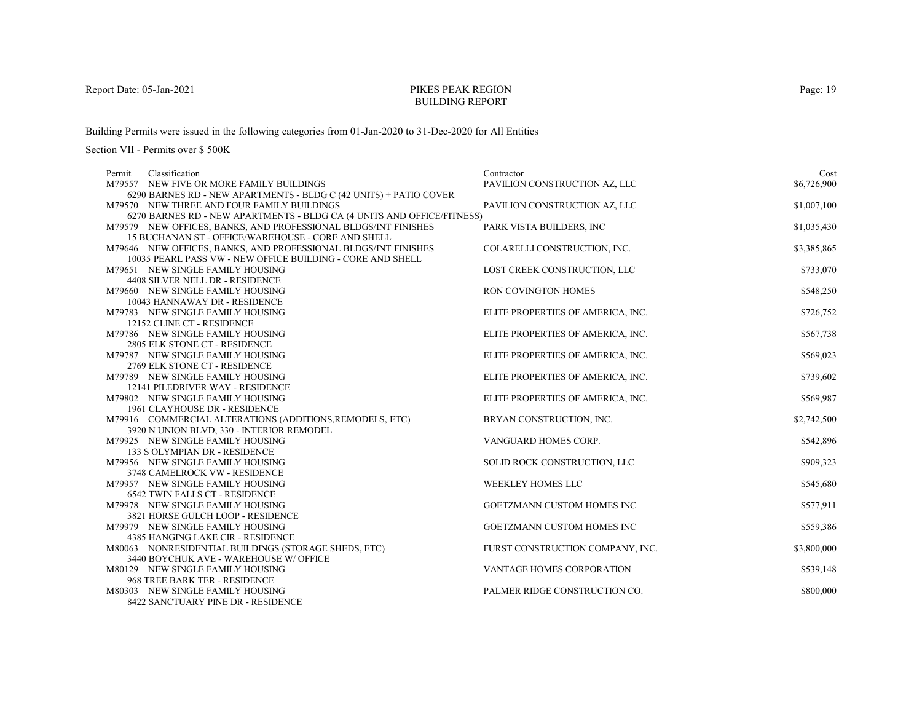# PIKES PEAK REGIONBUILDING REPORT

Building Permits were issued in the following categories from 01-Jan-2020 to 31-Dec-2020 for All Entities

Section VII - Permits over \$ 500K

| Classification<br>Permit                                                      | Contractor                        | Cost        |
|-------------------------------------------------------------------------------|-----------------------------------|-------------|
| M79557 NEW FIVE OR MORE FAMILY BUILDINGS                                      | PAVILION CONSTRUCTION AZ, LLC     | \$6,726,900 |
| 6290 BARNES RD - NEW APARTMENTS - BLDG C (42 UNITS) + PATIO COVER             |                                   |             |
| M79570 NEW THREE AND FOUR FAMILY BUILDINGS                                    | PAVILION CONSTRUCTION AZ, LLC     | \$1,007,100 |
| 6270 BARNES RD - NEW APARTMENTS - BLDG CA (4 UNITS AND OFFICE/FITNESS)        |                                   |             |
| M79579 NEW OFFICES, BANKS, AND PROFESSIONAL BLDGS/INT FINISHES                | PARK VISTA BUILDERS, INC          | \$1,035,430 |
| 15 BUCHANAN ST - OFFICE/WAREHOUSE - CORE AND SHELL                            |                                   |             |
| M79646 NEW OFFICES, BANKS, AND PROFESSIONAL BLDGS/INT FINISHES                | COLARELLI CONSTRUCTION, INC.      | \$3,385,865 |
| 10035 PEARL PASS VW - NEW OFFICE BUILDING - CORE AND SHELL                    |                                   |             |
| M79651 NEW SINGLE FAMILY HOUSING                                              | LOST CREEK CONSTRUCTION, LLC      | \$733,070   |
| 4408 SILVER NELL DR - RESIDENCE                                               |                                   |             |
| M79660 NEW SINGLE FAMILY HOUSING                                              | RON COVINGTON HOMES               | \$548,250   |
| 10043 HANNAWAY DR - RESIDENCE                                                 |                                   |             |
| M79783 NEW SINGLE FAMILY HOUSING                                              | ELITE PROPERTIES OF AMERICA, INC. | \$726,752   |
| 12152 CLINE CT - RESIDENCE                                                    |                                   |             |
| M79786 NEW SINGLE FAMILY HOUSING                                              | ELITE PROPERTIES OF AMERICA, INC. | \$567,738   |
| 2805 ELK STONE CT - RESIDENCE                                                 |                                   |             |
| M79787 NEW SINGLE FAMILY HOUSING                                              | ELITE PROPERTIES OF AMERICA, INC. | \$569,023   |
| 2769 ELK STONE CT - RESIDENCE                                                 |                                   |             |
| M79789 NEW SINGLE FAMILY HOUSING                                              | ELITE PROPERTIES OF AMERICA, INC. | \$739,602   |
| 12141 PILEDRIVER WAY - RESIDENCE                                              |                                   |             |
| M79802 NEW SINGLE FAMILY HOUSING                                              | ELITE PROPERTIES OF AMERICA, INC. | \$569,987   |
| 1961 CLAYHOUSE DR - RESIDENCE                                                 |                                   |             |
| M79916 COMMERCIAL ALTERATIONS (ADDITIONS, REMODELS, ETC)                      | BRYAN CONSTRUCTION, INC.          | \$2,742,500 |
| 3920 N UNION BLVD, 330 - INTERIOR REMODEL<br>M79925 NEW SINGLE FAMILY HOUSING |                                   | \$542,896   |
| 133 S OLYMPIAN DR - RESIDENCE                                                 | VANGUARD HOMES CORP.              |             |
| M79956 NEW SINGLE FAMILY HOUSING                                              | SOLID ROCK CONSTRUCTION, LLC      | \$909,323   |
| 3748 CAMELROCK VW - RESIDENCE                                                 |                                   |             |
| M79957 NEW SINGLE FAMILY HOUSING                                              | <b>WEEKLEY HOMES LLC</b>          | \$545,680   |
| <b>6542 TWIN FALLS CT - RESIDENCE</b>                                         |                                   |             |
| M79978 NEW SINGLE FAMILY HOUSING                                              | GOETZMANN CUSTOM HOMES INC        | \$577,911   |
| 3821 HORSE GULCH LOOP - RESIDENCE                                             |                                   |             |
| M79979 NEW SINGLE FAMILY HOUSING                                              | GOETZMANN CUSTOM HOMES INC        | \$559,386   |
| 4385 HANGING LAKE CIR - RESIDENCE                                             |                                   |             |
| M80063 NONRESIDENTIAL BUILDINGS (STORAGE SHEDS, ETC)                          | FURST CONSTRUCTION COMPANY, INC.  | \$3,800,000 |
| 3440 BOYCHUK AVE - WAREHOUSE W/ OFFICE                                        |                                   |             |
| M80129 NEW SINGLE FAMILY HOUSING                                              | VANTAGE HOMES CORPORATION         | \$539,148   |
| 968 TREE BARK TER - RESIDENCE                                                 |                                   |             |
| M80303 NEW SINGLE FAMILY HOUSING                                              | PALMER RIDGE CONSTRUCTION CO.     | \$800,000   |
| 8422 SANCTUARY PINE DR - RESIDENCE                                            |                                   |             |

Page: 19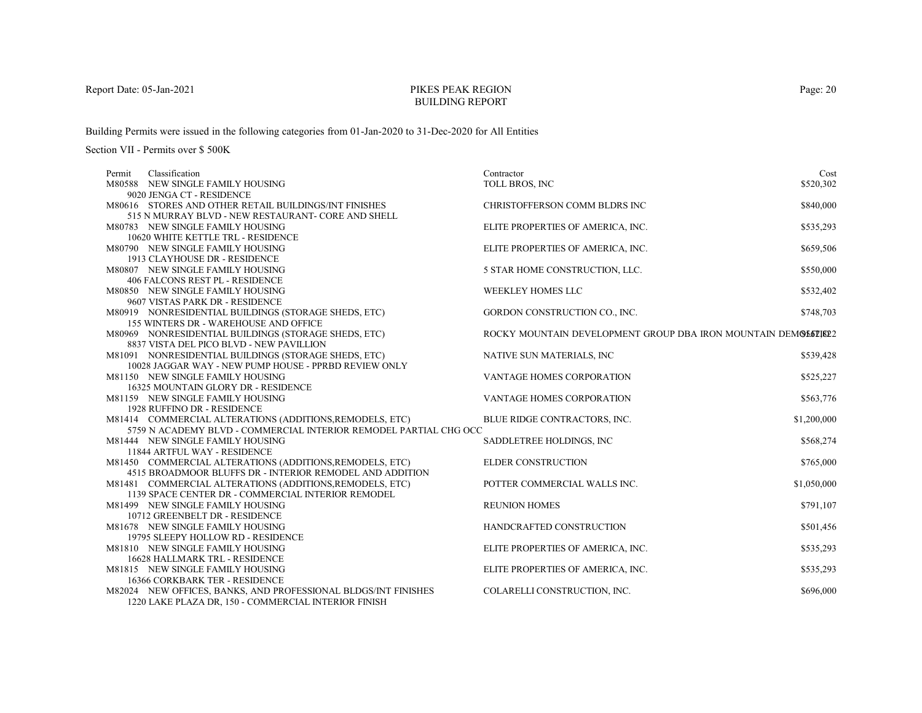# PIKES PEAK REGIONBUILDING REPORT

Building Permits were issued in the following categories from 01-Jan-2020 to 31-Dec-2020 for All Entities

| Classification<br>Permit                                          | Contractor                                                    | Cost        |
|-------------------------------------------------------------------|---------------------------------------------------------------|-------------|
| M80588 NEW SINGLE FAMILY HOUSING                                  | TOLL BROS, INC                                                | \$520,302   |
| 9020 JENGA CT - RESIDENCE                                         |                                                               |             |
| M80616 STORES AND OTHER RETAIL BUILDINGS/INT FINISHES             | CHRISTOFFERSON COMM BLDRS INC                                 | \$840,000   |
| 515 N MURRAY BLVD - NEW RESTAURANT- CORE AND SHELL                |                                                               |             |
| M80783 NEW SINGLE FAMILY HOUSING                                  | ELITE PROPERTIES OF AMERICA, INC.                             | \$535,293   |
| 10620 WHITE KETTLE TRL - RESIDENCE                                |                                                               |             |
| M80790 NEW SINGLE FAMILY HOUSING                                  | ELITE PROPERTIES OF AMERICA, INC.                             | \$659,506   |
| 1913 CLAYHOUSE DR - RESIDENCE                                     |                                                               |             |
| M80807 NEW SINGLE FAMILY HOUSING                                  | 5 STAR HOME CONSTRUCTION, LLC.                                | \$550,000   |
| 406 FALCONS REST PL - RESIDENCE                                   |                                                               |             |
| M80850 NEW SINGLE FAMILY HOUSING                                  | WEEKLEY HOMES LLC                                             | \$532,402   |
| 9607 VISTAS PARK DR - RESIDENCE                                   |                                                               |             |
| M80919 NONRESIDENTIAL BUILDINGS (STORAGE SHEDS, ETC)              | GORDON CONSTRUCTION CO., INC.                                 | \$748,703   |
| 155 WINTERS DR - WAREHOUSE AND OFFICE                             |                                                               |             |
| M80969 NONRESIDENTIAL BUILDINGS (STORAGE SHEDS, ETC)              | ROCKY MOUNTAIN DEVELOPMENT GROUP DBA IRON MOUNTAIN DEMOLOLISE |             |
| 8837 VISTA DEL PICO BLVD - NEW PAVILLION                          |                                                               |             |
| M81091 NONRESIDENTIAL BUILDINGS (STORAGE SHEDS, ETC)              | NATIVE SUN MATERIALS, INC                                     | \$539,428   |
| 10028 JAGGAR WAY - NEW PUMP HOUSE - PPRBD REVIEW ONLY             |                                                               |             |
| M81150 NEW SINGLE FAMILY HOUSING                                  | VANTAGE HOMES CORPORATION                                     | \$525,227   |
| 16325 MOUNTAIN GLORY DR - RESIDENCE                               |                                                               |             |
| M81159 NEW SINGLE FAMILY HOUSING                                  | <b>VANTAGE HOMES CORPORATION</b>                              | \$563,776   |
| 1928 RUFFINO DR - RESIDENCE                                       |                                                               |             |
| M81414 COMMERCIAL ALTERATIONS (ADDITIONS, REMODELS, ETC)          | BLUE RIDGE CONTRACTORS, INC.                                  | \$1,200,000 |
| 5759 N ACADEMY BLVD - COMMERCIAL INTERIOR REMODEL PARTIAL CHG OCC |                                                               |             |
| M81444 NEW SINGLE FAMILY HOUSING                                  | SADDLETREE HOLDINGS, INC                                      | \$568,274   |
| 11844 ARTFUL WAY - RESIDENCE                                      |                                                               |             |
| M81450 COMMERCIAL ALTERATIONS (ADDITIONS, REMODELS, ETC)          | ELDER CONSTRUCTION                                            | \$765,000   |
| 4515 BROADMOOR BLUFFS DR - INTERIOR REMODEL AND ADDITION          |                                                               |             |
| M81481 COMMERCIAL ALTERATIONS (ADDITIONS, REMODELS, ETC)          | POTTER COMMERCIAL WALLS INC.                                  | \$1,050,000 |
| 1139 SPACE CENTER DR - COMMERCIAL INTERIOR REMODEL                |                                                               |             |
| M81499 NEW SINGLE FAMILY HOUSING                                  | <b>REUNION HOMES</b>                                          | \$791,107   |
| 10712 GREENBELT DR - RESIDENCE                                    |                                                               |             |
| M81678 NEW SINGLE FAMILY HOUSING                                  | HANDCRAFTED CONSTRUCTION                                      | \$501,456   |
| 19795 SLEEPY HOLLOW RD - RESIDENCE                                |                                                               |             |
| M81810 NEW SINGLE FAMILY HOUSING                                  | ELITE PROPERTIES OF AMERICA, INC.                             | \$535,293   |
| <b>16628 HALLMARK TRL - RESIDENCE</b>                             |                                                               |             |
| M81815 NEW SINGLE FAMILY HOUSING                                  | ELITE PROPERTIES OF AMERICA, INC.                             | \$535,293   |
| 16366 CORKBARK TER - RESIDENCE                                    |                                                               |             |
| M82024 NEW OFFICES, BANKS, AND PROFESSIONAL BLDGS/INT FINISHES    | COLARELLI CONSTRUCTION, INC.                                  | \$696,000   |
| 1220 LAKE PLAZA DR, 150 - COMMERCIAL INTERIOR FINISH              |                                                               |             |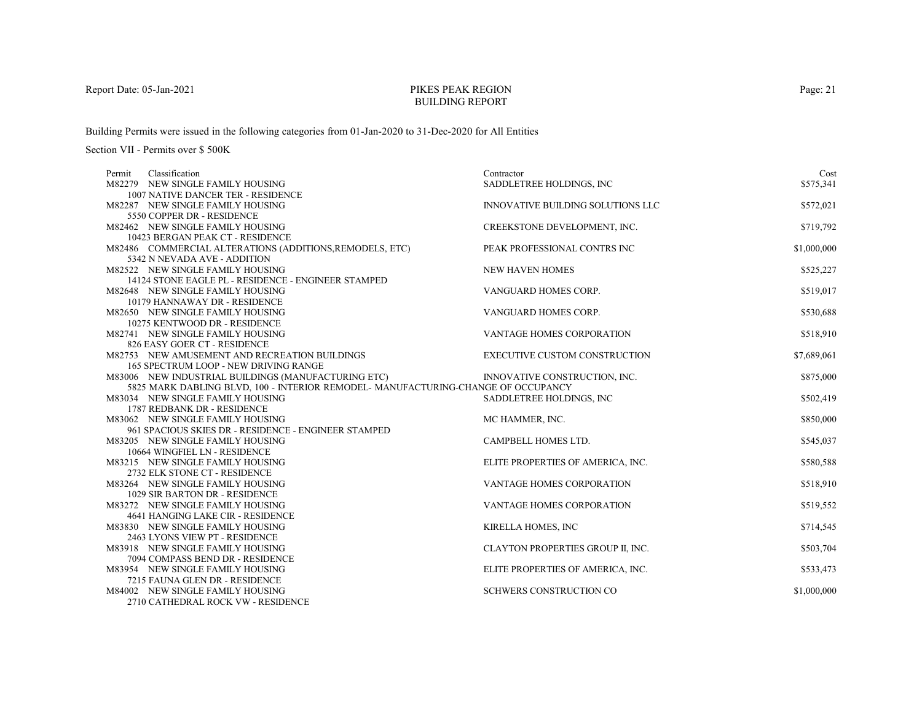# PIKES PEAK REGIONBUILDING REPORT

Building Permits were issued in the following categories from 01-Jan-2020 to 31-Dec-2020 for All Entities

| Classification<br>Permit                                                                                                                 | Contractor                           | Cost        |
|------------------------------------------------------------------------------------------------------------------------------------------|--------------------------------------|-------------|
| M82279 NEW SINGLE FAMILY HOUSING                                                                                                         | SADDLETREE HOLDINGS, INC             | \$575,341   |
| 1007 NATIVE DANCER TER - RESIDENCE                                                                                                       |                                      |             |
| M82287 NEW SINGLE FAMILY HOUSING                                                                                                         | INNOVATIVE BUILDING SOLUTIONS LLC    | \$572,021   |
| 5550 COPPER DR - RESIDENCE                                                                                                               |                                      |             |
| M82462 NEW SINGLE FAMILY HOUSING                                                                                                         | CREEKSTONE DEVELOPMENT, INC.         | \$719,792   |
| 10423 BERGAN PEAK CT - RESIDENCE                                                                                                         |                                      |             |
| M82486 COMMERCIAL ALTERATIONS (ADDITIONS, REMODELS, ETC)                                                                                 | PEAK PROFESSIONAL CONTRS INC         | \$1,000,000 |
| 5342 N NEVADA AVE - ADDITION                                                                                                             |                                      |             |
| M82522 NEW SINGLE FAMILY HOUSING                                                                                                         | <b>NEW HAVEN HOMES</b>               | \$525,227   |
| 14124 STONE EAGLE PL - RESIDENCE - ENGINEER STAMPED                                                                                      |                                      |             |
| M82648 NEW SINGLE FAMILY HOUSING                                                                                                         | VANGUARD HOMES CORP.                 | \$519,017   |
| 10179 HANNAWAY DR - RESIDENCE                                                                                                            |                                      |             |
| M82650 NEW SINGLE FAMILY HOUSING                                                                                                         | VANGUARD HOMES CORP.                 | \$530,688   |
| 10275 KENTWOOD DR - RESIDENCE                                                                                                            |                                      |             |
| M82741 NEW SINGLE FAMILY HOUSING                                                                                                         | VANTAGE HOMES CORPORATION            | \$518,910   |
| 826 EASY GOER CT - RESIDENCE                                                                                                             |                                      |             |
| M82753 NEW AMUSEMENT AND RECREATION BUILDINGS                                                                                            | <b>EXECUTIVE CUSTOM CONSTRUCTION</b> | \$7,689,061 |
| 165 SPECTRUM LOOP - NEW DRIVING RANGE                                                                                                    |                                      |             |
| M83006 NEW INDUSTRIAL BUILDINGS (MANUFACTURING ETC)<br>5825 MARK DABLING BLVD, 100 - INTERIOR REMODEL- MANUFACTURING-CHANGE OF OCCUPANCY | INNOVATIVE CONSTRUCTION, INC.        | \$875,000   |
| M83034 NEW SINGLE FAMILY HOUSING                                                                                                         |                                      |             |
| 1787 REDBANK DR - RESIDENCE                                                                                                              | SADDLETREE HOLDINGS, INC             | \$502,419   |
| M83062 NEW SINGLE FAMILY HOUSING                                                                                                         | MC HAMMER, INC.                      | \$850,000   |
| 961 SPACIOUS SKIES DR - RESIDENCE - ENGINEER STAMPED                                                                                     |                                      |             |
| M83205 NEW SINGLE FAMILY HOUSING                                                                                                         | CAMPBELL HOMES LTD.                  | \$545,037   |
| 10664 WINGFIEL LN - RESIDENCE                                                                                                            |                                      |             |
| M83215 NEW SINGLE FAMILY HOUSING                                                                                                         | ELITE PROPERTIES OF AMERICA, INC.    | \$580,588   |
| 2732 ELK STONE CT - RESIDENCE                                                                                                            |                                      |             |
| M83264 NEW SINGLE FAMILY HOUSING                                                                                                         | VANTAGE HOMES CORPORATION            | \$518,910   |
| 1029 SIR BARTON DR - RESIDENCE                                                                                                           |                                      |             |
| M83272 NEW SINGLE FAMILY HOUSING                                                                                                         | VANTAGE HOMES CORPORATION            | \$519,552   |
| 4641 HANGING LAKE CIR - RESIDENCE                                                                                                        |                                      |             |
| M83830 NEW SINGLE FAMILY HOUSING                                                                                                         | KIRELLA HOMES, INC                   | \$714,545   |
| 2463 LYONS VIEW PT - RESIDENCE                                                                                                           |                                      |             |
| M83918 NEW SINGLE FAMILY HOUSING                                                                                                         | CLAYTON PROPERTIES GROUP II, INC.    | \$503,704   |
| 7094 COMPASS BEND DR - RESIDENCE                                                                                                         |                                      |             |
| M83954 NEW SINGLE FAMILY HOUSING                                                                                                         | ELITE PROPERTIES OF AMERICA, INC.    | \$533,473   |
| 7215 FAUNA GLEN DR - RESIDENCE                                                                                                           |                                      |             |
| M84002 NEW SINGLE FAMILY HOUSING                                                                                                         | SCHWERS CONSTRUCTION CO              | \$1,000,000 |
| 2710 CATHEDRAL ROCK VW - RESIDENCE                                                                                                       |                                      |             |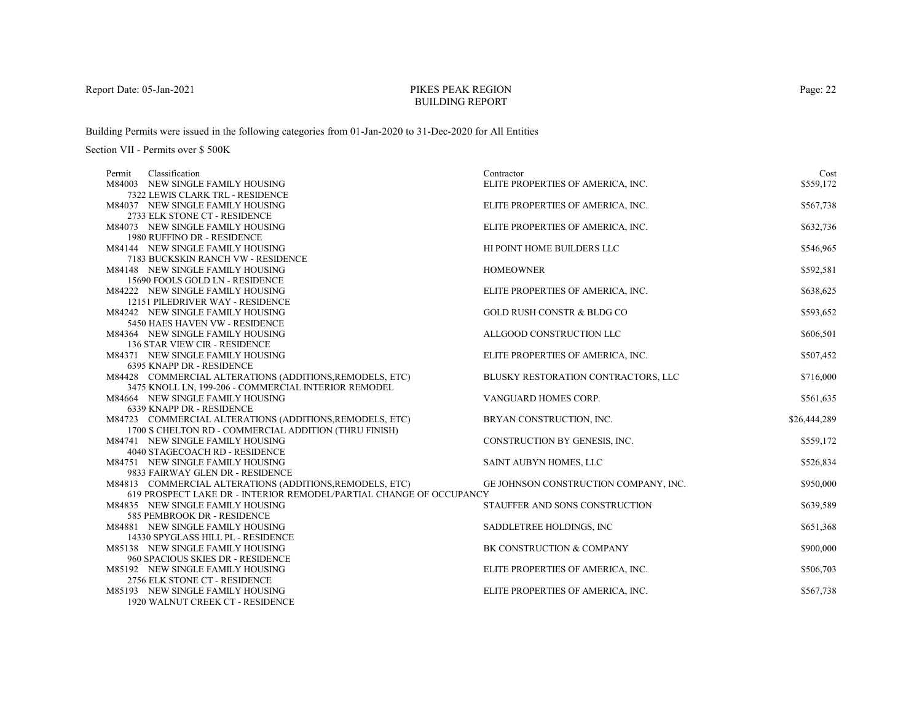# PIKES PEAK REGIONBUILDING REPORT

Building Permits were issued in the following categories from 01-Jan-2020 to 31-Dec-2020 for All Entities

| Classification<br>Permit                                                                                          | Contractor                            | Cost         |
|-------------------------------------------------------------------------------------------------------------------|---------------------------------------|--------------|
| M84003 NEW SINGLE FAMILY HOUSING                                                                                  | ELITE PROPERTIES OF AMERICA, INC.     | \$559,172    |
| 7322 LEWIS CLARK TRL - RESIDENCE                                                                                  |                                       |              |
| M84037 NEW SINGLE FAMILY HOUSING                                                                                  | ELITE PROPERTIES OF AMERICA, INC.     | \$567,738    |
| 2733 ELK STONE CT - RESIDENCE                                                                                     |                                       |              |
| M84073 NEW SINGLE FAMILY HOUSING                                                                                  | ELITE PROPERTIES OF AMERICA, INC.     | \$632,736    |
| 1980 RUFFINO DR - RESIDENCE                                                                                       |                                       |              |
| M84144 NEW SINGLE FAMILY HOUSING                                                                                  | HI POINT HOME BUILDERS LLC            | \$546,965    |
| 7183 BUCKSKIN RANCH VW - RESIDENCE                                                                                |                                       |              |
| M84148 NEW SINGLE FAMILY HOUSING                                                                                  | <b>HOMEOWNER</b>                      | \$592,581    |
| 15690 FOOLS GOLD LN - RESIDENCE                                                                                   |                                       |              |
| M84222 NEW SINGLE FAMILY HOUSING                                                                                  | ELITE PROPERTIES OF AMERICA, INC.     | \$638,625    |
| 12151 PILEDRIVER WAY - RESIDENCE                                                                                  |                                       |              |
| M84242 NEW SINGLE FAMILY HOUSING                                                                                  | <b>GOLD RUSH CONSTR &amp; BLDG CO</b> | \$593,652    |
| 5450 HAES HAVEN VW - RESIDENCE                                                                                    |                                       |              |
| M84364 NEW SINGLE FAMILY HOUSING                                                                                  | ALLGOOD CONSTRUCTION LLC              | \$606,501    |
| 136 STAR VIEW CIR - RESIDENCE                                                                                     |                                       |              |
| M84371 NEW SINGLE FAMILY HOUSING                                                                                  | ELITE PROPERTIES OF AMERICA, INC.     | \$507,452    |
| 6395 KNAPP DR - RESIDENCE                                                                                         |                                       |              |
| M84428 COMMERCIAL ALTERATIONS (ADDITIONS, REMODELS, ETC)                                                          | BLUSKY RESTORATION CONTRACTORS, LLC   | \$716,000    |
| 3475 KNOLL LN, 199-206 - COMMERCIAL INTERIOR REMODEL                                                              |                                       |              |
| M84664 NEW SINGLE FAMILY HOUSING<br>6339 KNAPP DR - RESIDENCE                                                     | VANGUARD HOMES CORP.                  | \$561,635    |
|                                                                                                                   |                                       |              |
| M84723 COMMERCIAL ALTERATIONS (ADDITIONS, REMODELS, ETC)<br>1700 S CHELTON RD - COMMERCIAL ADDITION (THRU FINISH) | BRYAN CONSTRUCTION, INC.              | \$26,444,289 |
| M84741 NEW SINGLE FAMILY HOUSING                                                                                  | CONSTRUCTION BY GENESIS, INC.         | \$559,172    |
| 4040 STAGECOACH RD - RESIDENCE                                                                                    |                                       |              |
| M84751 NEW SINGLE FAMILY HOUSING                                                                                  | SAINT AUBYN HOMES, LLC                | \$526,834    |
| 9833 FAIRWAY GLEN DR - RESIDENCE                                                                                  |                                       |              |
| M84813 COMMERCIAL ALTERATIONS (ADDITIONS, REMODELS, ETC)                                                          | GE JOHNSON CONSTRUCTION COMPANY, INC. | \$950,000    |
| 619 PROSPECT LAKE DR - INTERIOR REMODEL/PARTIAL CHANGE OF OCCUPANCY                                               |                                       |              |
| M84835 NEW SINGLE FAMILY HOUSING                                                                                  | STAUFFER AND SONS CONSTRUCTION        | \$639,589    |
| 585 PEMBROOK DR - RESIDENCE                                                                                       |                                       |              |
| M84881 NEW SINGLE FAMILY HOUSING                                                                                  | SADDLETREE HOLDINGS, INC              | \$651,368    |
| 14330 SPYGLASS HILL PL - RESIDENCE                                                                                |                                       |              |
| M85138 NEW SINGLE FAMILY HOUSING                                                                                  | BK CONSTRUCTION & COMPANY             | \$900,000    |
| 960 SPACIOUS SKIES DR - RESIDENCE                                                                                 |                                       |              |
| M85192 NEW SINGLE FAMILY HOUSING                                                                                  | ELITE PROPERTIES OF AMERICA, INC.     | \$506,703    |
| 2756 ELK STONE CT - RESIDENCE                                                                                     |                                       |              |
| M85193 NEW SINGLE FAMILY HOUSING                                                                                  | ELITE PROPERTIES OF AMERICA, INC.     | \$567,738    |
| 1920 WALNUT CREEK CT - RESIDENCE                                                                                  |                                       |              |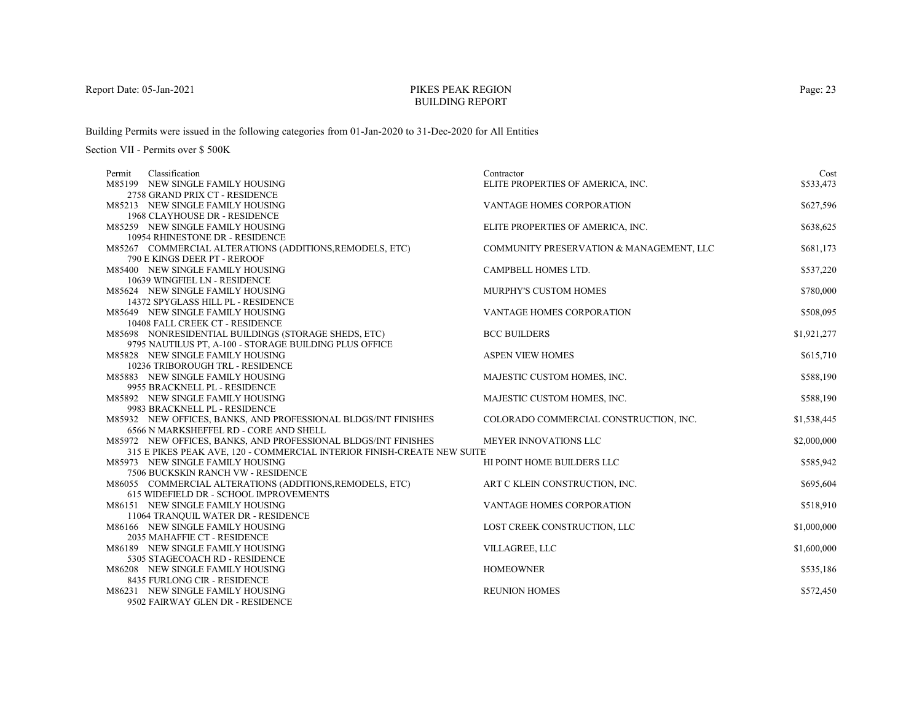# PIKES PEAK REGIONBUILDING REPORT

Building Permits were issued in the following categories from 01-Jan-2020 to 31-Dec-2020 for All Entities

| Classification<br>Permit                                                                                       | Contractor                               | Cost        |
|----------------------------------------------------------------------------------------------------------------|------------------------------------------|-------------|
| M85199 NEW SINGLE FAMILY HOUSING                                                                               | ELITE PROPERTIES OF AMERICA, INC.        | \$533,473   |
| 2758 GRAND PRIX CT - RESIDENCE                                                                                 |                                          |             |
| M85213 NEW SINGLE FAMILY HOUSING                                                                               | VANTAGE HOMES CORPORATION                | \$627,596   |
| 1968 CLAYHOUSE DR - RESIDENCE                                                                                  |                                          |             |
| M85259 NEW SINGLE FAMILY HOUSING                                                                               | ELITE PROPERTIES OF AMERICA, INC.        | \$638,625   |
| 10954 RHINESTONE DR - RESIDENCE                                                                                |                                          |             |
| M85267 COMMERCIAL ALTERATIONS (ADDITIONS, REMODELS, ETC)                                                       | COMMUNITY PRESERVATION & MANAGEMENT, LLC | \$681,173   |
| 790 E KINGS DEER PT - REROOF                                                                                   |                                          |             |
| M85400 NEW SINGLE FAMILY HOUSING                                                                               | CAMPBELL HOMES LTD.                      | \$537,220   |
| 10639 WINGFIEL LN - RESIDENCE                                                                                  |                                          |             |
| M85624 NEW SINGLE FAMILY HOUSING                                                                               | <b>MURPHY'S CUSTOM HOMES</b>             | \$780,000   |
| 14372 SPYGLASS HILL PL - RESIDENCE                                                                             |                                          |             |
| M85649 NEW SINGLE FAMILY HOUSING                                                                               | VANTAGE HOMES CORPORATION                | \$508,095   |
| 10408 FALL CREEK CT - RESIDENCE                                                                                | <b>BCC BUILDERS</b>                      |             |
| M85698 NONRESIDENTIAL BUILDINGS (STORAGE SHEDS, ETC)<br>9795 NAUTILUS PT, A-100 - STORAGE BUILDING PLUS OFFICE |                                          | \$1,921,277 |
| M85828 NEW SINGLE FAMILY HOUSING                                                                               | <b>ASPEN VIEW HOMES</b>                  | \$615,710   |
| 10236 TRIBOROUGH TRL - RESIDENCE                                                                               |                                          |             |
| M85883 NEW SINGLE FAMILY HOUSING                                                                               | MAJESTIC CUSTOM HOMES, INC.              | \$588,190   |
| 9955 BRACKNELL PL - RESIDENCE                                                                                  |                                          |             |
| M85892 NEW SINGLE FAMILY HOUSING                                                                               | MAJESTIC CUSTOM HOMES, INC.              | \$588,190   |
| 9983 BRACKNELL PL - RESIDENCE                                                                                  |                                          |             |
| M85932 NEW OFFICES, BANKS, AND PROFESSIONAL BLDGS/INT FINISHES                                                 | COLORADO COMMERCIAL CONSTRUCTION, INC.   | \$1,538,445 |
| 6566 N MARKSHEFFEL RD - CORE AND SHELL                                                                         |                                          |             |
| M85972 NEW OFFICES, BANKS, AND PROFESSIONAL BLDGS/INT FINISHES                                                 | <b>MEYER INNOVATIONS LLC</b>             | \$2,000,000 |
| 315 E PIKES PEAK AVE, 120 - COMMERCIAL INTERIOR FINISH-CREATE NEW SUITE                                        |                                          |             |
| M85973 NEW SINGLE FAMILY HOUSING                                                                               | HI POINT HOME BUILDERS LLC               | \$585,942   |
| 7506 BUCKSKIN RANCH VW - RESIDENCE                                                                             |                                          |             |
| M86055 COMMERCIAL ALTERATIONS (ADDITIONS, REMODELS, ETC)                                                       | ART C KLEIN CONSTRUCTION, INC.           | \$695,604   |
| 615 WIDEFIELD DR - SCHOOL IMPROVEMENTS                                                                         |                                          |             |
| M86151 NEW SINGLE FAMILY HOUSING                                                                               | VANTAGE HOMES CORPORATION                | \$518,910   |
| 11064 TRANQUIL WATER DR - RESIDENCE                                                                            |                                          |             |
| M86166 NEW SINGLE FAMILY HOUSING                                                                               | LOST CREEK CONSTRUCTION, LLC             | \$1,000,000 |
| 2035 MAHAFFIE CT - RESIDENCE                                                                                   |                                          |             |
| M86189 NEW SINGLE FAMILY HOUSING                                                                               | VILLAGREE, LLC                           | \$1,600,000 |
| 5305 STAGECOACH RD - RESIDENCE                                                                                 |                                          |             |
| M86208 NEW SINGLE FAMILY HOUSING                                                                               | <b>HOMEOWNER</b>                         | \$535,186   |
| 8435 FURLONG CIR - RESIDENCE                                                                                   |                                          |             |
| M86231 NEW SINGLE FAMILY HOUSING                                                                               | <b>REUNION HOMES</b>                     | \$572,450   |
| 9502 FAIRWAY GLEN DR - RESIDENCE                                                                               |                                          |             |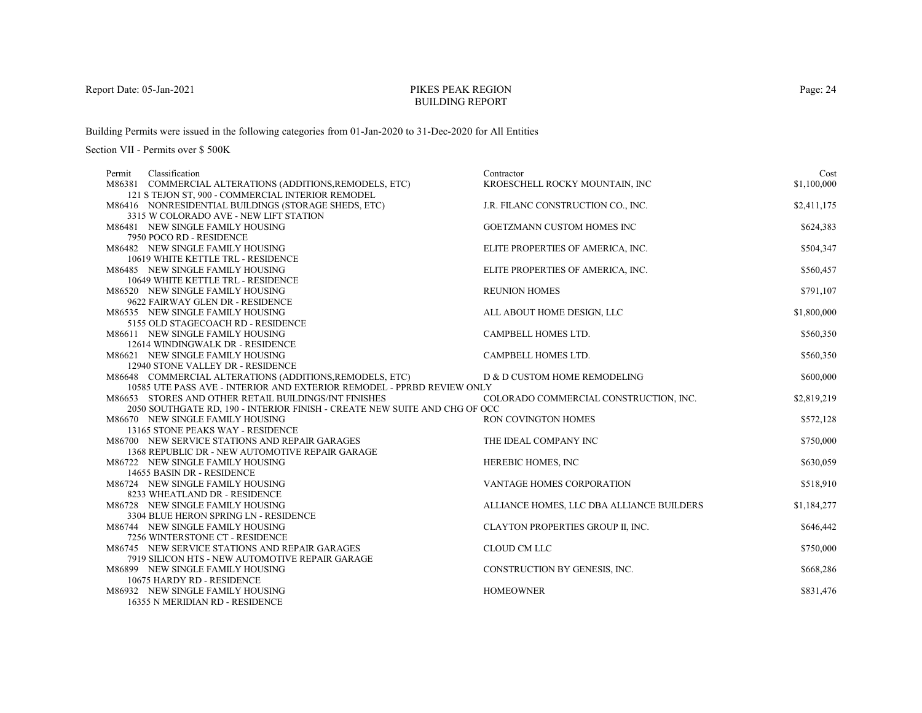# PIKES PEAK REGIONBUILDING REPORT

Building Permits were issued in the following categories from 01-Jan-2020 to 31-Dec-2020 for All Entities

| Classification<br>Permit                                                                                      | Contractor                                | Cost        |
|---------------------------------------------------------------------------------------------------------------|-------------------------------------------|-------------|
| M86381 COMMERCIAL ALTERATIONS (ADDITIONS, REMODELS, ETC)<br>121 S TEJON ST, 900 - COMMERCIAL INTERIOR REMODEL | KROESCHELL ROCKY MOUNTAIN, INC            | \$1,100,000 |
| M86416 NONRESIDENTIAL BUILDINGS (STORAGE SHEDS, ETC)                                                          | J.R. FILANC CONSTRUCTION CO., INC.        | \$2,411,175 |
| 3315 W COLORADO AVE - NEW LIFT STATION                                                                        |                                           |             |
| M86481 NEW SINGLE FAMILY HOUSING                                                                              | GOETZMANN CUSTOM HOMES INC                | \$624,383   |
| 7950 POCO RD - RESIDENCE                                                                                      |                                           |             |
| M86482 NEW SINGLE FAMILY HOUSING                                                                              | ELITE PROPERTIES OF AMERICA, INC.         | \$504,347   |
| 10619 WHITE KETTLE TRL - RESIDENCE                                                                            |                                           |             |
| M86485 NEW SINGLE FAMILY HOUSING                                                                              | ELITE PROPERTIES OF AMERICA, INC.         | \$560,457   |
| 10649 WHITE KETTLE TRL - RESIDENCE                                                                            |                                           |             |
| M86520 NEW SINGLE FAMILY HOUSING                                                                              | <b>REUNION HOMES</b>                      | \$791,107   |
| 9622 FAIRWAY GLEN DR - RESIDENCE                                                                              |                                           |             |
| M86535 NEW SINGLE FAMILY HOUSING                                                                              | ALL ABOUT HOME DESIGN, LLC                | \$1,800,000 |
| 5155 OLD STAGECOACH RD - RESIDENCE                                                                            |                                           |             |
| M86611 NEW SINGLE FAMILY HOUSING                                                                              | CAMPBELL HOMES LTD.                       | \$560,350   |
| 12614 WINDINGWALK DR - RESIDENCE                                                                              |                                           |             |
| M86621 NEW SINGLE FAMILY HOUSING                                                                              | CAMPBELL HOMES LTD.                       | \$560,350   |
| 12940 STONE VALLEY DR - RESIDENCE                                                                             |                                           |             |
| M86648 COMMERCIAL ALTERATIONS (ADDITIONS, REMODELS, ETC)                                                      | D & D CUSTOM HOME REMODELING              | \$600,000   |
| 10585 UTE PASS AVE - INTERIOR AND EXTERIOR REMODEL - PPRBD REVIEW ONLY                                        |                                           |             |
| M86653 STORES AND OTHER RETAIL BUILDINGS/INT FINISHES                                                         | COLORADO COMMERCIAL CONSTRUCTION, INC.    | \$2,819,219 |
| 2050 SOUTHGATE RD, 190 - INTERIOR FINISH - CREATE NEW SUITE AND CHG OF OCC                                    |                                           |             |
| M86670 NEW SINGLE FAMILY HOUSING                                                                              | <b>RON COVINGTON HOMES</b>                | \$572,128   |
| 13165 STONE PEAKS WAY - RESIDENCE                                                                             |                                           |             |
| M86700 NEW SERVICE STATIONS AND REPAIR GARAGES                                                                | THE IDEAL COMPANY INC                     | \$750,000   |
| 1368 REPUBLIC DR - NEW AUTOMOTIVE REPAIR GARAGE                                                               |                                           |             |
| M86722 NEW SINGLE FAMILY HOUSING                                                                              | HEREBIC HOMES, INC                        | \$630,059   |
| 14655 BASIN DR - RESIDENCE                                                                                    |                                           |             |
| M86724 NEW SINGLE FAMILY HOUSING                                                                              | <b>VANTAGE HOMES CORPORATION</b>          | \$518,910   |
| 8233 WHEATLAND DR - RESIDENCE<br>M86728 NEW SINGLE FAMILY HOUSING                                             |                                           |             |
| 3304 BLUE HERON SPRING LN - RESIDENCE                                                                         | ALLIANCE HOMES, LLC DBA ALLIANCE BUILDERS | \$1,184,277 |
| M86744 NEW SINGLE FAMILY HOUSING                                                                              | CLAYTON PROPERTIES GROUP II, INC.         | \$646,442   |
| 7256 WINTERSTONE CT - RESIDENCE                                                                               |                                           |             |
| M86745 NEW SERVICE STATIONS AND REPAIR GARAGES                                                                | <b>CLOUD CM LLC</b>                       | \$750,000   |
| 7919 SILICON HTS - NEW AUTOMOTIVE REPAIR GARAGE                                                               |                                           |             |
| M86899 NEW SINGLE FAMILY HOUSING                                                                              | CONSTRUCTION BY GENESIS, INC.             | \$668,286   |
| 10675 HARDY RD - RESIDENCE                                                                                    |                                           |             |
| M86932 NEW SINGLE FAMILY HOUSING                                                                              | <b>HOMEOWNER</b>                          | \$831,476   |
| 16355 N MERIDIAN RD - RESIDENCE                                                                               |                                           |             |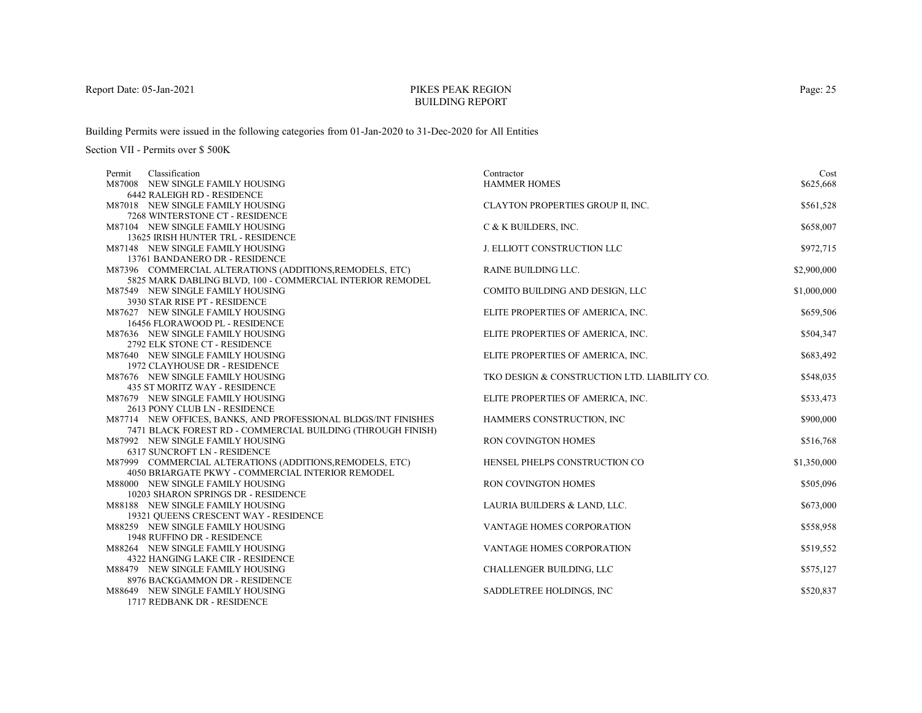# PIKES PEAK REGIONBUILDING REPORT

Building Permits were issued in the following categories from 01-Jan-2020 to 31-Dec-2020 for All Entities

Section VII - Permits over \$ 500K

| Classification<br>Permit                                          | Contractor                                   | Cost        |
|-------------------------------------------------------------------|----------------------------------------------|-------------|
| M87008 NEW SINGLE FAMILY HOUSING                                  | <b>HAMMER HOMES</b>                          | \$625,668   |
| <b>6442 RALEIGH RD - RESIDENCE</b>                                |                                              |             |
| M87018 NEW SINGLE FAMILY HOUSING                                  | CLAYTON PROPERTIES GROUP II, INC.            | \$561,528   |
| 7268 WINTERSTONE CT - RESIDENCE                                   |                                              |             |
| M87104 NEW SINGLE FAMILY HOUSING                                  | C & K BUILDERS, INC.                         | \$658,007   |
| 13625 IRISH HUNTER TRL - RESIDENCE                                |                                              |             |
| M87148 NEW SINGLE FAMILY HOUSING                                  | J. ELLIOTT CONSTRUCTION LLC                  | \$972,715   |
| 13761 BANDANERO DR - RESIDENCE                                    |                                              |             |
| M87396 COMMERCIAL ALTERATIONS (ADDITIONS, REMODELS, ETC)          | <b>RAINE BUILDING LLC.</b>                   | \$2,900,000 |
| 5825 MARK DABLING BLVD, 100 - COMMERCIAL INTERIOR REMODEL         |                                              |             |
| M87549 NEW SINGLE FAMILY HOUSING                                  | COMITO BUILDING AND DESIGN, LLC              | \$1,000,000 |
| 3930 STAR RISE PT - RESIDENCE                                     |                                              |             |
| M87627 NEW SINGLE FAMILY HOUSING                                  | ELITE PROPERTIES OF AMERICA, INC.            | \$659,506   |
| 16456 FLORAWOOD PL - RESIDENCE                                    |                                              |             |
| M87636 NEW SINGLE FAMILY HOUSING                                  | ELITE PROPERTIES OF AMERICA, INC.            | \$504,347   |
| 2792 ELK STONE CT - RESIDENCE                                     |                                              |             |
| M87640 NEW SINGLE FAMILY HOUSING                                  | ELITE PROPERTIES OF AMERICA, INC.            | \$683,492   |
| 1972 CLAYHOUSE DR - RESIDENCE<br>M87676 NEW SINGLE FAMILY HOUSING | TKO DESIGN & CONSTRUCTION LTD. LIABILITY CO. | \$548,035   |
| 435 ST MORITZ WAY - RESIDENCE                                     |                                              |             |
| M87679 NEW SINGLE FAMILY HOUSING                                  | ELITE PROPERTIES OF AMERICA, INC.            | \$533,473   |
| 2613 PONY CLUB LN - RESIDENCE                                     |                                              |             |
| M87714 NEW OFFICES, BANKS, AND PROFESSIONAL BLDGS/INT FINISHES    | HAMMERS CONSTRUCTION, INC                    | \$900,000   |
| 7471 BLACK FOREST RD - COMMERCIAL BUILDING (THROUGH FINISH)       |                                              |             |
| M87992 NEW SINGLE FAMILY HOUSING                                  | RON COVINGTON HOMES                          | \$516,768   |
| 6317 SUNCROFT LN - RESIDENCE                                      |                                              |             |
| M87999 COMMERCIAL ALTERATIONS (ADDITIONS, REMODELS, ETC)          | HENSEL PHELPS CONSTRUCTION CO                | \$1,350,000 |
| 4050 BRIARGATE PKWY - COMMERCIAL INTERIOR REMODEL                 |                                              |             |
| M88000 NEW SINGLE FAMILY HOUSING                                  | <b>RON COVINGTON HOMES</b>                   | \$505,096   |
| 10203 SHARON SPRINGS DR - RESIDENCE                               |                                              |             |
| M88188 NEW SINGLE FAMILY HOUSING                                  | LAURIA BUILDERS & LAND, LLC.                 | \$673,000   |
| 19321 QUEENS CRESCENT WAY - RESIDENCE                             |                                              |             |
| M88259 NEW SINGLE FAMILY HOUSING                                  | <b>VANTAGE HOMES CORPORATION</b>             | \$558,958   |
| 1948 RUFFINO DR - RESIDENCE                                       |                                              |             |
| M88264 NEW SINGLE FAMILY HOUSING                                  | VANTAGE HOMES CORPORATION                    | \$519,552   |
| 4322 HANGING LAKE CIR - RESIDENCE                                 |                                              |             |
| M88479 NEW SINGLE FAMILY HOUSING                                  | CHALLENGER BUILDING, LLC                     | \$575,127   |
| 8976 BACKGAMMON DR - RESIDENCE                                    |                                              |             |
| M88649 NEW SINGLE FAMILY HOUSING                                  | SADDLETREE HOLDINGS, INC.                    | \$520,837   |
| 1717 REDBANK DR - RESIDENCE                                       |                                              |             |

Page: 25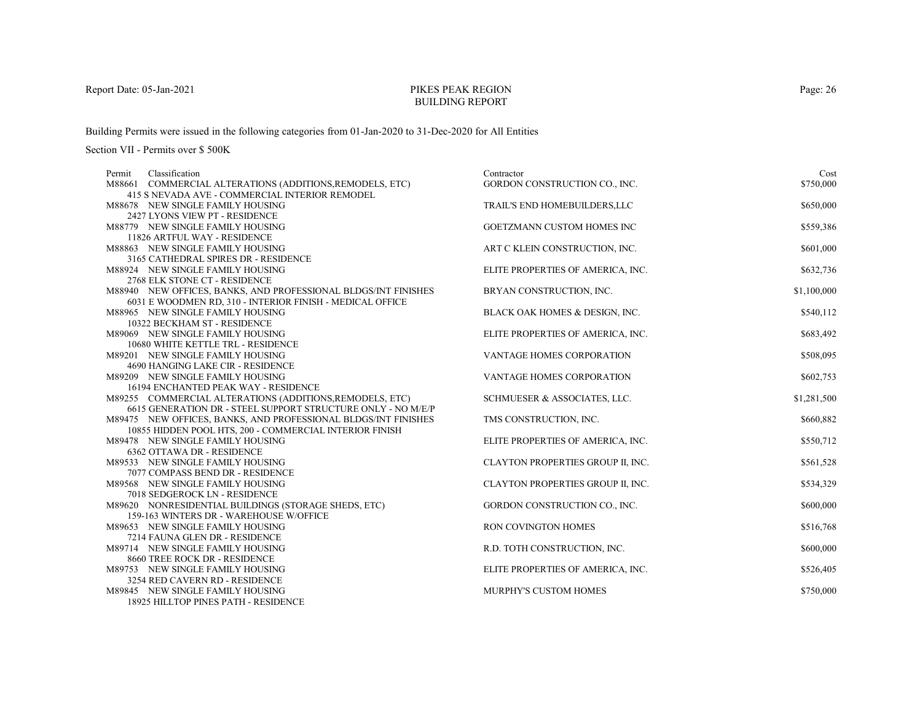# PIKES PEAK REGIONBUILDING REPORT

Building Permits were issued in the following categories from 01-Jan-2020 to 31-Dec-2020 for All Entities

| Classification<br>Permit                                          | Contractor                        | Cost        |
|-------------------------------------------------------------------|-----------------------------------|-------------|
| M88661 COMMERCIAL ALTERATIONS (ADDITIONS, REMODELS, ETC)          | GORDON CONSTRUCTION CO., INC.     | \$750,000   |
| 415 S NEVADA AVE - COMMERCIAL INTERIOR REMODEL                    |                                   |             |
| M88678 NEW SINGLE FAMILY HOUSING                                  | TRAIL'S END HOMEBUILDERS, LLC     | \$650,000   |
| 2427 LYONS VIEW PT - RESIDENCE                                    |                                   |             |
| M88779 NEW SINGLE FAMILY HOUSING<br>11826 ARTFUL WAY - RESIDENCE  | GOETZMANN CUSTOM HOMES INC        | \$559,386   |
| M88863 NEW SINGLE FAMILY HOUSING                                  | ART C KLEIN CONSTRUCTION, INC.    | \$601,000   |
| 3165 CATHEDRAL SPIRES DR - RESIDENCE                              |                                   |             |
| M88924 NEW SINGLE FAMILY HOUSING                                  | ELITE PROPERTIES OF AMERICA, INC. | \$632,736   |
| 2768 ELK STONE CT - RESIDENCE                                     |                                   |             |
| M88940 NEW OFFICES, BANKS, AND PROFESSIONAL BLDGS/INT FINISHES    | BRYAN CONSTRUCTION, INC.          | \$1,100,000 |
| 6031 E WOODMEN RD, 310 - INTERIOR FINISH - MEDICAL OFFICE         |                                   |             |
| M88965 NEW SINGLE FAMILY HOUSING                                  | BLACK OAK HOMES & DESIGN, INC.    | \$540,112   |
| 10322 BECKHAM ST - RESIDENCE                                      |                                   |             |
| M89069 NEW SINGLE FAMILY HOUSING                                  | ELITE PROPERTIES OF AMERICA, INC. | \$683,492   |
| 10680 WHITE KETTLE TRL - RESIDENCE                                |                                   |             |
| M89201 NEW SINGLE FAMILY HOUSING                                  | VANTAGE HOMES CORPORATION         | \$508,095   |
| 4690 HANGING LAKE CIR - RESIDENCE                                 |                                   |             |
| M89209 NEW SINGLE FAMILY HOUSING                                  | VANTAGE HOMES CORPORATION         | \$602,753   |
| 16194 ENCHANTED PEAK WAY - RESIDENCE                              |                                   |             |
| M89255 COMMERCIAL ALTERATIONS (ADDITIONS, REMODELS, ETC)          | SCHMUESER & ASSOCIATES, LLC.      | \$1,281,500 |
| 6615 GENERATION DR - STEEL SUPPORT STRUCTURE ONLY - NO M/E/P      |                                   |             |
| M89475 NEW OFFICES, BANKS, AND PROFESSIONAL BLDGS/INT FINISHES    | TMS CONSTRUCTION, INC.            | \$660,882   |
| 10855 HIDDEN POOL HTS, 200 - COMMERCIAL INTERIOR FINISH           |                                   |             |
| M89478 NEW SINGLE FAMILY HOUSING                                  | ELITE PROPERTIES OF AMERICA, INC. | \$550,712   |
| 6362 OTTAWA DR - RESIDENCE                                        |                                   |             |
| M89533 NEW SINGLE FAMILY HOUSING                                  | CLAYTON PROPERTIES GROUP II, INC. | \$561,528   |
| 7077 COMPASS BEND DR - RESIDENCE                                  |                                   |             |
| M89568 NEW SINGLE FAMILY HOUSING<br>7018 SEDGEROCK LN - RESIDENCE | CLAYTON PROPERTIES GROUP II, INC. | \$534,329   |
| M89620 NONRESIDENTIAL BUILDINGS (STORAGE SHEDS, ETC)              | GORDON CONSTRUCTION CO., INC.     | \$600,000   |
| 159-163 WINTERS DR - WAREHOUSE W/OFFICE                           |                                   |             |
| M89653 NEW SINGLE FAMILY HOUSING                                  | RON COVINGTON HOMES               | \$516,768   |
| 7214 FAUNA GLEN DR - RESIDENCE                                    |                                   |             |
| M89714 NEW SINGLE FAMILY HOUSING                                  | R.D. TOTH CONSTRUCTION, INC.      | \$600,000   |
| 8660 TREE ROCK DR - RESIDENCE                                     |                                   |             |
| M89753 NEW SINGLE FAMILY HOUSING                                  | ELITE PROPERTIES OF AMERICA, INC. | \$526,405   |
| 3254 RED CAVERN RD - RESIDENCE                                    |                                   |             |
| M89845 NEW SINGLE FAMILY HOUSING                                  | <b>MURPHY'S CUSTOM HOMES</b>      | \$750,000   |
| <b>18925 HILLTOP PINES PATH - RESIDENCE</b>                       |                                   |             |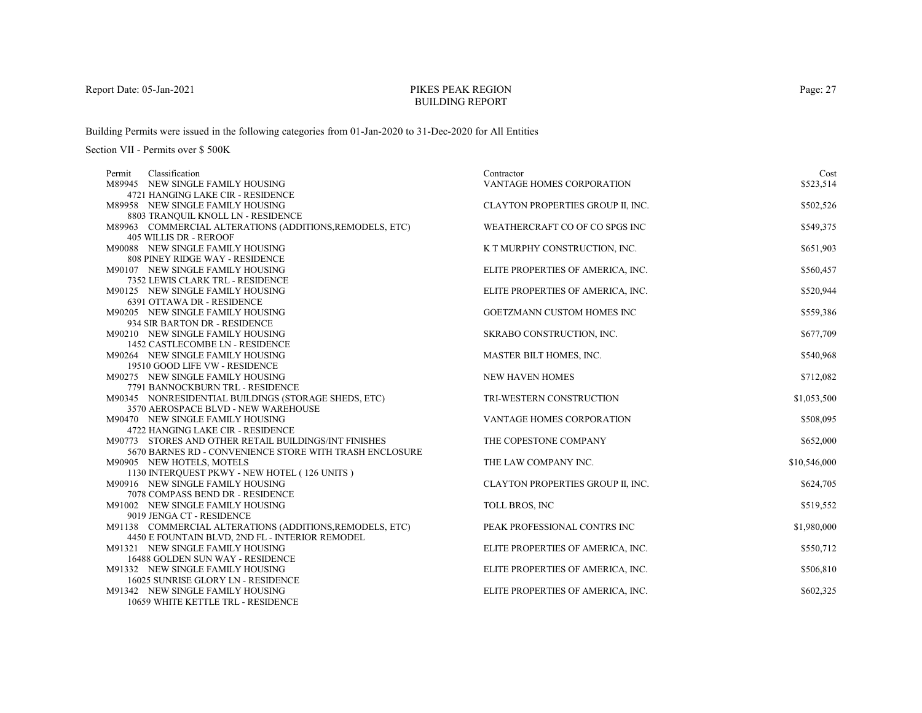# PIKES PEAK REGIONBUILDING REPORT

Building Permits were issued in the following categories from 01-Jan-2020 to 31-Dec-2020 for All Entities

| Classification<br>Permit                                           | Contractor                        | Cost         |
|--------------------------------------------------------------------|-----------------------------------|--------------|
| M89945 NEW SINGLE FAMILY HOUSING                                   | VANTAGE HOMES CORPORATION         | \$523,514    |
| 4721 HANGING LAKE CIR - RESIDENCE                                  |                                   |              |
| M89958 NEW SINGLE FAMILY HOUSING                                   | CLAYTON PROPERTIES GROUP II, INC. | \$502,526    |
| 8803 TRANQUIL KNOLL LN - RESIDENCE                                 |                                   |              |
| M89963 COMMERCIAL ALTERATIONS (ADDITIONS, REMODELS, ETC)           | WEATHERCRAFT CO OF CO SPGS INC    | \$549,375    |
| 405 WILLIS DR - REROOF                                             |                                   |              |
| M90088 NEW SINGLE FAMILY HOUSING                                   | K T MURPHY CONSTRUCTION, INC.     | \$651,903    |
| 808 PINEY RIDGE WAY - RESIDENCE                                    |                                   |              |
| M90107 NEW SINGLE FAMILY HOUSING                                   | ELITE PROPERTIES OF AMERICA, INC. | \$560,457    |
| 7352 LEWIS CLARK TRL - RESIDENCE                                   |                                   |              |
| M90125 NEW SINGLE FAMILY HOUSING                                   | ELITE PROPERTIES OF AMERICA, INC. | \$520,944    |
| 6391 OTTAWA DR - RESIDENCE                                         |                                   |              |
| M90205 NEW SINGLE FAMILY HOUSING                                   | GOETZMANN CUSTOM HOMES INC        | \$559,386    |
| 934 SIR BARTON DR - RESIDENCE                                      |                                   |              |
| M90210 NEW SINGLE FAMILY HOUSING                                   | SKRABO CONSTRUCTION, INC.         | \$677,709    |
| 1452 CASTLECOMBE LN - RESIDENCE                                    |                                   |              |
| M90264 NEW SINGLE FAMILY HOUSING                                   | MASTER BILT HOMES, INC.           | \$540,968    |
| 19510 GOOD LIFE VW - RESIDENCE<br>M90275 NEW SINGLE FAMILY HOUSING | <b>NEW HAVEN HOMES</b>            | \$712,082    |
| 7791 BANNOCKBURN TRL - RESIDENCE                                   |                                   |              |
| M90345 NONRESIDENTIAL BUILDINGS (STORAGE SHEDS, ETC)               | TRI-WESTERN CONSTRUCTION          | \$1,053,500  |
| 3570 AEROSPACE BLVD - NEW WAREHOUSE                                |                                   |              |
| M90470 NEW SINGLE FAMILY HOUSING                                   | <b>VANTAGE HOMES CORPORATION</b>  | \$508,095    |
| 4722 HANGING LAKE CIR - RESIDENCE                                  |                                   |              |
| M90773 STORES AND OTHER RETAIL BUILDINGS/INT FINISHES              | THE COPESTONE COMPANY             | \$652,000    |
| 5670 BARNES RD - CONVENIENCE STORE WITH TRASH ENCLOSURE            |                                   |              |
| M90905 NEW HOTELS, MOTELS                                          | THE LAW COMPANY INC.              | \$10,546,000 |
| 1130 INTERQUEST PKWY - NEW HOTEL (126 UNITS)                       |                                   |              |
| M90916 NEW SINGLE FAMILY HOUSING                                   | CLAYTON PROPERTIES GROUP II, INC. | \$624,705    |
| 7078 COMPASS BEND DR - RESIDENCE                                   |                                   |              |
| M91002 NEW SINGLE FAMILY HOUSING                                   | TOLL BROS, INC                    | \$519,552    |
| 9019 JENGA CT - RESIDENCE                                          |                                   |              |
| M91138 COMMERCIAL ALTERATIONS (ADDITIONS, REMODELS, ETC)           | PEAK PROFESSIONAL CONTRS INC      | \$1,980,000  |
| 4450 E FOUNTAIN BLVD, 2ND FL - INTERIOR REMODEL                    |                                   |              |
| M91321 NEW SINGLE FAMILY HOUSING                                   | ELITE PROPERTIES OF AMERICA, INC. | \$550,712    |
| 16488 GOLDEN SUN WAY - RESIDENCE                                   |                                   |              |
| M91332 NEW SINGLE FAMILY HOUSING                                   | ELITE PROPERTIES OF AMERICA, INC. | \$506,810    |
| 16025 SUNRISE GLORY LN - RESIDENCE                                 |                                   |              |
| M91342 NEW SINGLE FAMILY HOUSING                                   | ELITE PROPERTIES OF AMERICA, INC. | \$602,325    |
| 10659 WHITE KETTLE TRL - RESIDENCE                                 |                                   |              |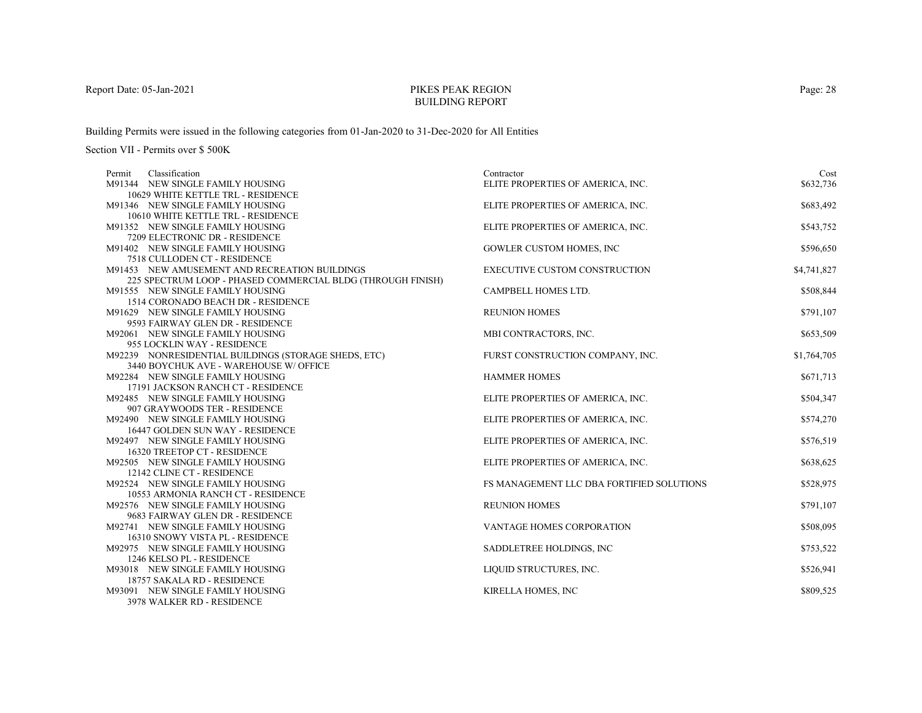# PIKES PEAK REGIONBUILDING REPORT

Building Permits were issued in the following categories from 01-Jan-2020 to 31-Dec-2020 for All Entities

| Classification<br>Permit                                             | Contractor                                | Cost        |
|----------------------------------------------------------------------|-------------------------------------------|-------------|
| M91344 NEW SINGLE FAMILY HOUSING                                     | ELITE PROPERTIES OF AMERICA, INC.         | \$632,736   |
| 10629 WHITE KETTLE TRL - RESIDENCE                                   |                                           |             |
| M91346 NEW SINGLE FAMILY HOUSING                                     | ELITE PROPERTIES OF AMERICA, INC.         | \$683,492   |
| 10610 WHITE KETTLE TRL - RESIDENCE                                   |                                           |             |
| M91352 NEW SINGLE FAMILY HOUSING                                     | ELITE PROPERTIES OF AMERICA, INC.         | \$543,752   |
| 7209 ELECTRONIC DR - RESIDENCE                                       |                                           |             |
| M91402 NEW SINGLE FAMILY HOUSING                                     | GOWLER CUSTOM HOMES, INC                  | \$596,650   |
| 7518 CULLODEN CT - RESIDENCE                                         |                                           |             |
| M91453 NEW AMUSEMENT AND RECREATION BUILDINGS                        | EXECUTIVE CUSTOM CONSTRUCTION             | \$4,741,827 |
| 225 SPECTRUM LOOP - PHASED COMMERCIAL BLDG (THROUGH FINISH)          |                                           |             |
| M91555 NEW SINGLE FAMILY HOUSING                                     | CAMPBELL HOMES LTD.                       | \$508,844   |
| 1514 CORONADO BEACH DR - RESIDENCE                                   |                                           |             |
| M91629 NEW SINGLE FAMILY HOUSING                                     | <b>REUNION HOMES</b>                      | \$791,107   |
| 9593 FAIRWAY GLEN DR - RESIDENCE                                     |                                           |             |
| M92061 NEW SINGLE FAMILY HOUSING                                     | MBI CONTRACTORS, INC.                     | \$653,509   |
| 955 LOCKLIN WAY - RESIDENCE                                          |                                           |             |
| M92239 NONRESIDENTIAL BUILDINGS (STORAGE SHEDS, ETC)                 | FURST CONSTRUCTION COMPANY, INC.          | \$1,764,705 |
| 3440 BOYCHUK AVE - WAREHOUSE W/ OFFICE                               |                                           |             |
| M92284 NEW SINGLE FAMILY HOUSING                                     | <b>HAMMER HOMES</b>                       | \$671,713   |
| 17191 JACKSON RANCH CT - RESIDENCE                                   |                                           |             |
| M92485 NEW SINGLE FAMILY HOUSING                                     | ELITE PROPERTIES OF AMERICA, INC.         | \$504,347   |
| 907 GRAYWOODS TER - RESIDENCE                                        |                                           |             |
| M92490 NEW SINGLE FAMILY HOUSING                                     | ELITE PROPERTIES OF AMERICA, INC.         | \$574,270   |
| 16447 GOLDEN SUN WAY - RESIDENCE                                     |                                           |             |
| M92497 NEW SINGLE FAMILY HOUSING                                     | ELITE PROPERTIES OF AMERICA, INC.         | \$576,519   |
| 16320 TREETOP CT - RESIDENCE                                         |                                           |             |
| M92505 NEW SINGLE FAMILY HOUSING                                     | ELITE PROPERTIES OF AMERICA, INC.         | \$638,625   |
| 12142 CLINE CT - RESIDENCE                                           |                                           |             |
| M92524 NEW SINGLE FAMILY HOUSING                                     | FS MANAGEMENT LLC DBA FORTIFIED SOLUTIONS | \$528,975   |
| 10553 ARMONIA RANCH CT - RESIDENCE                                   |                                           |             |
| M92576 NEW SINGLE FAMILY HOUSING<br>9683 FAIRWAY GLEN DR - RESIDENCE | <b>REUNION HOMES</b>                      | \$791,107   |
|                                                                      |                                           | \$508,095   |
| M92741 NEW SINGLE FAMILY HOUSING<br>16310 SNOWY VISTA PL - RESIDENCE | VANTAGE HOMES CORPORATION                 |             |
| M92975 NEW SINGLE FAMILY HOUSING                                     | SADDLETREE HOLDINGS, INC                  | \$753,522   |
| 1246 KELSO PL - RESIDENCE                                            |                                           |             |
| M93018 NEW SINGLE FAMILY HOUSING                                     | LIQUID STRUCTURES, INC.                   | \$526,941   |
| 18757 SAKALA RD - RESIDENCE                                          |                                           |             |
| M93091 NEW SINGLE FAMILY HOUSING                                     | KIRELLA HOMES, INC                        | \$809,525   |
| 3978 WALKER RD - RESIDENCE                                           |                                           |             |
|                                                                      |                                           |             |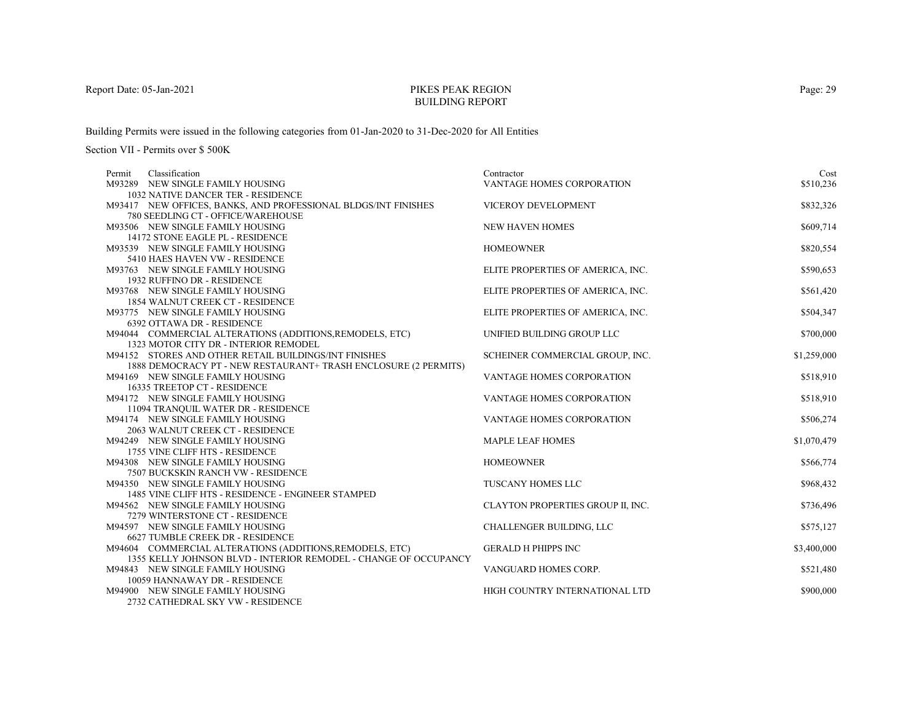# PIKES PEAK REGIONBUILDING REPORT

Building Permits were issued in the following categories from 01-Jan-2020 to 31-Dec-2020 for All Entities

| Classification<br>Permit                                                | Contractor                        | Cost        |
|-------------------------------------------------------------------------|-----------------------------------|-------------|
| M93289 NEW SINGLE FAMILY HOUSING                                        | VANTAGE HOMES CORPORATION         | \$510,236   |
| 1032 NATIVE DANCER TER - RESIDENCE                                      |                                   |             |
| M93417 NEW OFFICES, BANKS, AND PROFESSIONAL BLDGS/INT FINISHES          | <b>VICEROY DEVELOPMENT</b>        | \$832,326   |
| 780 SEEDLING CT - OFFICE/WAREHOUSE                                      |                                   |             |
| M93506 NEW SINGLE FAMILY HOUSING                                        | <b>NEW HAVEN HOMES</b>            | \$609,714   |
| 14172 STONE EAGLE PL - RESIDENCE                                        |                                   |             |
| M93539 NEW SINGLE FAMILY HOUSING                                        | <b>HOMEOWNER</b>                  | \$820,554   |
| 5410 HAES HAVEN VW - RESIDENCE                                          |                                   |             |
| M93763 NEW SINGLE FAMILY HOUSING                                        | ELITE PROPERTIES OF AMERICA, INC. | \$590,653   |
| 1932 RUFFINO DR - RESIDENCE                                             |                                   |             |
| M93768 NEW SINGLE FAMILY HOUSING                                        | ELITE PROPERTIES OF AMERICA, INC. | \$561,420   |
| 1854 WALNUT CREEK CT - RESIDENCE                                        |                                   |             |
| M93775 NEW SINGLE FAMILY HOUSING                                        | ELITE PROPERTIES OF AMERICA, INC. | \$504,347   |
| <b>6392 OTTAWA DR - RESIDENCE</b>                                       |                                   |             |
| M94044 COMMERCIAL ALTERATIONS (ADDITIONS, REMODELS, ETC)                | UNIFIED BUILDING GROUP LLC        | \$700,000   |
| 1323 MOTOR CITY DR - INTERIOR REMODEL                                   |                                   |             |
| M94152 STORES AND OTHER RETAIL BUILDINGS/INT FINISHES                   | SCHEINER COMMERCIAL GROUP, INC.   | \$1,259,000 |
| 1888 DEMOCRACY PT - NEW RESTAURANT+ TRASH ENCLOSURE (2 PERMITS)         |                                   |             |
| M94169 NEW SINGLE FAMILY HOUSING                                        | VANTAGE HOMES CORPORATION         | \$518,910   |
| 16335 TREETOP CT - RESIDENCE                                            |                                   |             |
| M94172 NEW SINGLE FAMILY HOUSING<br>11094 TRANQUIL WATER DR - RESIDENCE | <b>VANTAGE HOMES CORPORATION</b>  | \$518,910   |
| M94174 NEW SINGLE FAMILY HOUSING                                        | VANTAGE HOMES CORPORATION         | \$506,274   |
| 2063 WALNUT CREEK CT - RESIDENCE                                        |                                   |             |
| M94249 NEW SINGLE FAMILY HOUSING                                        | <b>MAPLE LEAF HOMES</b>           | \$1,070,479 |
| 1755 VINE CLIFF HTS - RESIDENCE                                         |                                   |             |
| M94308 NEW SINGLE FAMILY HOUSING                                        | <b>HOMEOWNER</b>                  | \$566,774   |
| 7507 BUCKSKIN RANCH VW - RESIDENCE                                      |                                   |             |
| M94350 NEW SINGLE FAMILY HOUSING                                        | TUSCANY HOMES LLC                 | \$968,432   |
| 1485 VINE CLIFF HTS - RESIDENCE - ENGINEER STAMPED                      |                                   |             |
| M94562 NEW SINGLE FAMILY HOUSING                                        | CLAYTON PROPERTIES GROUP II, INC. | \$736,496   |
| 7279 WINTERSTONE CT - RESIDENCE                                         |                                   |             |
| M94597 NEW SINGLE FAMILY HOUSING                                        | CHALLENGER BUILDING, LLC          | \$575,127   |
| 6627 TUMBLE CREEK DR - RESIDENCE                                        |                                   |             |
| M94604 COMMERCIAL ALTERATIONS (ADDITIONS, REMODELS, ETC)                | <b>GERALD H PHIPPS INC</b>        | \$3,400,000 |
| 1355 KELLY JOHNSON BLVD - INTERIOR REMODEL - CHANGE OF OCCUPANCY        |                                   |             |
| M94843 NEW SINGLE FAMILY HOUSING                                        | VANGUARD HOMES CORP.              | \$521,480   |
| 10059 HANNAWAY DR - RESIDENCE                                           |                                   |             |
| M94900 NEW SINGLE FAMILY HOUSING                                        | HIGH COUNTRY INTERNATIONAL LTD    | \$900,000   |
| 2732 CATHEDRAL SKY VW - RESIDENCE                                       |                                   |             |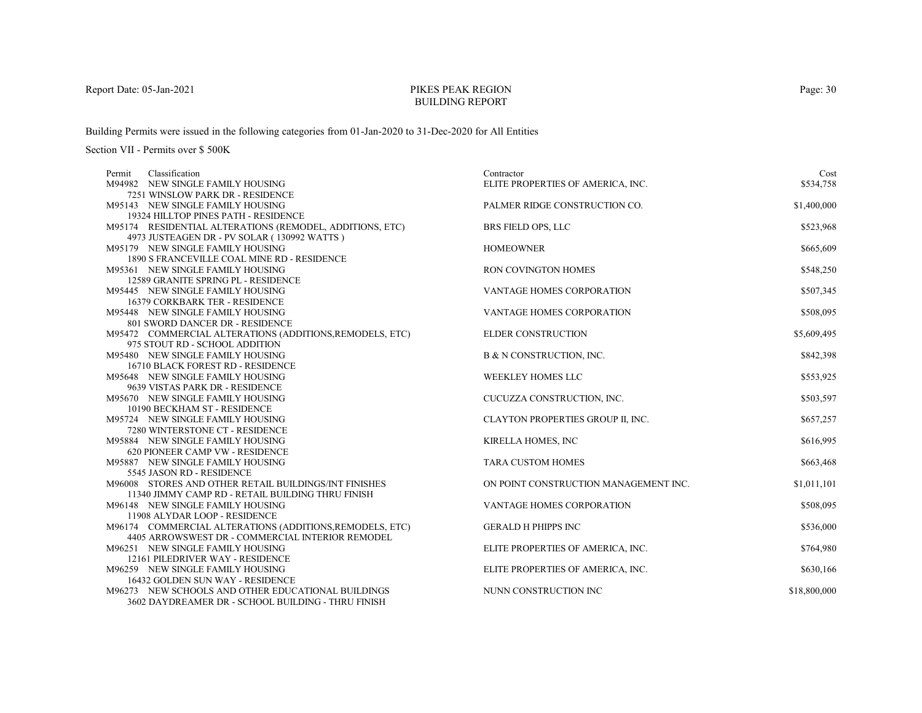# PIKES PEAK REGIONBUILDING REPORT

Building Permits were issued in the following categories from 01-Jan-2020 to 31-Dec-2020 for All Entities

| Classification<br>Permit                                 | Contractor                            | Cost         |
|----------------------------------------------------------|---------------------------------------|--------------|
| M94982 NEW SINGLE FAMILY HOUSING                         | ELITE PROPERTIES OF AMERICA, INC.     | \$534,758    |
| 7251 WINSLOW PARK DR - RESIDENCE                         |                                       |              |
| M95143 NEW SINGLE FAMILY HOUSING                         | PALMER RIDGE CONSTRUCTION CO.         | \$1,400,000  |
| 19324 HILLTOP PINES PATH - RESIDENCE                     |                                       |              |
| M95174 RESIDENTIAL ALTERATIONS (REMODEL, ADDITIONS, ETC) | BRS FIELD OPS, LLC                    | \$523,968    |
| 4973 JUSTEAGEN DR - PV SOLAR (130992 WATTS)              |                                       |              |
| M95179 NEW SINGLE FAMILY HOUSING                         | <b>HOMEOWNER</b>                      | \$665,609    |
| 1890 S FRANCEVILLE COAL MINE RD - RESIDENCE              |                                       |              |
| M95361 NEW SINGLE FAMILY HOUSING                         | RON COVINGTON HOMES                   | \$548,250    |
| 12589 GRANITE SPRING PL - RESIDENCE                      |                                       |              |
| M95445 NEW SINGLE FAMILY HOUSING                         | VANTAGE HOMES CORPORATION             | \$507,345    |
| 16379 CORKBARK TER - RESIDENCE                           |                                       |              |
| M95448 NEW SINGLE FAMILY HOUSING                         | <b>VANTAGE HOMES CORPORATION</b>      | \$508,095    |
| 801 SWORD DANCER DR - RESIDENCE                          |                                       |              |
| M95472 COMMERCIAL ALTERATIONS (ADDITIONS, REMODELS, ETC) | <b>ELDER CONSTRUCTION</b>             | \$5,609,495  |
| 975 STOUT RD - SCHOOL ADDITION                           |                                       |              |
| M95480 NEW SINGLE FAMILY HOUSING                         | B & N CONSTRUCTION, INC.              | \$842,398    |
| 16710 BLACK FOREST RD - RESIDENCE                        |                                       |              |
| M95648 NEW SINGLE FAMILY HOUSING                         | WEEKLEY HOMES LLC                     | \$553,925    |
| 9639 VISTAS PARK DR - RESIDENCE                          |                                       |              |
| M95670 NEW SINGLE FAMILY HOUSING                         | CUCUZZA CONSTRUCTION, INC.            | \$503,597    |
| 10190 BECKHAM ST - RESIDENCE                             |                                       |              |
| M95724 NEW SINGLE FAMILY HOUSING                         | CLAYTON PROPERTIES GROUP II, INC.     | \$657,257    |
| 7280 WINTERSTONE CT - RESIDENCE                          |                                       |              |
| M95884 NEW SINGLE FAMILY HOUSING                         | <b>KIRELLA HOMES, INC</b>             | \$616,995    |
| 620 PIONEER CAMP VW - RESIDENCE                          |                                       |              |
| M95887 NEW SINGLE FAMILY HOUSING                         | <b>TARA CUSTOM HOMES</b>              | \$663,468    |
| 5545 JASON RD - RESIDENCE                                |                                       |              |
| M96008 STORES AND OTHER RETAIL BUILDINGS/INT FINISHES    | ON POINT CONSTRUCTION MANAGEMENT INC. | \$1,011,101  |
| 11340 JIMMY CAMP RD - RETAIL BUILDING THRU FINISH        |                                       |              |
| M96148 NEW SINGLE FAMILY HOUSING                         | <b>VANTAGE HOMES CORPORATION</b>      | \$508,095    |
| 11908 ALYDAR LOOP - RESIDENCE                            |                                       |              |
| M96174 COMMERCIAL ALTERATIONS (ADDITIONS, REMODELS, ETC) | <b>GERALD H PHIPPS INC</b>            | \$536,000    |
| 4405 ARROWSWEST DR - COMMERCIAL INTERIOR REMODEL         |                                       |              |
| M96251 NEW SINGLE FAMILY HOUSING                         | ELITE PROPERTIES OF AMERICA, INC.     | \$764,980    |
| 12161 PILEDRIVER WAY - RESIDENCE                         |                                       |              |
| M96259 NEW SINGLE FAMILY HOUSING                         | ELITE PROPERTIES OF AMERICA, INC.     | \$630,166    |
| 16432 GOLDEN SUN WAY - RESIDENCE                         |                                       |              |
| M96273 NEW SCHOOLS AND OTHER EDUCATIONAL BUILDINGS       | NUNN CONSTRUCTION INC                 | \$18,800,000 |
| 3602 DAYDREAMER DR - SCHOOL BUILDING - THRU FINISH       |                                       |              |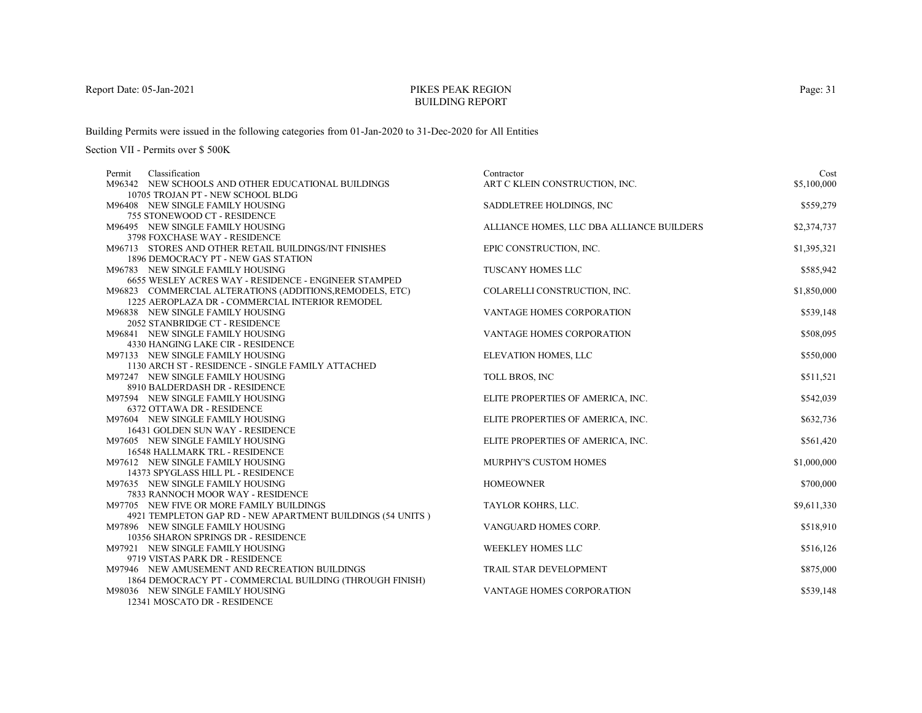# PIKES PEAK REGIONBUILDING REPORT

Building Permits were issued in the following categories from 01-Jan-2020 to 31-Dec-2020 for All Entities

Section VII - Permits over \$ 500K

| Classification<br>Permit                                             | Contractor                                | Cost        |
|----------------------------------------------------------------------|-------------------------------------------|-------------|
| M96342 NEW SCHOOLS AND OTHER EDUCATIONAL BUILDINGS                   | ART C KLEIN CONSTRUCTION, INC.            | \$5,100,000 |
| 10705 TROJAN PT - NEW SCHOOL BLDG                                    |                                           |             |
| M96408 NEW SINGLE FAMILY HOUSING                                     | SADDLETREE HOLDINGS, INC.                 | \$559,279   |
| 755 STONEWOOD CT - RESIDENCE                                         |                                           |             |
| M96495 NEW SINGLE FAMILY HOUSING                                     | ALLIANCE HOMES, LLC DBA ALLIANCE BUILDERS | \$2,374,737 |
| 3798 FOXCHASE WAY - RESIDENCE                                        |                                           |             |
| M96713 STORES AND OTHER RETAIL BUILDINGS/INT FINISHES                | EPIC CONSTRUCTION, INC.                   | \$1,395,321 |
| 1896 DEMOCRACY PT - NEW GAS STATION                                  |                                           |             |
| M96783 NEW SINGLE FAMILY HOUSING                                     | TUSCANY HOMES LLC                         | \$585,942   |
| 6655 WESLEY ACRES WAY - RESIDENCE - ENGINEER STAMPED                 |                                           |             |
| M96823 COMMERCIAL ALTERATIONS (ADDITIONS, REMODELS, ETC)             | COLARELLI CONSTRUCTION, INC.              | \$1,850,000 |
| 1225 AEROPLAZA DR - COMMERCIAL INTERIOR REMODEL                      |                                           |             |
| M96838 NEW SINGLE FAMILY HOUSING                                     | VANTAGE HOMES CORPORATION                 | \$539,148   |
| 2052 STANBRIDGE CT - RESIDENCE                                       |                                           |             |
| M96841 NEW SINGLE FAMILY HOUSING                                     | VANTAGE HOMES CORPORATION                 | \$508,095   |
| 4330 HANGING LAKE CIR - RESIDENCE                                    |                                           |             |
| M97133 NEW SINGLE FAMILY HOUSING                                     | ELEVATION HOMES, LLC                      | \$550,000   |
| 1130 ARCH ST - RESIDENCE - SINGLE FAMILY ATTACHED                    |                                           |             |
| M97247 NEW SINGLE FAMILY HOUSING                                     | TOLL BROS, INC                            | \$511,521   |
| 8910 BALDERDASH DR - RESIDENCE                                       |                                           |             |
| M97594 NEW SINGLE FAMILY HOUSING                                     | ELITE PROPERTIES OF AMERICA, INC.         | \$542,039   |
| 6372 OTTAWA DR - RESIDENCE                                           |                                           |             |
| M97604 NEW SINGLE FAMILY HOUSING<br>16431 GOLDEN SUN WAY - RESIDENCE | ELITE PROPERTIES OF AMERICA, INC.         | \$632,736   |
| M97605 NEW SINGLE FAMILY HOUSING                                     |                                           |             |
| <b>16548 HALLMARK TRL - RESIDENCE</b>                                | ELITE PROPERTIES OF AMERICA, INC.         | \$561,420   |
| M97612 NEW SINGLE FAMILY HOUSING                                     | <b>MURPHY'S CUSTOM HOMES</b>              | \$1,000,000 |
| 14373 SPYGLASS HILL PL - RESIDENCE                                   |                                           |             |
| M97635 NEW SINGLE FAMILY HOUSING                                     | <b>HOMEOWNER</b>                          | \$700,000   |
| 7833 RANNOCH MOOR WAY - RESIDENCE                                    |                                           |             |
| M97705 NEW FIVE OR MORE FAMILY BUILDINGS                             | TAYLOR KOHRS, LLC.                        | \$9,611,330 |
| 4921 TEMPLETON GAP RD - NEW APARTMENT BUILDINGS (54 UNITS)           |                                           |             |
| M97896 NEW SINGLE FAMILY HOUSING                                     | VANGUARD HOMES CORP.                      | \$518,910   |
| 10356 SHARON SPRINGS DR - RESIDENCE                                  |                                           |             |
| M97921 NEW SINGLE FAMILY HOUSING                                     | WEEKLEY HOMES LLC                         | \$516,126   |
| 9719 VISTAS PARK DR - RESIDENCE                                      |                                           |             |
| M97946 NEW AMUSEMENT AND RECREATION BUILDINGS                        | TRAIL STAR DEVELOPMENT                    | \$875,000   |
| 1864 DEMOCRACY PT - COMMERCIAL BUILDING (THROUGH FINISH)             |                                           |             |
| M98036 NEW SINGLE FAMILY HOUSING                                     | VANTAGE HOMES CORPORATION                 | \$539,148   |
| 12341 MOSCATO DR - RESIDENCE                                         |                                           |             |

Page: 31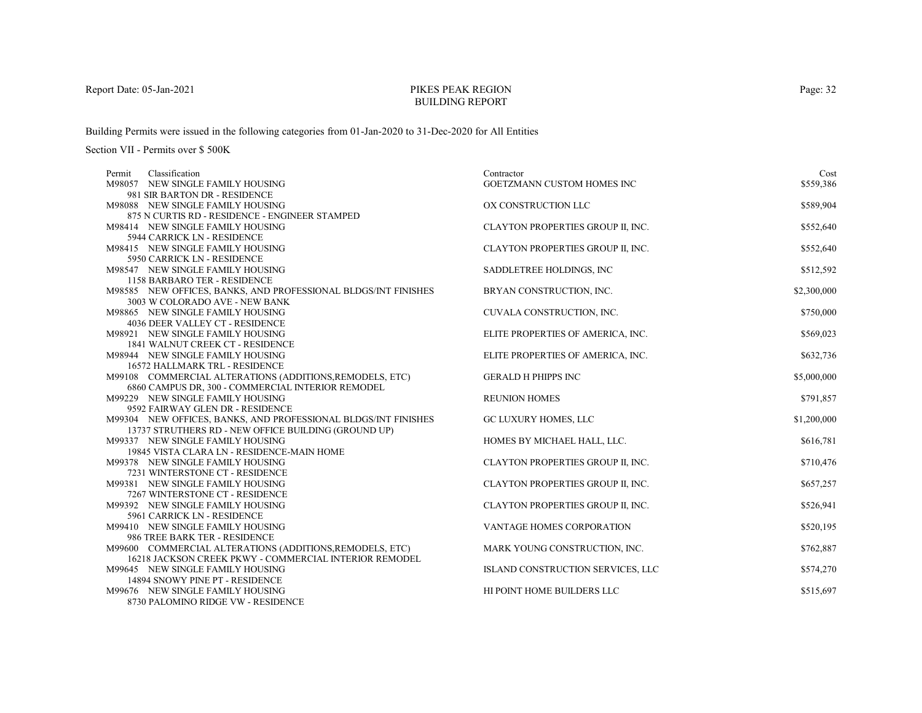# PIKES PEAK REGIONBUILDING REPORT

Building Permits were issued in the following categories from 01-Jan-2020 to 31-Dec-2020 for All Entities

Section VII - Permits over \$ 500K

| Classification<br>Permit                                             | Contractor                        | Cost        |
|----------------------------------------------------------------------|-----------------------------------|-------------|
| M98057 NEW SINGLE FAMILY HOUSING                                     | GOETZMANN CUSTOM HOMES INC        | \$559,386   |
| 981 SIR BARTON DR - RESIDENCE                                        |                                   |             |
| M98088 NEW SINGLE FAMILY HOUSING                                     | OX CONSTRUCTION LLC               | \$589,904   |
| 875 N CURTIS RD - RESIDENCE - ENGINEER STAMPED                       |                                   |             |
| M98414 NEW SINGLE FAMILY HOUSING                                     | CLAYTON PROPERTIES GROUP II, INC. | \$552,640   |
| 5944 CARRICK LN - RESIDENCE                                          |                                   |             |
| M98415 NEW SINGLE FAMILY HOUSING                                     | CLAYTON PROPERTIES GROUP II, INC. | \$552,640   |
| 5950 CARRICK LN - RESIDENCE                                          |                                   |             |
| M98547 NEW SINGLE FAMILY HOUSING                                     | SADDLETREE HOLDINGS, INC.         | \$512,592   |
| 1158 BARBARO TER - RESIDENCE                                         |                                   |             |
| M98585 NEW OFFICES, BANKS, AND PROFESSIONAL BLDGS/INT FINISHES       | BRYAN CONSTRUCTION, INC.          | \$2,300,000 |
| 3003 W COLORADO AVE - NEW BANK                                       |                                   |             |
| M98865 NEW SINGLE FAMILY HOUSING                                     | CUVALA CONSTRUCTION, INC.         | \$750,000   |
| 4036 DEER VALLEY CT - RESIDENCE                                      |                                   |             |
| M98921 NEW SINGLE FAMILY HOUSING                                     | ELITE PROPERTIES OF AMERICA, INC. | \$569,023   |
| 1841 WALNUT CREEK CT - RESIDENCE                                     |                                   |             |
| M98944 NEW SINGLE FAMILY HOUSING                                     | ELITE PROPERTIES OF AMERICA, INC. | \$632,736   |
| 16572 HALLMARK TRL - RESIDENCE                                       |                                   |             |
| M99108 COMMERCIAL ALTERATIONS (ADDITIONS, REMODELS, ETC)             | <b>GERALD H PHIPPS INC</b>        | \$5,000,000 |
| 6860 CAMPUS DR, 300 - COMMERCIAL INTERIOR REMODEL                    |                                   |             |
| M99229 NEW SINGLE FAMILY HOUSING<br>9592 FAIRWAY GLEN DR - RESIDENCE | <b>REUNION HOMES</b>              | \$791,857   |
| M99304 NEW OFFICES, BANKS, AND PROFESSIONAL BLDGS/INT FINISHES       | GC LUXURY HOMES, LLC              |             |
| 13737 STRUTHERS RD - NEW OFFICE BUILDING (GROUND UP)                 |                                   | \$1,200,000 |
| M99337 NEW SINGLE FAMILY HOUSING                                     | HOMES BY MICHAEL HALL, LLC.       | \$616,781   |
| 19845 VISTA CLARA LN - RESIDENCE-MAIN HOME                           |                                   |             |
| M99378 NEW SINGLE FAMILY HOUSING                                     | CLAYTON PROPERTIES GROUP II, INC. | \$710,476   |
| 7231 WINTERSTONE CT - RESIDENCE                                      |                                   |             |
| M99381 NEW SINGLE FAMILY HOUSING                                     | CLAYTON PROPERTIES GROUP II, INC. | \$657,257   |
| 7267 WINTERSTONE CT - RESIDENCE                                      |                                   |             |
| M99392 NEW SINGLE FAMILY HOUSING                                     | CLAYTON PROPERTIES GROUP II, INC. | \$526,941   |
| 5961 CARRICK LN - RESIDENCE                                          |                                   |             |
| M99410 NEW SINGLE FAMILY HOUSING                                     | <b>VANTAGE HOMES CORPORATION</b>  | \$520,195   |
| 986 TREE BARK TER - RESIDENCE                                        |                                   |             |
| M99600 COMMERCIAL ALTERATIONS (ADDITIONS, REMODELS, ETC)             | MARK YOUNG CONSTRUCTION, INC.     | \$762,887   |
| 16218 JACKSON CREEK PKWY - COMMERCIAL INTERIOR REMODEL               |                                   |             |
| M99645 NEW SINGLE FAMILY HOUSING                                     | ISLAND CONSTRUCTION SERVICES, LLC | \$574,270   |
| 14894 SNOWY PINE PT - RESIDENCE                                      |                                   |             |
| M99676 NEW SINGLE FAMILY HOUSING                                     | HI POINT HOME BUILDERS LLC        | \$515,697   |
| 8730 PALOMINO RIDGE VW - RESIDENCE                                   |                                   |             |

Page: 32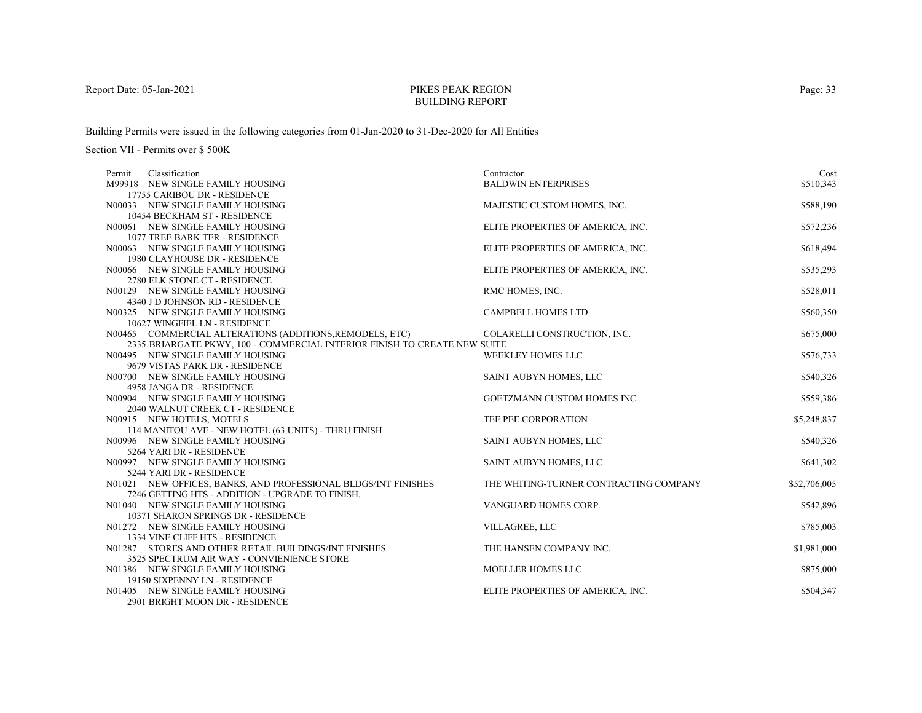# PIKES PEAK REGIONBUILDING REPORT

Building Permits were issued in the following categories from 01-Jan-2020 to 31-Dec-2020 for All Entities

| Classification<br>Permit                                                  | Contractor                             | Cost         |
|---------------------------------------------------------------------------|----------------------------------------|--------------|
| M99918 NEW SINGLE FAMILY HOUSING                                          | <b>BALDWIN ENTERPRISES</b>             | \$510,343    |
| 17755 CARIBOU DR - RESIDENCE                                              |                                        |              |
| N00033 NEW SINGLE FAMILY HOUSING                                          | MAJESTIC CUSTOM HOMES, INC.            | \$588,190    |
| 10454 BECKHAM ST - RESIDENCE                                              |                                        |              |
| N00061 NEW SINGLE FAMILY HOUSING                                          | ELITE PROPERTIES OF AMERICA, INC.      | \$572,236    |
| 1077 TREE BARK TER - RESIDENCE                                            |                                        |              |
| N00063 NEW SINGLE FAMILY HOUSING                                          | ELITE PROPERTIES OF AMERICA, INC.      | \$618,494    |
| 1980 CLAYHOUSE DR - RESIDENCE                                             |                                        |              |
| N00066 NEW SINGLE FAMILY HOUSING                                          | ELITE PROPERTIES OF AMERICA, INC.      | \$535,293    |
| 2780 ELK STONE CT - RESIDENCE                                             |                                        |              |
| N00129 NEW SINGLE FAMILY HOUSING                                          | RMC HOMES, INC.                        | \$528,011    |
| 4340 J D JOHNSON RD - RESIDENCE                                           |                                        |              |
| N00325 NEW SINGLE FAMILY HOUSING                                          | CAMPBELL HOMES LTD.                    | \$560,350    |
| 10627 WINGFIEL LN - RESIDENCE                                             |                                        |              |
| N00465 COMMERCIAL ALTERATIONS (ADDITIONS, REMODELS, ETC)                  | COLARELLI CONSTRUCTION, INC.           | \$675,000    |
| 2335 BRIARGATE PKWY, 100 - COMMERCIAL INTERIOR FINISH TO CREATE NEW SUITE | WEEKLEY HOMES LLC                      |              |
| N00495 NEW SINGLE FAMILY HOUSING<br>9679 VISTAS PARK DR - RESIDENCE       |                                        | \$576,733    |
| N00700 NEW SINGLE FAMILY HOUSING                                          | SAINT AUBYN HOMES, LLC                 | \$540,326    |
| 4958 JANGA DR - RESIDENCE                                                 |                                        |              |
| N00904 NEW SINGLE FAMILY HOUSING                                          | GOETZMANN CUSTOM HOMES INC             | \$559,386    |
| 2040 WALNUT CREEK CT - RESIDENCE                                          |                                        |              |
| N00915 NEW HOTELS, MOTELS                                                 | TEE PEE CORPORATION                    | \$5,248,837  |
| 114 MANITOU AVE - NEW HOTEL (63 UNITS) - THRU FINISH                      |                                        |              |
| N00996 NEW SINGLE FAMILY HOUSING                                          | SAINT AUBYN HOMES, LLC                 | \$540,326    |
| 5264 YARI DR - RESIDENCE                                                  |                                        |              |
| N00997 NEW SINGLE FAMILY HOUSING                                          | SAINT AUBYN HOMES, LLC                 | \$641,302    |
| 5244 YARI DR - RESIDENCE                                                  |                                        |              |
| N01021 NEW OFFICES, BANKS, AND PROFESSIONAL BLDGS/INT FINISHES            | THE WHITING-TURNER CONTRACTING COMPANY | \$52,706,005 |
| 7246 GETTING HTS - ADDITION - UPGRADE TO FINISH.                          |                                        |              |
| N01040 NEW SINGLE FAMILY HOUSING                                          | VANGUARD HOMES CORP.                   | \$542,896    |
| 10371 SHARON SPRINGS DR - RESIDENCE                                       |                                        |              |
| N01272 NEW SINGLE FAMILY HOUSING                                          | VILLAGREE, LLC                         | \$785,003    |
| 1334 VINE CLIFF HTS - RESIDENCE                                           |                                        |              |
| N01287 STORES AND OTHER RETAIL BUILDINGS/INT FINISHES                     | THE HANSEN COMPANY INC.                | \$1,981,000  |
| 3525 SPECTRUM AIR WAY - CONVIENIENCE STORE                                |                                        |              |
| N01386 NEW SINGLE FAMILY HOUSING                                          | MOELLER HOMES LLC                      | \$875,000    |
| 19150 SIXPENNY LN - RESIDENCE                                             |                                        |              |
| N01405 NEW SINGLE FAMILY HOUSING                                          | ELITE PROPERTIES OF AMERICA, INC.      | \$504,347    |
| 2901 BRIGHT MOON DR - RESIDENCE                                           |                                        |              |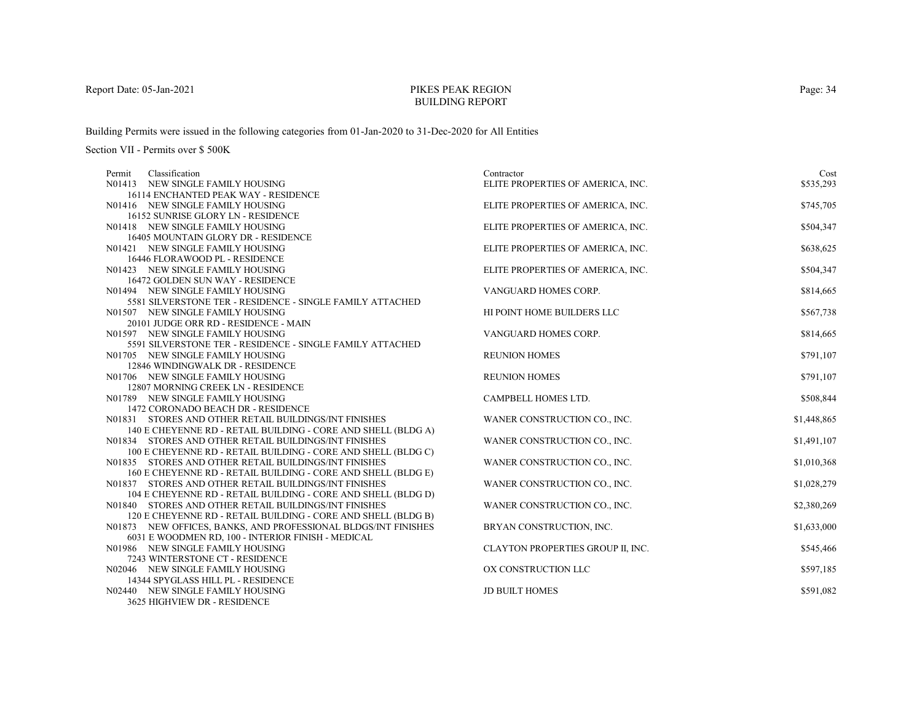# PIKES PEAK REGIONBUILDING REPORT

Building Permits were issued in the following categories from 01-Jan-2020 to 31-Dec-2020 for All Entities

| Classification<br>Permit                                       | Contractor                        | Cost        |
|----------------------------------------------------------------|-----------------------------------|-------------|
| N01413 NEW SINGLE FAMILY HOUSING                               | ELITE PROPERTIES OF AMERICA, INC. | \$535,293   |
| 16114 ENCHANTED PEAK WAY - RESIDENCE                           |                                   |             |
| N01416 NEW SINGLE FAMILY HOUSING                               | ELITE PROPERTIES OF AMERICA, INC. | \$745,705   |
| 16152 SUNRISE GLORY LN - RESIDENCE                             |                                   |             |
| N01418 NEW SINGLE FAMILY HOUSING                               | ELITE PROPERTIES OF AMERICA, INC. | \$504,347   |
| 16405 MOUNTAIN GLORY DR - RESIDENCE                            |                                   |             |
| N01421 NEW SINGLE FAMILY HOUSING                               | ELITE PROPERTIES OF AMERICA, INC. | \$638,625   |
| 16446 FLORAWOOD PL - RESIDENCE                                 |                                   |             |
| N01423 NEW SINGLE FAMILY HOUSING                               | ELITE PROPERTIES OF AMERICA, INC. | \$504,347   |
| 16472 GOLDEN SUN WAY - RESIDENCE                               |                                   |             |
| N01494 NEW SINGLE FAMILY HOUSING                               | VANGUARD HOMES CORP.              | \$814,665   |
| 5581 SILVERSTONE TER - RESIDENCE - SINGLE FAMILY ATTACHED      |                                   |             |
| N01507 NEW SINGLE FAMILY HOUSING                               | HI POINT HOME BUILDERS LLC        | \$567,738   |
| 20101 JUDGE ORR RD - RESIDENCE - MAIN                          |                                   |             |
| N01597 NEW SINGLE FAMILY HOUSING                               | VANGUARD HOMES CORP.              | \$814,665   |
| 5591 SILVERSTONE TER - RESIDENCE - SINGLE FAMILY ATTACHED      |                                   |             |
| N01705 NEW SINGLE FAMILY HOUSING                               | <b>REUNION HOMES</b>              | \$791,107   |
| 12846 WINDINGWALK DR - RESIDENCE                               |                                   |             |
| N01706 NEW SINGLE FAMILY HOUSING                               | <b>REUNION HOMES</b>              | \$791,107   |
| 12807 MORNING CREEK LN - RESIDENCE                             |                                   |             |
| N01789 NEW SINGLE FAMILY HOUSING                               | CAMPBELL HOMES LTD.               | \$508,844   |
| 1472 CORONADO BEACH DR - RESIDENCE                             |                                   |             |
| N01831 STORES AND OTHER RETAIL BUILDINGS/INT FINISHES          | WANER CONSTRUCTION CO., INC.      | \$1,448,865 |
| 140 E CHEYENNE RD - RETAIL BUILDING - CORE AND SHELL (BLDG A)  |                                   |             |
| N01834 STORES AND OTHER RETAIL BUILDINGS/INT FINISHES          | WANER CONSTRUCTION CO., INC.      | \$1,491,107 |
| 100 E CHEYENNE RD - RETAIL BUILDING - CORE AND SHELL (BLDG C)  |                                   |             |
| N01835 STORES AND OTHER RETAIL BUILDINGS/INT FINISHES          | WANER CONSTRUCTION CO., INC.      | \$1,010,368 |
| 160 E CHEYENNE RD - RETAIL BUILDING - CORE AND SHELL (BLDG E)  |                                   |             |
| N01837 STORES AND OTHER RETAIL BUILDINGS/INT FINISHES          | WANER CONSTRUCTION CO., INC.      | \$1,028,279 |
| 104 E CHEYENNE RD - RETAIL BUILDING - CORE AND SHELL (BLDG D)  |                                   |             |
| N01840 STORES AND OTHER RETAIL BUILDINGS/INT FINISHES          | WANER CONSTRUCTION CO., INC.      | \$2,380,269 |
| 120 E CHEYENNE RD - RETAIL BUILDING - CORE AND SHELL (BLDG B)  |                                   |             |
| N01873 NEW OFFICES, BANKS, AND PROFESSIONAL BLDGS/INT FINISHES | BRYAN CONSTRUCTION, INC.          | \$1,633,000 |
| 6031 E WOODMEN RD, 100 - INTERIOR FINISH - MEDICAL             |                                   |             |
| N01986 NEW SINGLE FAMILY HOUSING                               | CLAYTON PROPERTIES GROUP II, INC. | \$545,466   |
| 7243 WINTERSTONE CT - RESIDENCE                                |                                   |             |
| N02046 NEW SINGLE FAMILY HOUSING                               | OX CONSTRUCTION LLC               | \$597,185   |
| 14344 SPYGLASS HILL PL - RESIDENCE                             |                                   |             |
| N02440 NEW SINGLE FAMILY HOUSING                               | <b>JD BUILT HOMES</b>             | \$591,082   |
| 3625 HIGHVIEW DR - RESIDENCE                                   |                                   |             |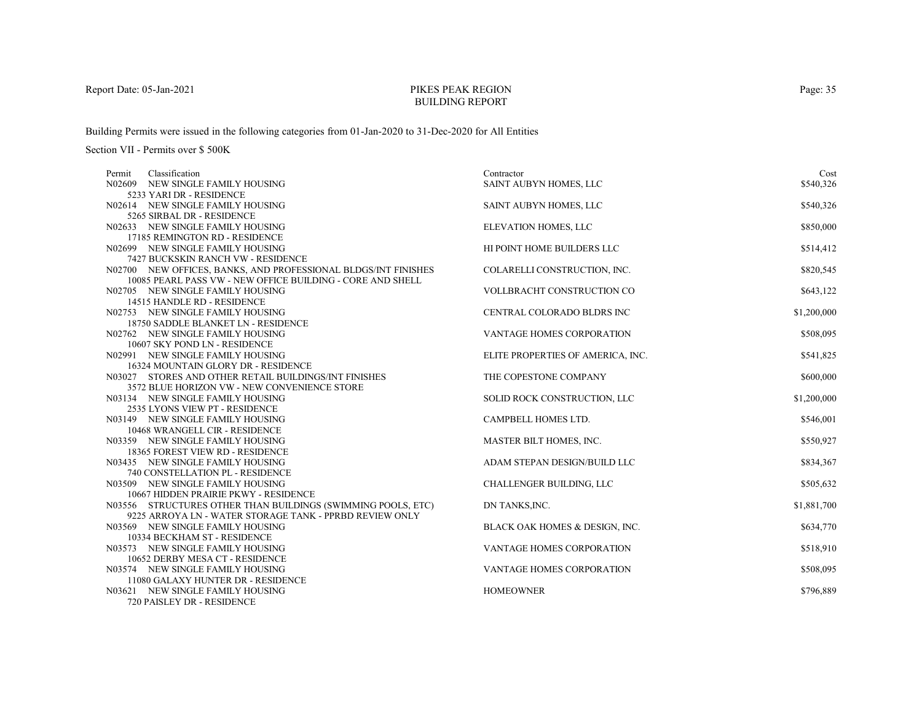# PIKES PEAK REGIONBUILDING REPORT

Building Permits were issued in the following categories from 01-Jan-2020 to 31-Dec-2020 for All Entities

| Classification<br>Permit                                           | Contractor                        | Cost        |
|--------------------------------------------------------------------|-----------------------------------|-------------|
| N02609 NEW SINGLE FAMILY HOUSING                                   | SAINT AUBYN HOMES, LLC            | \$540,326   |
| 5233 YARI DR - RESIDENCE                                           |                                   |             |
| N02614 NEW SINGLE FAMILY HOUSING                                   | SAINT AUBYN HOMES, LLC            | \$540,326   |
| 5265 SIRBAL DR - RESIDENCE                                         |                                   |             |
| N02633 NEW SINGLE FAMILY HOUSING                                   | ELEVATION HOMES, LLC              | \$850,000   |
| 17185 REMINGTON RD - RESIDENCE                                     |                                   |             |
| N02699 NEW SINGLE FAMILY HOUSING                                   | HI POINT HOME BUILDERS LLC        | \$514,412   |
| 7427 BUCKSKIN RANCH VW - RESIDENCE                                 |                                   |             |
| N02700 NEW OFFICES, BANKS, AND PROFESSIONAL BLDGS/INT FINISHES     | COLARELLI CONSTRUCTION, INC.      | \$820,545   |
| 10085 PEARL PASS VW - NEW OFFICE BUILDING - CORE AND SHELL         |                                   |             |
| N02705 NEW SINGLE FAMILY HOUSING                                   | VOLLBRACHT CONSTRUCTION CO        | \$643,122   |
| 14515 HANDLE RD - RESIDENCE                                        |                                   |             |
| N02753 NEW SINGLE FAMILY HOUSING                                   | CENTRAL COLORADO BLDRS INC        | \$1,200,000 |
| 18750 SADDLE BLANKET LN - RESIDENCE                                |                                   |             |
| N02762 NEW SINGLE FAMILY HOUSING                                   | VANTAGE HOMES CORPORATION         | \$508,095   |
| 10607 SKY POND LN - RESIDENCE                                      |                                   |             |
| N02991 NEW SINGLE FAMILY HOUSING                                   | ELITE PROPERTIES OF AMERICA, INC. | \$541,825   |
| 16324 MOUNTAIN GLORY DR - RESIDENCE                                |                                   |             |
| N03027 STORES AND OTHER RETAIL BUILDINGS/INT FINISHES              | THE COPESTONE COMPANY             | \$600,000   |
| 3572 BLUE HORIZON VW - NEW CONVENIENCE STORE                       |                                   |             |
| N03134 NEW SINGLE FAMILY HOUSING<br>2535 LYONS VIEW PT - RESIDENCE | SOLID ROCK CONSTRUCTION, LLC      | \$1,200,000 |
| N03149 NEW SINGLE FAMILY HOUSING                                   | CAMPBELL HOMES LTD.               | \$546,001   |
| 10468 WRANGELL CIR - RESIDENCE                                     |                                   |             |
| N03359 NEW SINGLE FAMILY HOUSING                                   | MASTER BILT HOMES, INC.           | \$550,927   |
| 18365 FOREST VIEW RD - RESIDENCE                                   |                                   |             |
| N03435 NEW SINGLE FAMILY HOUSING                                   | ADAM STEPAN DESIGN/BUILD LLC      | \$834,367   |
| 740 CONSTELLATION PL - RESIDENCE                                   |                                   |             |
| N03509 NEW SINGLE FAMILY HOUSING                                   | <b>CHALLENGER BUILDING, LLC</b>   | \$505,632   |
| 10667 HIDDEN PRAIRIE PKWY - RESIDENCE                              |                                   |             |
| N03556 STRUCTURES OTHER THAN BUILDINGS (SWIMMING POOLS, ETC)       | DN TANKS, INC.                    | \$1,881,700 |
| 9225 ARROYA LN - WATER STORAGE TANK - PPRBD REVIEW ONLY            |                                   |             |
| N03569 NEW SINGLE FAMILY HOUSING                                   | BLACK OAK HOMES & DESIGN, INC.    | \$634,770   |
| 10334 BECKHAM ST - RESIDENCE                                       |                                   |             |
| N03573 NEW SINGLE FAMILY HOUSING                                   | VANTAGE HOMES CORPORATION         | \$518,910   |
| 10652 DERBY MESA CT - RESIDENCE                                    |                                   |             |
| N03574 NEW SINGLE FAMILY HOUSING                                   | VANTAGE HOMES CORPORATION         | \$508,095   |
| 11080 GALAXY HUNTER DR - RESIDENCE                                 |                                   |             |
| N03621 NEW SINGLE FAMILY HOUSING                                   | <b>HOMEOWNER</b>                  | \$796,889   |
| 720 PAISLEY DR - RESIDENCE                                         |                                   |             |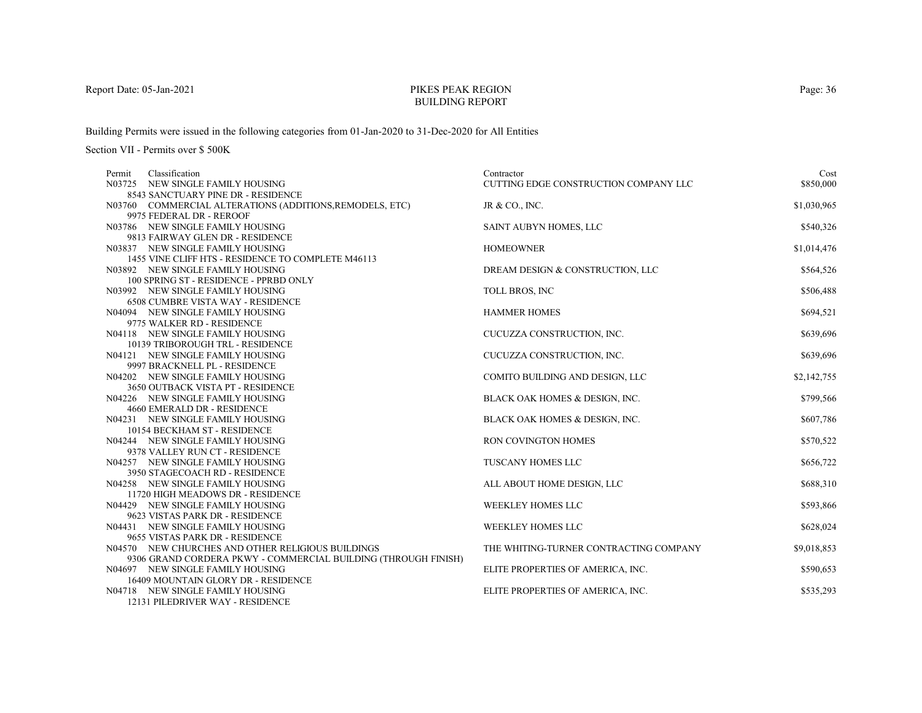# PIKES PEAK REGIONBUILDING REPORT

Building Permits were issued in the following categories from 01-Jan-2020 to 31-Dec-2020 for All Entities

Section VII - Permits over \$ 500K

| Classification<br>Permit<br>N03725 NEW SINGLE FAMILY HOUSING   | Contractor<br>CUTTING EDGE CONSTRUCTION COMPANY LLC | Cost<br>\$850,000 |
|----------------------------------------------------------------|-----------------------------------------------------|-------------------|
| 8543 SANCTUARY PINE DR - RESIDENCE                             |                                                     |                   |
| N03760 COMMERCIAL ALTERATIONS (ADDITIONS, REMODELS, ETC)       | JR & CO., INC.                                      | \$1,030,965       |
| 9975 FEDERAL DR - REROOF                                       |                                                     |                   |
| N03786 NEW SINGLE FAMILY HOUSING                               | SAINT AUBYN HOMES, LLC                              | \$540,326         |
| 9813 FAIRWAY GLEN DR - RESIDENCE                               |                                                     |                   |
| N03837 NEW SINGLE FAMILY HOUSING                               | <b>HOMEOWNER</b>                                    | \$1,014,476       |
| 1455 VINE CLIFF HTS - RESIDENCE TO COMPLETE M46113             |                                                     |                   |
| N03892 NEW SINGLE FAMILY HOUSING                               | DREAM DESIGN & CONSTRUCTION, LLC                    | \$564,526         |
| 100 SPRING ST - RESIDENCE - PPRBD ONLY                         |                                                     |                   |
| N03992 NEW SINGLE FAMILY HOUSING                               | TOLL BROS, INC                                      | \$506,488         |
| <b>6508 CUMBRE VISTA WAY - RESIDENCE</b>                       |                                                     |                   |
| N04094 NEW SINGLE FAMILY HOUSING                               | <b>HAMMER HOMES</b>                                 | \$694,521         |
| 9775 WALKER RD - RESIDENCE                                     |                                                     |                   |
| N04118 NEW SINGLE FAMILY HOUSING                               | CUCUZZA CONSTRUCTION, INC.                          | \$639,696         |
| 10139 TRIBOROUGH TRL - RESIDENCE                               |                                                     |                   |
| N04121 NEW SINGLE FAMILY HOUSING                               | CUCUZZA CONSTRUCTION, INC.                          | \$639,696         |
| 9997 BRACKNELL PL - RESIDENCE                                  |                                                     |                   |
| N04202 NEW SINGLE FAMILY HOUSING                               | COMITO BUILDING AND DESIGN, LLC                     | \$2,142,755       |
| 3650 OUTBACK VISTA PT - RESIDENCE                              |                                                     |                   |
| N04226 NEW SINGLE FAMILY HOUSING                               | BLACK OAK HOMES & DESIGN, INC.                      | \$799,566         |
| 4660 EMERALD DR - RESIDENCE                                    |                                                     |                   |
| N04231 NEW SINGLE FAMILY HOUSING                               | BLACK OAK HOMES & DESIGN, INC.                      | \$607,786         |
| 10154 BECKHAM ST - RESIDENCE                                   |                                                     |                   |
| N04244 NEW SINGLE FAMILY HOUSING                               | <b>RON COVINGTON HOMES</b>                          | \$570,522         |
| 9378 VALLEY RUN CT - RESIDENCE                                 |                                                     |                   |
| N04257 NEW SINGLE FAMILY HOUSING                               | <b>TUSCANY HOMES LLC</b>                            | \$656,722         |
| 3950 STAGECOACH RD - RESIDENCE                                 |                                                     |                   |
| N04258 NEW SINGLE FAMILY HOUSING                               | ALL ABOUT HOME DESIGN, LLC                          | \$688,310         |
| 11720 HIGH MEADOWS DR - RESIDENCE                              |                                                     |                   |
| N04429 NEW SINGLE FAMILY HOUSING                               | <b>WEEKLEY HOMES LLC</b>                            | \$593,866         |
| 9623 VISTAS PARK DR - RESIDENCE                                |                                                     |                   |
| N04431 NEW SINGLE FAMILY HOUSING                               | <b>WEEKLEY HOMES LLC</b>                            | \$628,024         |
| 9655 VISTAS PARK DR - RESIDENCE                                |                                                     |                   |
| N04570 NEW CHURCHES AND OTHER RELIGIOUS BUILDINGS              | THE WHITING-TURNER CONTRACTING COMPANY              | \$9,018,853       |
| 9306 GRAND CORDERA PKWY - COMMERCIAL BUILDING (THROUGH FINISH) |                                                     |                   |
| N04697 NEW SINGLE FAMILY HOUSING                               | ELITE PROPERTIES OF AMERICA, INC.                   | \$590,653         |
| 16409 MOUNTAIN GLORY DR - RESIDENCE                            |                                                     |                   |
| N04718 NEW SINGLE FAMILY HOUSING                               | ELITE PROPERTIES OF AMERICA, INC.                   | \$535,293         |
| 12131 PILEDRIVER WAY - RESIDENCE                               |                                                     |                   |

Page: 36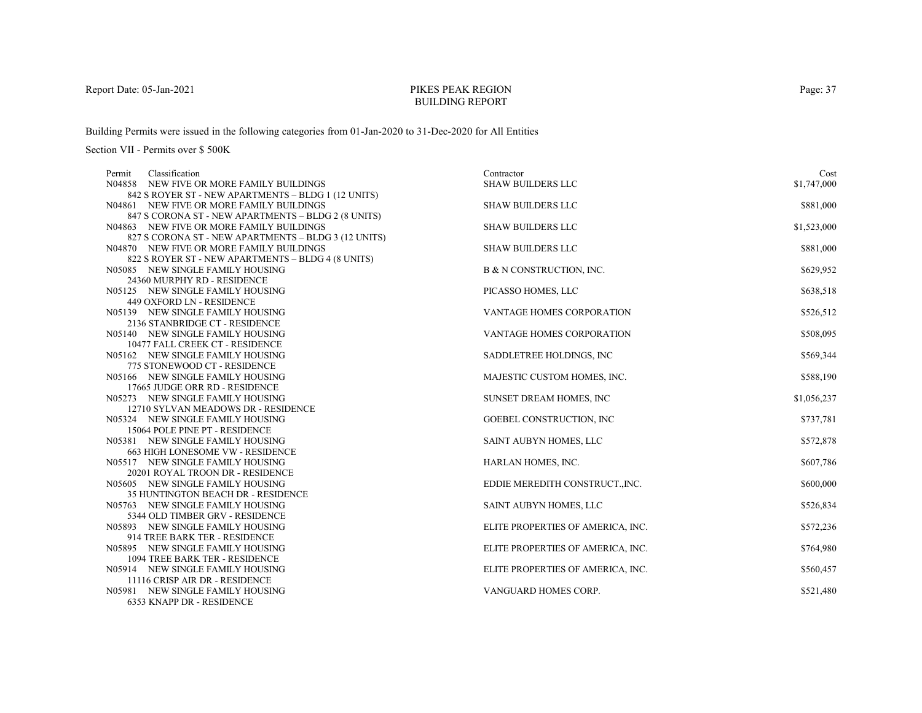# PIKES PEAK REGIONBUILDING REPORT

Building Permits were issued in the following categories from 01-Jan-2020 to 31-Dec-2020 for All Entities

| Classification<br>Permit                                             | Contractor                        | Cost        |
|----------------------------------------------------------------------|-----------------------------------|-------------|
| N04858 NEW FIVE OR MORE FAMILY BUILDINGS                             | <b>SHAW BUILDERS LLC</b>          | \$1,747,000 |
| 842 S ROYER ST - NEW APARTMENTS - BLDG 1 (12 UNITS)                  |                                   |             |
| N04861 NEW FIVE OR MORE FAMILY BUILDINGS                             | <b>SHAW BUILDERS LLC</b>          | \$881,000   |
| 847 S CORONA ST - NEW APARTMENTS - BLDG 2 (8 UNITS)                  |                                   |             |
| N04863 NEW FIVE OR MORE FAMILY BUILDINGS                             | <b>SHAW BUILDERS LLC</b>          | \$1,523,000 |
| 827 S CORONA ST - NEW APARTMENTS - BLDG 3 (12 UNITS)                 |                                   |             |
| N04870 NEW FIVE OR MORE FAMILY BUILDINGS                             | <b>SHAW BUILDERS LLC</b>          | \$881,000   |
| 822 S ROYER ST - NEW APARTMENTS - BLDG 4 (8 UNITS)                   |                                   |             |
| N05085 NEW SINGLE FAMILY HOUSING                                     | B & N CONSTRUCTION, INC.          | \$629,952   |
| 24360 MURPHY RD - RESIDENCE                                          |                                   |             |
| N05125 NEW SINGLE FAMILY HOUSING                                     | PICASSO HOMES, LLC                | \$638,518   |
| 449 OXFORD LN - RESIDENCE                                            |                                   |             |
| N05139 NEW SINGLE FAMILY HOUSING                                     | VANTAGE HOMES CORPORATION         | \$526,512   |
| 2136 STANBRIDGE CT - RESIDENCE                                       |                                   |             |
| N05140 NEW SINGLE FAMILY HOUSING                                     | <b>VANTAGE HOMES CORPORATION</b>  | \$508,095   |
| 10477 FALL CREEK CT - RESIDENCE                                      |                                   |             |
| N05162 NEW SINGLE FAMILY HOUSING                                     | SADDLETREE HOLDINGS, INC.         | \$569,344   |
| 775 STONEWOOD CT - RESIDENCE                                         |                                   |             |
| N05166 NEW SINGLE FAMILY HOUSING                                     | MAJESTIC CUSTOM HOMES, INC.       | \$588,190   |
| 17665 JUDGE ORR RD - RESIDENCE                                       |                                   |             |
| N05273 NEW SINGLE FAMILY HOUSING                                     | SUNSET DREAM HOMES, INC.          | \$1,056,237 |
| 12710 SYLVAN MEADOWS DR - RESIDENCE                                  |                                   |             |
| N05324 NEW SINGLE FAMILY HOUSING                                     | GOEBEL CONSTRUCTION, INC          | \$737,781   |
| 15064 POLE PINE PT - RESIDENCE                                       |                                   |             |
| N05381 NEW SINGLE FAMILY HOUSING                                     | SAINT AUBYN HOMES, LLC            | \$572,878   |
| 663 HIGH LONESOME VW - RESIDENCE<br>N05517 NEW SINGLE FAMILY HOUSING |                                   |             |
| 20201 ROYAL TROON DR - RESIDENCE                                     | HARLAN HOMES, INC.                | \$607,786   |
| N05605 NEW SINGLE FAMILY HOUSING                                     | EDDIE MEREDITH CONSTRUCT., INC.   | \$600,000   |
| 35 HUNTINGTON BEACH DR - RESIDENCE                                   |                                   |             |
| N05763 NEW SINGLE FAMILY HOUSING                                     | SAINT AUBYN HOMES, LLC            | \$526,834   |
| 5344 OLD TIMBER GRV - RESIDENCE                                      |                                   |             |
| N05893 NEW SINGLE FAMILY HOUSING                                     | ELITE PROPERTIES OF AMERICA, INC. | \$572,236   |
| 914 TREE BARK TER - RESIDENCE                                        |                                   |             |
| N05895 NEW SINGLE FAMILY HOUSING                                     | ELITE PROPERTIES OF AMERICA, INC. | \$764,980   |
| 1094 TREE BARK TER - RESIDENCE                                       |                                   |             |
| N05914 NEW SINGLE FAMILY HOUSING                                     | ELITE PROPERTIES OF AMERICA, INC. | \$560,457   |
| 11116 CRISP AIR DR - RESIDENCE                                       |                                   |             |
| N05981 NEW SINGLE FAMILY HOUSING                                     | VANGUARD HOMES CORP.              | \$521,480   |
| 6353 KNAPP DR - RESIDENCE                                            |                                   |             |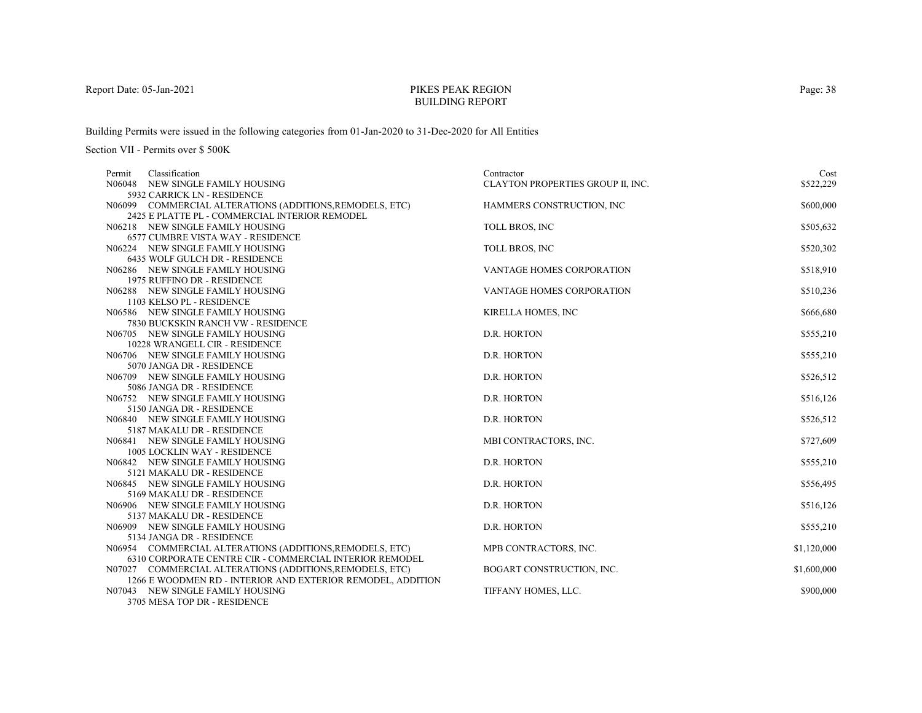# PIKES PEAK REGIONBUILDING REPORT

Building Permits were issued in the following categories from 01-Jan-2020 to 31-Dec-2020 for All Entities

Section VII - Permits over \$ 500K

| Classification<br>Permit                                        | Contractor                        | Cost        |
|-----------------------------------------------------------------|-----------------------------------|-------------|
| NEW SINGLE FAMILY HOUSING<br>N06048                             | CLAYTON PROPERTIES GROUP II, INC. | \$522,229   |
| 5932 CARRICK LN - RESIDENCE                                     |                                   |             |
| N06099 COMMERCIAL ALTERATIONS (ADDITIONS, REMODELS, ETC)        | HAMMERS CONSTRUCTION, INC         | \$600,000   |
| 2425 E PLATTE PL - COMMERCIAL INTERIOR REMODEL                  |                                   |             |
| N06218 NEW SINGLE FAMILY HOUSING                                | TOLL BROS, INC                    | \$505,632   |
| <b>6577 CUMBRE VISTA WAY - RESIDENCE</b>                        |                                   |             |
| N06224 NEW SINGLE FAMILY HOUSING                                | TOLL BROS, INC                    | \$520,302   |
| 6435 WOLF GULCH DR - RESIDENCE                                  |                                   |             |
| N06286 NEW SINGLE FAMILY HOUSING                                | VANTAGE HOMES CORPORATION         | \$518,910   |
| 1975 RUFFINO DR - RESIDENCE                                     |                                   |             |
| N06288 NEW SINGLE FAMILY HOUSING                                | VANTAGE HOMES CORPORATION         | \$510,236   |
| 1103 KELSO PL - RESIDENCE                                       |                                   |             |
| N06586 NEW SINGLE FAMILY HOUSING                                | KIRELLA HOMES, INC                | \$666,680   |
| 7830 BUCKSKIN RANCH VW - RESIDENCE                              |                                   |             |
| N06705 NEW SINGLE FAMILY HOUSING                                | D.R. HORTON                       | \$555,210   |
| 10228 WRANGELL CIR - RESIDENCE                                  |                                   |             |
| N06706 NEW SINGLE FAMILY HOUSING                                | D.R. HORTON                       | \$555,210   |
| 5070 JANGA DR - RESIDENCE                                       |                                   |             |
| N06709 NEW SINGLE FAMILY HOUSING                                | D.R. HORTON                       | \$526,512   |
| 5086 JANGA DR - RESIDENCE                                       |                                   |             |
| N06752 NEW SINGLE FAMILY HOUSING                                | D.R. HORTON                       | \$516,126   |
| 5150 JANGA DR - RESIDENCE                                       |                                   |             |
| N06840 NEW SINGLE FAMILY HOUSING                                | D.R. HORTON                       | \$526,512   |
| 5187 MAKALU DR - RESIDENCE                                      |                                   |             |
| N06841 NEW SINGLE FAMILY HOUSING                                | MBI CONTRACTORS, INC.             | \$727,609   |
| <b>1005 LOCKLIN WAY - RESIDENCE</b>                             |                                   |             |
| N06842 NEW SINGLE FAMILY HOUSING                                | D.R. HORTON                       | \$555,210   |
| 5121 MAKALU DR - RESIDENCE                                      |                                   |             |
| N06845 NEW SINGLE FAMILY HOUSING                                | D.R. HORTON                       | \$556,495   |
| 5169 MAKALU DR - RESIDENCE                                      |                                   |             |
| N06906 NEW SINGLE FAMILY HOUSING                                | D.R. HORTON                       | \$516,126   |
| 5137 MAKALU DR - RESIDENCE                                      |                                   |             |
| N06909 NEW SINGLE FAMILY HOUSING                                | D.R. HORTON                       | \$555,210   |
| 5134 JANGA DR - RESIDENCE                                       |                                   |             |
| N06954 COMMERCIAL ALTERATIONS (ADDITIONS, REMODELS, ETC)        | MPB CONTRACTORS, INC.             | \$1,120,000 |
| 6310 CORPORATE CENTRE CIR - COMMERCIAL INTERIOR REMODEL         |                                   |             |
| N07027 COMMERCIAL ALTERATIONS (ADDITIONS, REMODELS, ETC)        | BOGART CONSTRUCTION, INC.         | \$1,600,000 |
| 1266 E WOODMEN RD - INTERIOR AND EXTERIOR REMODEL, ADDITION     |                                   |             |
| N07043 NEW SINGLE FAMILY HOUSING<br>2705 MEGA TOD DD. DECIDEMOR | TIFFANY HOMES, LLC.               | \$900,000   |
|                                                                 |                                   |             |

3705 MESA TOP DR - RESIDENCE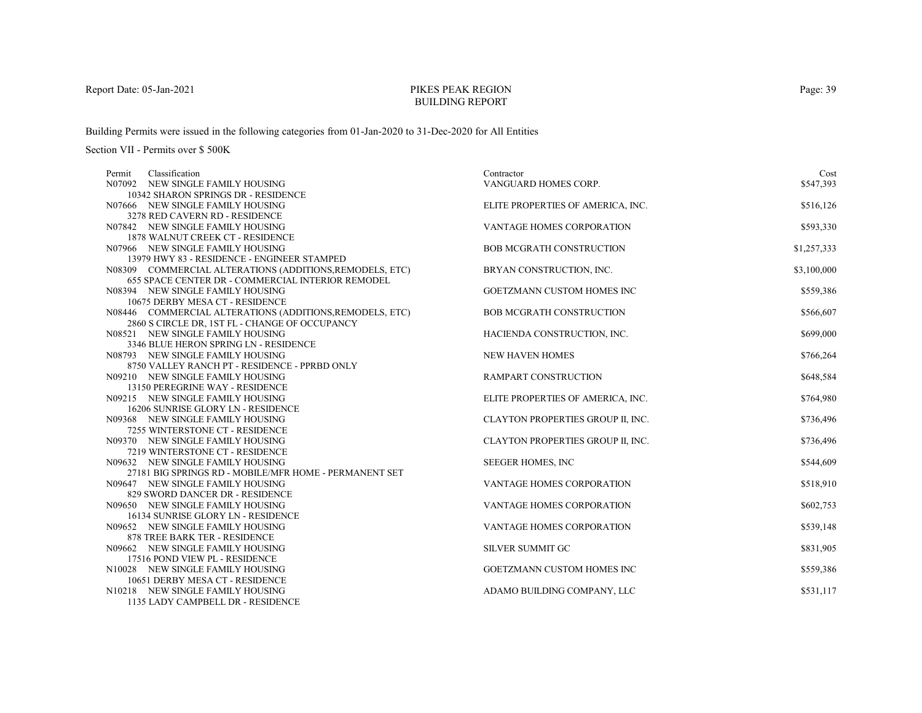# PIKES PEAK REGIONBUILDING REPORT

Building Permits were issued in the following categories from 01-Jan-2020 to 31-Dec-2020 for All Entities

| Classification<br>Permit                                               | Contractor                        | Cost        |
|------------------------------------------------------------------------|-----------------------------------|-------------|
| N07092 NEW SINGLE FAMILY HOUSING                                       | VANGUARD HOMES CORP.              | \$547,393   |
| 10342 SHARON SPRINGS DR - RESIDENCE                                    |                                   |             |
| N07666 NEW SINGLE FAMILY HOUSING                                       | ELITE PROPERTIES OF AMERICA, INC. | \$516,126   |
| 3278 RED CAVERN RD - RESIDENCE                                         |                                   |             |
| N07842 NEW SINGLE FAMILY HOUSING                                       | VANTAGE HOMES CORPORATION         | \$593,330   |
| 1878 WALNUT CREEK CT - RESIDENCE                                       |                                   |             |
| N07966 NEW SINGLE FAMILY HOUSING                                       | <b>BOB MCGRATH CONSTRUCTION</b>   | \$1,257,333 |
| 13979 HWY 83 - RESIDENCE - ENGINEER STAMPED                            |                                   |             |
| N08309 COMMERCIAL ALTERATIONS (ADDITIONS, REMODELS, ETC)               | BRYAN CONSTRUCTION, INC.          | \$3,100,000 |
| 655 SPACE CENTER DR - COMMERCIAL INTERIOR REMODEL                      |                                   |             |
| N08394 NEW SINGLE FAMILY HOUSING                                       | GOETZMANN CUSTOM HOMES INC        | \$559,386   |
| 10675 DERBY MESA CT - RESIDENCE                                        |                                   |             |
| N08446 COMMERCIAL ALTERATIONS (ADDITIONS, REMODELS, ETC)               | <b>BOB MCGRATH CONSTRUCTION</b>   | \$566,607   |
| 2860 S CIRCLE DR. 1ST FL - CHANGE OF OCCUPANCY                         |                                   |             |
| N08521 NEW SINGLE FAMILY HOUSING                                       | HACIENDA CONSTRUCTION, INC.       | \$699,000   |
| 3346 BLUE HERON SPRING LN - RESIDENCE                                  |                                   |             |
| N08793 NEW SINGLE FAMILY HOUSING                                       | <b>NEW HAVEN HOMES</b>            | \$766,264   |
| 8750 VALLEY RANCH PT - RESIDENCE - PPRBD ONLY                          |                                   |             |
| N09210 NEW SINGLE FAMILY HOUSING                                       | <b>RAMPART CONSTRUCTION</b>       | \$648,584   |
| 13150 PEREGRINE WAY - RESIDENCE                                        |                                   |             |
| N09215 NEW SINGLE FAMILY HOUSING                                       | ELITE PROPERTIES OF AMERICA, INC. | \$764,980   |
| 16206 SUNRISE GLORY LN - RESIDENCE<br>N09368 NEW SINGLE FAMILY HOUSING |                                   |             |
| 7255 WINTERSTONE CT - RESIDENCE                                        | CLAYTON PROPERTIES GROUP II, INC. | \$736,496   |
| N09370 NEW SINGLE FAMILY HOUSING                                       | CLAYTON PROPERTIES GROUP II, INC. | \$736,496   |
| 7219 WINTERSTONE CT - RESIDENCE                                        |                                   |             |
| N09632 NEW SINGLE FAMILY HOUSING                                       | <b>SEEGER HOMES, INC</b>          | \$544,609   |
| 27181 BIG SPRINGS RD - MOBILE/MFR HOME - PERMANENT SET                 |                                   |             |
| N09647 NEW SINGLE FAMILY HOUSING                                       | VANTAGE HOMES CORPORATION         | \$518,910   |
| 829 SWORD DANCER DR - RESIDENCE                                        |                                   |             |
| N09650 NEW SINGLE FAMILY HOUSING                                       | VANTAGE HOMES CORPORATION         | \$602,753   |
| 16134 SUNRISE GLORY LN - RESIDENCE                                     |                                   |             |
| N09652 NEW SINGLE FAMILY HOUSING                                       | VANTAGE HOMES CORPORATION         | \$539,148   |
| 878 TREE BARK TER - RESIDENCE                                          |                                   |             |
| N09662 NEW SINGLE FAMILY HOUSING                                       | <b>SILVER SUMMIT GC</b>           | \$831,905   |
| 17516 POND VIEW PL - RESIDENCE                                         |                                   |             |
| N10028 NEW SINGLE FAMILY HOUSING                                       | GOETZMANN CUSTOM HOMES INC        | \$559,386   |
| 10651 DERBY MESA CT - RESIDENCE                                        |                                   |             |
| N10218 NEW SINGLE FAMILY HOUSING                                       | ADAMO BUILDING COMPANY, LLC       | \$531,117   |
| 1135 LADY CAMPBELL DR - RESIDENCE                                      |                                   |             |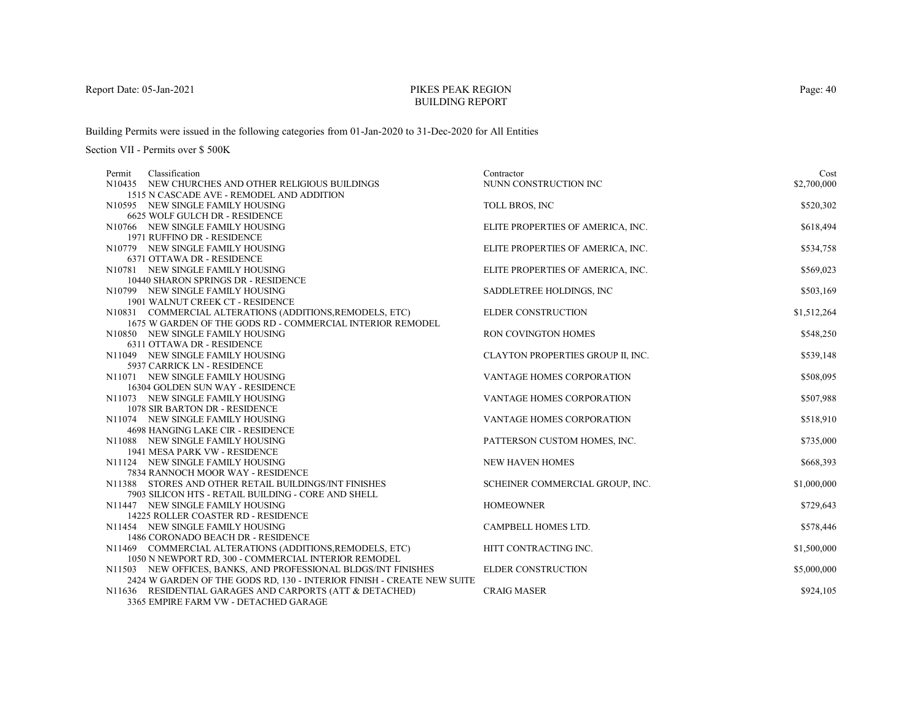# PIKES PEAK REGIONBUILDING REPORT

Building Permits were issued in the following categories from 01-Jan-2020 to 31-Dec-2020 for All Entities

| Permit | Classification                                                         | Contractor                        | Cost        |
|--------|------------------------------------------------------------------------|-----------------------------------|-------------|
|        | N10435 NEW CHURCHES AND OTHER RELIGIOUS BUILDINGS                      | NUNN CONSTRUCTION INC             | \$2,700,000 |
|        | 1515 N CASCADE AVE - REMODEL AND ADDITION                              |                                   |             |
|        | N10595 NEW SINGLE FAMILY HOUSING                                       | TOLL BROS, INC                    | \$520,302   |
|        | 6625 WOLF GULCH DR - RESIDENCE                                         |                                   |             |
|        | N10766 NEW SINGLE FAMILY HOUSING                                       | ELITE PROPERTIES OF AMERICA, INC. | \$618,494   |
|        | 1971 RUFFINO DR - RESIDENCE                                            |                                   |             |
|        | N10779 NEW SINGLE FAMILY HOUSING                                       | ELITE PROPERTIES OF AMERICA, INC. | \$534,758   |
|        | 6371 OTTAWA DR - RESIDENCE                                             |                                   |             |
|        | N10781 NEW SINGLE FAMILY HOUSING                                       | ELITE PROPERTIES OF AMERICA, INC. | \$569,023   |
|        | 10440 SHARON SPRINGS DR - RESIDENCE                                    |                                   |             |
|        | N10799 NEW SINGLE FAMILY HOUSING                                       | SADDLETREE HOLDINGS, INC          | \$503,169   |
|        | 1901 WALNUT CREEK CT - RESIDENCE                                       |                                   |             |
|        | N10831 COMMERCIAL ALTERATIONS (ADDITIONS, REMODELS, ETC)               | <b>ELDER CONSTRUCTION</b>         | \$1,512,264 |
|        | 1675 W GARDEN OF THE GODS RD - COMMERCIAL INTERIOR REMODEL             |                                   |             |
|        | N10850 NEW SINGLE FAMILY HOUSING                                       | <b>RON COVINGTON HOMES</b>        | \$548,250   |
|        | 6311 OTTAWA DR - RESIDENCE                                             |                                   |             |
|        | N11049 NEW SINGLE FAMILY HOUSING                                       | CLAYTON PROPERTIES GROUP II, INC. | \$539,148   |
|        | 5937 CARRICK LN - RESIDENCE                                            |                                   |             |
|        | N11071 NEW SINGLE FAMILY HOUSING                                       | VANTAGE HOMES CORPORATION         | \$508,095   |
|        | 16304 GOLDEN SUN WAY - RESIDENCE                                       |                                   |             |
|        | N11073 NEW SINGLE FAMILY HOUSING                                       | VANTAGE HOMES CORPORATION         | \$507,988   |
|        | 1078 SIR BARTON DR - RESIDENCE                                         |                                   |             |
|        | N11074 NEW SINGLE FAMILY HOUSING<br>4698 HANGING LAKE CIR - RESIDENCE  | VANTAGE HOMES CORPORATION         | \$518,910   |
|        | N11088 NEW SINGLE FAMILY HOUSING                                       | PATTERSON CUSTOM HOMES, INC.      | \$735,000   |
|        | 1941 MESA PARK VW - RESIDENCE                                          |                                   |             |
|        | N11124 NEW SINGLE FAMILY HOUSING                                       | <b>NEW HAVEN HOMES</b>            | \$668,393   |
|        | 7834 RANNOCH MOOR WAY - RESIDENCE                                      |                                   |             |
|        | N11388 STORES AND OTHER RETAIL BUILDINGS/INT FINISHES                  | SCHEINER COMMERCIAL GROUP, INC.   | \$1,000,000 |
|        | 7903 SILICON HTS - RETAIL BUILDING - CORE AND SHELL                    |                                   |             |
|        | N11447 NEW SINGLE FAMILY HOUSING                                       | <b>HOMEOWNER</b>                  | \$729,643   |
|        | 14225 ROLLER COASTER RD - RESIDENCE                                    |                                   |             |
|        | N11454 NEW SINGLE FAMILY HOUSING                                       | CAMPBELL HOMES LTD.               | \$578,446   |
|        | 1486 CORONADO BEACH DR - RESIDENCE                                     |                                   |             |
|        | N11469 COMMERCIAL ALTERATIONS (ADDITIONS, REMODELS, ETC)               | HITT CONTRACTING INC.             | \$1,500,000 |
|        | 1050 N NEWPORT RD, 300 - COMMERCIAL INTERIOR REMODEL                   |                                   |             |
|        | N11503 NEW OFFICES, BANKS, AND PROFESSIONAL BLDGS/INT FINISHES         | <b>ELDER CONSTRUCTION</b>         | \$5,000,000 |
|        | 2424 W GARDEN OF THE GODS RD, 130 - INTERIOR FINISH - CREATE NEW SUITE |                                   |             |
|        | N11636 RESIDENTIAL GARAGES AND CARPORTS (ATT & DETACHED)               | <b>CRAIG MASER</b>                | \$924,105   |
|        | 3365 EMPIRE FARM VW - DETACHED GARAGE                                  |                                   |             |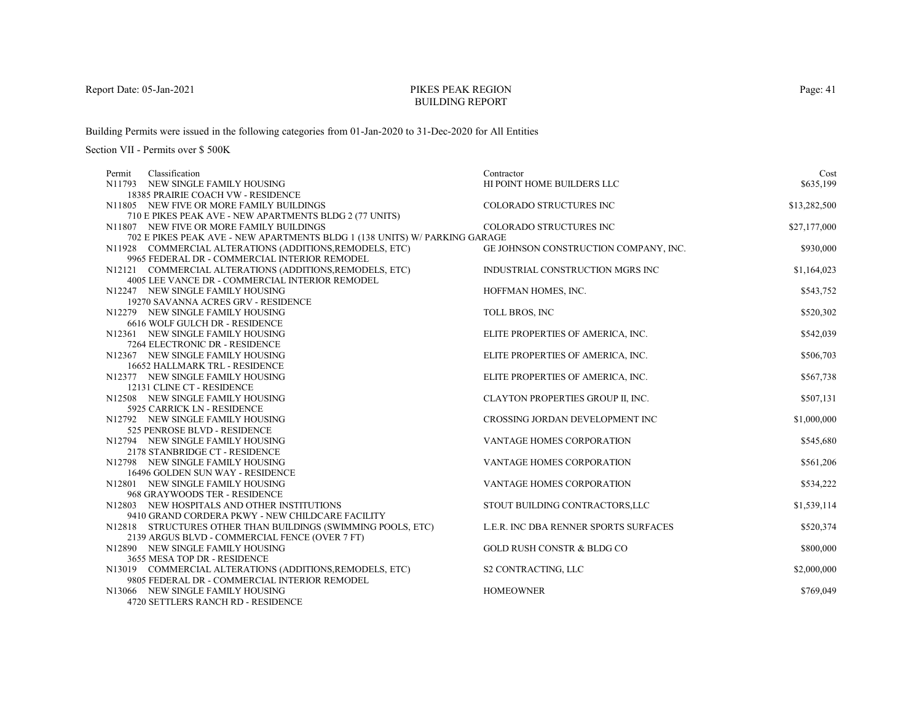# PIKES PEAK REGIONBUILDING REPORT

Building Permits were issued in the following categories from 01-Jan-2020 to 31-Dec-2020 for All Entities

Section VII - Permits over \$ 500K

| Classification<br>Permit                                                   | Contractor                            | Cost         |
|----------------------------------------------------------------------------|---------------------------------------|--------------|
| N11793 NEW SINGLE FAMILY HOUSING                                           | HI POINT HOME BUILDERS LLC            | \$635,199    |
| <b>18385 PRAIRIE COACH VW - RESIDENCE</b>                                  |                                       |              |
| N11805 NEW FIVE OR MORE FAMILY BUILDINGS                                   | COLORADO STRUCTURES INC               | \$13,282,500 |
| 710 E PIKES PEAK AVE - NEW APARTMENTS BLDG 2 (77 UNITS)                    |                                       |              |
| N11807 NEW FIVE OR MORE FAMILY BUILDINGS                                   | <b>COLORADO STRUCTURES INC</b>        | \$27,177,000 |
| 702 E PIKES PEAK AVE - NEW APARTMENTS BLDG 1 (138 UNITS) W/ PARKING GARAGE |                                       |              |
| N11928 COMMERCIAL ALTERATIONS (ADDITIONS, REMODELS, ETC)                   | GE JOHNSON CONSTRUCTION COMPANY, INC. | \$930,000    |
| 9965 FEDERAL DR - COMMERCIAL INTERIOR REMODEL                              |                                       |              |
| N12121 COMMERCIAL ALTERATIONS (ADDITIONS, REMODELS, ETC)                   | INDUSTRIAL CONSTRUCTION MGRS INC      | \$1,164,023  |
| 4005 LEE VANCE DR - COMMERCIAL INTERIOR REMODEL                            |                                       |              |
| N12247 NEW SINGLE FAMILY HOUSING                                           | HOFFMAN HOMES, INC.                   | \$543,752    |
| 19270 SAVANNA ACRES GRV - RESIDENCE                                        |                                       |              |
| N12279 NEW SINGLE FAMILY HOUSING                                           | TOLL BROS, INC                        | \$520,302    |
| 6616 WOLF GULCH DR - RESIDENCE                                             |                                       |              |
| N12361 NEW SINGLE FAMILY HOUSING                                           | ELITE PROPERTIES OF AMERICA, INC.     | \$542,039    |
| 7264 ELECTRONIC DR - RESIDENCE                                             |                                       |              |
| N12367 NEW SINGLE FAMILY HOUSING                                           | ELITE PROPERTIES OF AMERICA, INC.     | \$506,703    |
| 16652 HALLMARK TRL - RESIDENCE                                             |                                       |              |
| N12377 NEW SINGLE FAMILY HOUSING                                           | ELITE PROPERTIES OF AMERICA, INC.     | \$567,738    |
| 12131 CLINE CT - RESIDENCE                                                 |                                       |              |
| N12508 NEW SINGLE FAMILY HOUSING                                           | CLAYTON PROPERTIES GROUP II, INC.     | \$507,131    |
| 5925 CARRICK LN - RESIDENCE                                                |                                       |              |
| N12792 NEW SINGLE FAMILY HOUSING                                           | CROSSING JORDAN DEVELOPMENT INC       | \$1,000,000  |
| 525 PENROSE BLVD - RESIDENCE                                               |                                       |              |
| N12794 NEW SINGLE FAMILY HOUSING                                           | VANTAGE HOMES CORPORATION             | \$545,680    |
| 2178 STANBRIDGE CT - RESIDENCE                                             |                                       |              |
| N12798 NEW SINGLE FAMILY HOUSING                                           | VANTAGE HOMES CORPORATION             | \$561,206    |
| 16496 GOLDEN SUN WAY - RESIDENCE                                           |                                       |              |
| N12801 NEW SINGLE FAMILY HOUSING                                           | VANTAGE HOMES CORPORATION             | \$534,222    |
| 968 GRAYWOODS TER - RESIDENCE                                              |                                       |              |
| N12803 NEW HOSPITALS AND OTHER INSTITUTIONS                                | STOUT BUILDING CONTRACTORS, LLC       | \$1,539,114  |
| 9410 GRAND CORDERA PKWY - NEW CHILDCARE FACILITY                           |                                       |              |
| N12818 STRUCTURES OTHER THAN BUILDINGS (SWIMMING POOLS, ETC)               | L.E.R. INC DBA RENNER SPORTS SURFACES | \$520,374    |
| 2139 ARGUS BLVD - COMMERCIAL FENCE (OVER 7 FT)                             |                                       |              |
| N12890 NEW SINGLE FAMILY HOUSING                                           | <b>GOLD RUSH CONSTR &amp; BLDG CO</b> | \$800,000    |
| 3655 MESA TOP DR - RESIDENCE                                               |                                       |              |
| N13019 COMMERCIAL ALTERATIONS (ADDITIONS, REMODELS, ETC)                   | S2 CONTRACTING, LLC                   | \$2,000,000  |
| 9805 FEDERAL DR - COMMERCIAL INTERIOR REMODEL                              |                                       |              |
| N13066 NEW SINGLE FAMILY HOUSING                                           | <b>HOMEOWNER</b>                      | \$769,049    |
| 4720 SETTLERS RANCH RD - RESIDENCE                                         |                                       |              |

Page: 41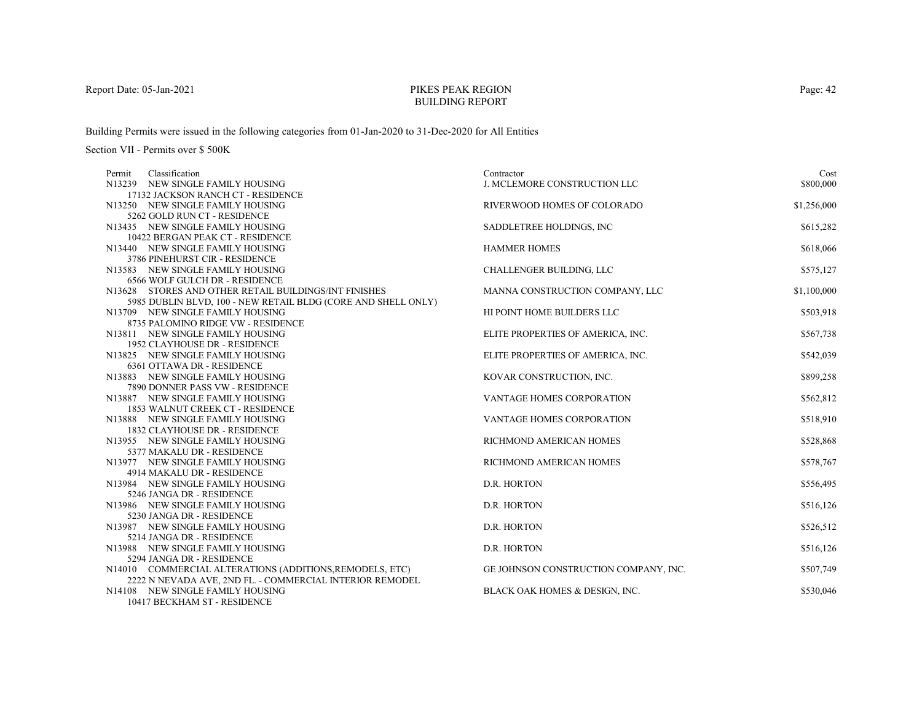# PIKES PEAK REGIONBUILDING REPORT

Building Permits were issued in the following categories from 01-Jan-2020 to 31-Dec-2020 for All Entities

Section VII - Permits over \$ 500K

| Contractor                          | Cost                                                                                                                                                                                                                                                                                                                                                                                                                                                                                                                                            |
|-------------------------------------|-------------------------------------------------------------------------------------------------------------------------------------------------------------------------------------------------------------------------------------------------------------------------------------------------------------------------------------------------------------------------------------------------------------------------------------------------------------------------------------------------------------------------------------------------|
| <b>J. MCLEMORE CONSTRUCTION LLC</b> | \$800,000                                                                                                                                                                                                                                                                                                                                                                                                                                                                                                                                       |
|                                     |                                                                                                                                                                                                                                                                                                                                                                                                                                                                                                                                                 |
|                                     | \$1,256,000                                                                                                                                                                                                                                                                                                                                                                                                                                                                                                                                     |
|                                     |                                                                                                                                                                                                                                                                                                                                                                                                                                                                                                                                                 |
|                                     | \$615,282                                                                                                                                                                                                                                                                                                                                                                                                                                                                                                                                       |
|                                     |                                                                                                                                                                                                                                                                                                                                                                                                                                                                                                                                                 |
|                                     | \$618,066                                                                                                                                                                                                                                                                                                                                                                                                                                                                                                                                       |
|                                     |                                                                                                                                                                                                                                                                                                                                                                                                                                                                                                                                                 |
|                                     | \$575,127                                                                                                                                                                                                                                                                                                                                                                                                                                                                                                                                       |
|                                     |                                                                                                                                                                                                                                                                                                                                                                                                                                                                                                                                                 |
|                                     | \$1,100,000                                                                                                                                                                                                                                                                                                                                                                                                                                                                                                                                     |
|                                     |                                                                                                                                                                                                                                                                                                                                                                                                                                                                                                                                                 |
|                                     | \$503,918                                                                                                                                                                                                                                                                                                                                                                                                                                                                                                                                       |
|                                     |                                                                                                                                                                                                                                                                                                                                                                                                                                                                                                                                                 |
|                                     | \$567,738                                                                                                                                                                                                                                                                                                                                                                                                                                                                                                                                       |
|                                     |                                                                                                                                                                                                                                                                                                                                                                                                                                                                                                                                                 |
|                                     | \$542,039                                                                                                                                                                                                                                                                                                                                                                                                                                                                                                                                       |
|                                     |                                                                                                                                                                                                                                                                                                                                                                                                                                                                                                                                                 |
|                                     | \$899,258                                                                                                                                                                                                                                                                                                                                                                                                                                                                                                                                       |
|                                     |                                                                                                                                                                                                                                                                                                                                                                                                                                                                                                                                                 |
|                                     | \$562,812                                                                                                                                                                                                                                                                                                                                                                                                                                                                                                                                       |
|                                     |                                                                                                                                                                                                                                                                                                                                                                                                                                                                                                                                                 |
|                                     | \$518,910                                                                                                                                                                                                                                                                                                                                                                                                                                                                                                                                       |
|                                     |                                                                                                                                                                                                                                                                                                                                                                                                                                                                                                                                                 |
|                                     | \$528,868                                                                                                                                                                                                                                                                                                                                                                                                                                                                                                                                       |
|                                     |                                                                                                                                                                                                                                                                                                                                                                                                                                                                                                                                                 |
|                                     | \$578,767                                                                                                                                                                                                                                                                                                                                                                                                                                                                                                                                       |
|                                     |                                                                                                                                                                                                                                                                                                                                                                                                                                                                                                                                                 |
|                                     | \$556,495                                                                                                                                                                                                                                                                                                                                                                                                                                                                                                                                       |
|                                     |                                                                                                                                                                                                                                                                                                                                                                                                                                                                                                                                                 |
|                                     | \$516,126                                                                                                                                                                                                                                                                                                                                                                                                                                                                                                                                       |
|                                     |                                                                                                                                                                                                                                                                                                                                                                                                                                                                                                                                                 |
|                                     | \$526,512                                                                                                                                                                                                                                                                                                                                                                                                                                                                                                                                       |
|                                     |                                                                                                                                                                                                                                                                                                                                                                                                                                                                                                                                                 |
|                                     | \$516,126                                                                                                                                                                                                                                                                                                                                                                                                                                                                                                                                       |
|                                     |                                                                                                                                                                                                                                                                                                                                                                                                                                                                                                                                                 |
|                                     | \$507,749                                                                                                                                                                                                                                                                                                                                                                                                                                                                                                                                       |
|                                     |                                                                                                                                                                                                                                                                                                                                                                                                                                                                                                                                                 |
|                                     | \$530,046                                                                                                                                                                                                                                                                                                                                                                                                                                                                                                                                       |
|                                     | RIVERWOOD HOMES OF COLORADO<br>SADDLETREE HOLDINGS, INC<br><b>HAMMER HOMES</b><br><b>CHALLENGER BUILDING, LLC</b><br>MANNA CONSTRUCTION COMPANY, LLC<br>HI POINT HOME BUILDERS LLC<br>ELITE PROPERTIES OF AMERICA, INC.<br>ELITE PROPERTIES OF AMERICA, INC.<br>KOVAR CONSTRUCTION, INC.<br>VANTAGE HOMES CORPORATION<br>VANTAGE HOMES CORPORATION<br>RICHMOND AMERICAN HOMES<br>RICHMOND AMERICAN HOMES<br>D.R. HORTON<br>D.R. HORTON<br>D.R. HORTON<br>D.R. HORTON<br>GE JOHNSON CONSTRUCTION COMPANY, INC.<br>BLACK OAK HOMES & DESIGN, INC. |

10417 BECKHAM ST - RESIDENCE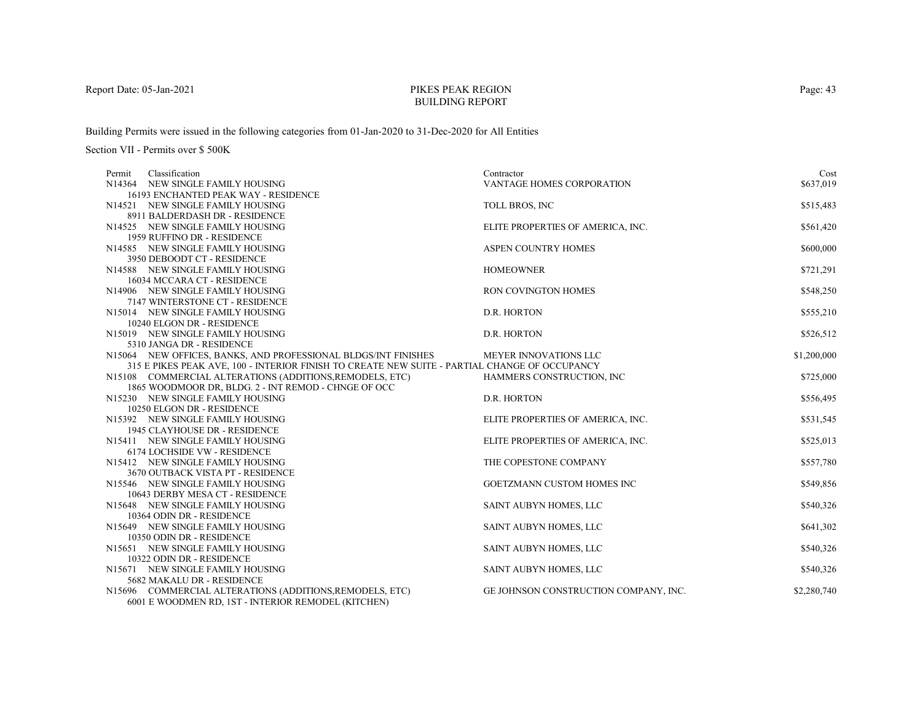# PIKES PEAK REGIONBUILDING REPORT

Building Permits were issued in the following categories from 01-Jan-2020 to 31-Dec-2020 for All Entities

| Classification<br>Permit                                                                      | Contractor                            | Cost        |
|-----------------------------------------------------------------------------------------------|---------------------------------------|-------------|
| N14364 NEW SINGLE FAMILY HOUSING                                                              | VANTAGE HOMES CORPORATION             | \$637,019   |
| 16193 ENCHANTED PEAK WAY - RESIDENCE                                                          |                                       |             |
| N14521 NEW SINGLE FAMILY HOUSING                                                              | TOLL BROS, INC                        | \$515,483   |
| 8911 BALDERDASH DR - RESIDENCE                                                                |                                       |             |
| N14525 NEW SINGLE FAMILY HOUSING                                                              | ELITE PROPERTIES OF AMERICA, INC.     | \$561,420   |
| 1959 RUFFINO DR - RESIDENCE                                                                   |                                       |             |
| N14585 NEW SINGLE FAMILY HOUSING                                                              | <b>ASPEN COUNTRY HOMES</b>            | \$600,000   |
| 3950 DEBOODT CT - RESIDENCE                                                                   |                                       |             |
| N14588 NEW SINGLE FAMILY HOUSING                                                              | <b>HOMEOWNER</b>                      | \$721,291   |
| 16034 MCCARA CT - RESIDENCE                                                                   |                                       |             |
| N14906 NEW SINGLE FAMILY HOUSING                                                              | <b>RON COVINGTON HOMES</b>            | \$548,250   |
| 7147 WINTERSTONE CT - RESIDENCE                                                               |                                       |             |
| N15014 NEW SINGLE FAMILY HOUSING                                                              | D.R. HORTON                           | \$555,210   |
| 10240 ELGON DR - RESIDENCE                                                                    |                                       |             |
| N15019 NEW SINGLE FAMILY HOUSING                                                              | D.R. HORTON                           | \$526,512   |
| 5310 JANGA DR - RESIDENCE                                                                     |                                       |             |
| N15064 NEW OFFICES, BANKS, AND PROFESSIONAL BLDGS/INT FINISHES                                | MEYER INNOVATIONS LLC                 | \$1,200,000 |
| 315 E PIKES PEAK AVE, 100 - INTERIOR FINISH TO CREATE NEW SUITE - PARTIAL CHANGE OF OCCUPANCY |                                       |             |
| N15108 COMMERCIAL ALTERATIONS (ADDITIONS, REMODELS, ETC)                                      | HAMMERS CONSTRUCTION, INC             | \$725,000   |
| 1865 WOODMOOR DR, BLDG. 2 - INT REMOD - CHNGE OF OCC                                          |                                       |             |
| N15230 NEW SINGLE FAMILY HOUSING                                                              | D.R. HORTON                           | \$556,495   |
| 10250 ELGON DR - RESIDENCE                                                                    |                                       |             |
| N15392 NEW SINGLE FAMILY HOUSING                                                              | ELITE PROPERTIES OF AMERICA, INC.     | \$531,545   |
| 1945 CLAYHOUSE DR - RESIDENCE                                                                 |                                       |             |
| N15411 NEW SINGLE FAMILY HOUSING                                                              | ELITE PROPERTIES OF AMERICA, INC.     | \$525,013   |
| <b>6174 LOCHSIDE VW - RESIDENCE</b>                                                           |                                       |             |
| N15412 NEW SINGLE FAMILY HOUSING                                                              | THE COPESTONE COMPANY                 | \$557,780   |
| 3670 OUTBACK VISTA PT - RESIDENCE                                                             |                                       |             |
| N15546 NEW SINGLE FAMILY HOUSING                                                              | <b>GOETZMANN CUSTOM HOMES INC</b>     | \$549,856   |
| 10643 DERBY MESA CT - RESIDENCE                                                               |                                       |             |
| N15648 NEW SINGLE FAMILY HOUSING<br>10364 ODIN DR - RESIDENCE                                 | SAINT AUBYN HOMES, LLC                | \$540,326   |
|                                                                                               |                                       |             |
| N15649 NEW SINGLE FAMILY HOUSING                                                              | SAINT AUBYN HOMES, LLC                | \$641,302   |
| 10350 ODIN DR - RESIDENCE<br>N15651 NEW SINGLE FAMILY HOUSING                                 |                                       |             |
| 10322 ODIN DR - RESIDENCE                                                                     | SAINT AUBYN HOMES, LLC                | \$540,326   |
| N15671 NEW SINGLE FAMILY HOUSING                                                              | SAINT AUBYN HOMES, LLC                | \$540,326   |
| 5682 MAKALU DR - RESIDENCE                                                                    |                                       |             |
| N15696 COMMERCIAL ALTERATIONS (ADDITIONS, REMODELS, ETC)                                      | GE JOHNSON CONSTRUCTION COMPANY, INC. | \$2,280,740 |
| 6001 E WOODMEN RD, 1ST - INTERIOR REMODEL (KITCHEN)                                           |                                       |             |
|                                                                                               |                                       |             |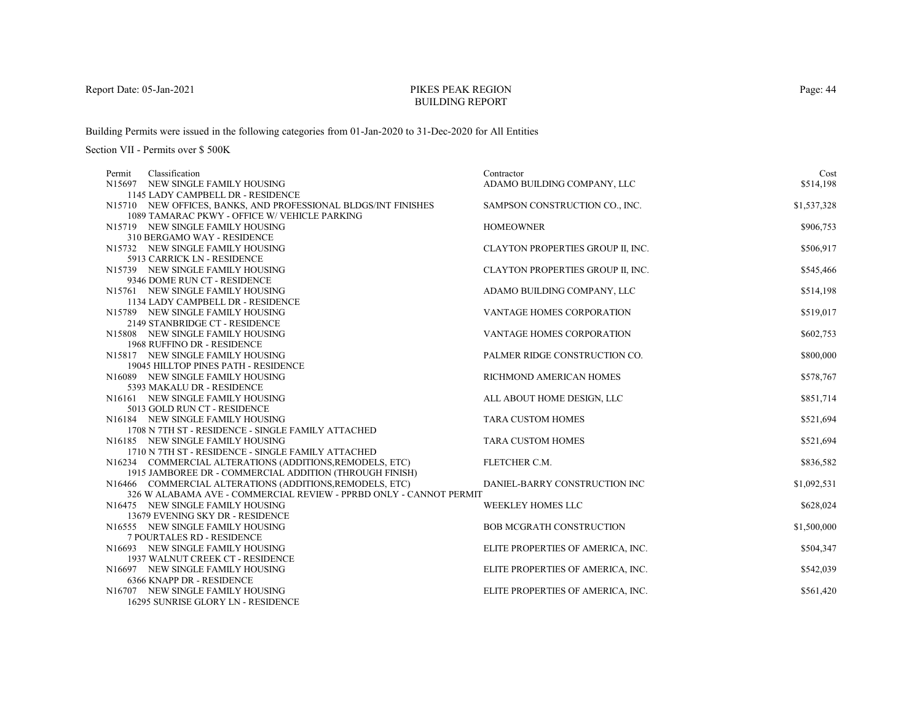# PIKES PEAK REGIONBUILDING REPORT

Building Permits were issued in the following categories from 01-Jan-2020 to 31-Dec-2020 for All Entities

| Classification<br>Permit                                           | Contractor                        | Cost        |
|--------------------------------------------------------------------|-----------------------------------|-------------|
| N15697 NEW SINGLE FAMILY HOUSING                                   | ADAMO BUILDING COMPANY, LLC       | \$514,198   |
| 1145 LADY CAMPBELL DR - RESIDENCE                                  |                                   |             |
| N15710 NEW OFFICES, BANKS, AND PROFESSIONAL BLDGS/INT FINISHES     | SAMPSON CONSTRUCTION CO., INC.    | \$1,537,328 |
| 1089 TAMARAC PKWY - OFFICE W/ VEHICLE PARKING                      |                                   |             |
| N15719 NEW SINGLE FAMILY HOUSING                                   | <b>HOMEOWNER</b>                  | \$906,753   |
| 310 BERGAMO WAY - RESIDENCE                                        |                                   |             |
| N15732 NEW SINGLE FAMILY HOUSING                                   | CLAYTON PROPERTIES GROUP II, INC. | \$506,917   |
| 5913 CARRICK LN - RESIDENCE                                        |                                   |             |
| N15739 NEW SINGLE FAMILY HOUSING                                   | CLAYTON PROPERTIES GROUP II, INC. | \$545,466   |
| 9346 DOME RUN CT - RESIDENCE                                       |                                   |             |
| N15761 NEW SINGLE FAMILY HOUSING                                   | ADAMO BUILDING COMPANY, LLC       | \$514,198   |
| 1134 LADY CAMPBELL DR - RESIDENCE                                  |                                   |             |
| N15789 NEW SINGLE FAMILY HOUSING                                   | VANTAGE HOMES CORPORATION         | \$519,017   |
| 2149 STANBRIDGE CT - RESIDENCE                                     |                                   |             |
| N15808 NEW SINGLE FAMILY HOUSING                                   | <b>VANTAGE HOMES CORPORATION</b>  | \$602,753   |
| 1968 RUFFINO DR - RESIDENCE                                        |                                   |             |
| N15817 NEW SINGLE FAMILY HOUSING                                   | PALMER RIDGE CONSTRUCTION CO.     | \$800,000   |
| 19045 HILLTOP PINES PATH - RESIDENCE                               |                                   |             |
| N16089 NEW SINGLE FAMILY HOUSING                                   | RICHMOND AMERICAN HOMES           | \$578,767   |
| 5393 MAKALU DR - RESIDENCE                                         |                                   | \$851,714   |
| N16161 NEW SINGLE FAMILY HOUSING<br>5013 GOLD RUN CT - RESIDENCE   | ALL ABOUT HOME DESIGN, LLC        |             |
| N16184 NEW SINGLE FAMILY HOUSING                                   | <b>TARA CUSTOM HOMES</b>          | \$521,694   |
| 1708 N 7TH ST - RESIDENCE - SINGLE FAMILY ATTACHED                 |                                   |             |
| N16185 NEW SINGLE FAMILY HOUSING                                   | <b>TARA CUSTOM HOMES</b>          | \$521,694   |
| 1710 N 7TH ST - RESIDENCE - SINGLE FAMILY ATTACHED                 |                                   |             |
| N16234 COMMERCIAL ALTERATIONS (ADDITIONS, REMODELS, ETC)           | FLETCHER C.M.                     | \$836,582   |
| 1915 JAMBOREE DR - COMMERCIAL ADDITION (THROUGH FINISH)            |                                   |             |
| N16466 COMMERCIAL ALTERATIONS (ADDITIONS, REMODELS, ETC)           | DANIEL-BARRY CONSTRUCTION INC     | \$1,092,531 |
| 326 W ALABAMA AVE - COMMERCIAL REVIEW - PPRBD ONLY - CANNOT PERMIT |                                   |             |
| N16475 NEW SINGLE FAMILY HOUSING                                   | <b>WEEKLEY HOMES LLC</b>          | \$628,024   |
| 13679 EVENING SKY DR - RESIDENCE                                   |                                   |             |
| N16555 NEW SINGLE FAMILY HOUSING                                   | <b>BOB MCGRATH CONSTRUCTION</b>   | \$1,500,000 |
| 7 POURTALES RD - RESIDENCE                                         |                                   |             |
| N16693 NEW SINGLE FAMILY HOUSING                                   | ELITE PROPERTIES OF AMERICA, INC. | \$504,347   |
| 1937 WALNUT CREEK CT - RESIDENCE                                   |                                   |             |
| N16697 NEW SINGLE FAMILY HOUSING                                   | ELITE PROPERTIES OF AMERICA, INC. | \$542,039   |
| 6366 KNAPP DR - RESIDENCE                                          |                                   |             |
| N16707 NEW SINGLE FAMILY HOUSING                                   | ELITE PROPERTIES OF AMERICA, INC. | \$561,420   |
| 16295 SUNRISE GLORY LN - RESIDENCE                                 |                                   |             |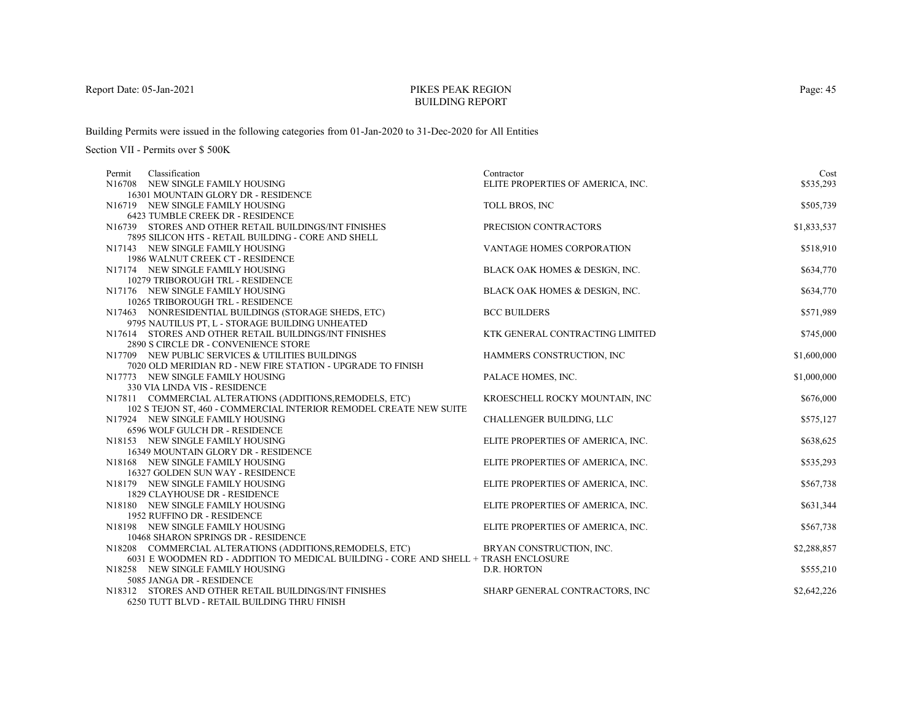# PIKES PEAK REGIONBUILDING REPORT

Building Permits were issued in the following categories from 01-Jan-2020 to 31-Dec-2020 for All Entities

| Classification<br>Permit                                                            | Contractor                        | Cost        |
|-------------------------------------------------------------------------------------|-----------------------------------|-------------|
| N16708 NEW SINGLE FAMILY HOUSING                                                    | ELITE PROPERTIES OF AMERICA, INC. | \$535,293   |
| 16301 MOUNTAIN GLORY DR - RESIDENCE                                                 |                                   |             |
| N16719 NEW SINGLE FAMILY HOUSING                                                    | TOLL BROS, INC                    | \$505,739   |
| 6423 TUMBLE CREEK DR - RESIDENCE                                                    |                                   |             |
| N16739 STORES AND OTHER RETAIL BUILDINGS/INT FINISHES                               | PRECISION CONTRACTORS             | \$1,833,537 |
| 7895 SILICON HTS - RETAIL BUILDING - CORE AND SHELL                                 |                                   |             |
| N17143 NEW SINGLE FAMILY HOUSING                                                    | <b>VANTAGE HOMES CORPORATION</b>  | \$518,910   |
| 1986 WALNUT CREEK CT - RESIDENCE                                                    |                                   |             |
| N17174 NEW SINGLE FAMILY HOUSING                                                    | BLACK OAK HOMES & DESIGN, INC.    | \$634,770   |
| 10279 TRIBOROUGH TRL - RESIDENCE                                                    |                                   |             |
| N17176 NEW SINGLE FAMILY HOUSING                                                    | BLACK OAK HOMES & DESIGN, INC.    | \$634,770   |
| 10265 TRIBOROUGH TRL - RESIDENCE                                                    |                                   |             |
| N17463 NONRESIDENTIAL BUILDINGS (STORAGE SHEDS, ETC)                                | <b>BCC BUILDERS</b>               | \$571,989   |
| 9795 NAUTILUS PT, L - STORAGE BUILDING UNHEATED                                     |                                   |             |
| N17614 STORES AND OTHER RETAIL BUILDINGS/INT FINISHES                               | KTK GENERAL CONTRACTING LIMITED   | \$745,000   |
| 2890 S CIRCLE DR - CONVENIENCE STORE                                                |                                   |             |
| N17709 NEW PUBLIC SERVICES & UTILITIES BUILDINGS                                    | HAMMERS CONSTRUCTION, INC         | \$1,600,000 |
| 7020 OLD MERIDIAN RD - NEW FIRE STATION - UPGRADE TO FINISH                         |                                   |             |
| N17773 NEW SINGLE FAMILY HOUSING                                                    | PALACE HOMES, INC.                | \$1,000,000 |
| 330 VIA LINDA VIS - RESIDENCE                                                       |                                   |             |
| N17811 COMMERCIAL ALTERATIONS (ADDITIONS, REMODELS, ETC)                            | KROESCHELL ROCKY MOUNTAIN, INC    | \$676,000   |
| 102 S TEJON ST, 460 - COMMERCIAL INTERIOR REMODEL CREATE NEW SUITE                  |                                   |             |
| N17924 NEW SINGLE FAMILY HOUSING                                                    | CHALLENGER BUILDING, LLC          | \$575,127   |
| 6596 WOLF GULCH DR - RESIDENCE                                                      |                                   |             |
| N18153 NEW SINGLE FAMILY HOUSING                                                    | ELITE PROPERTIES OF AMERICA, INC. | \$638,625   |
| 16349 MOUNTAIN GLORY DR - RESIDENCE                                                 |                                   |             |
| N18168 NEW SINGLE FAMILY HOUSING                                                    | ELITE PROPERTIES OF AMERICA, INC. | \$535,293   |
| 16327 GOLDEN SUN WAY - RESIDENCE                                                    |                                   |             |
| N18179 NEW SINGLE FAMILY HOUSING                                                    | ELITE PROPERTIES OF AMERICA, INC. | \$567,738   |
| 1829 CLAYHOUSE DR - RESIDENCE                                                       |                                   |             |
| N18180 NEW SINGLE FAMILY HOUSING                                                    | ELITE PROPERTIES OF AMERICA, INC. | \$631,344   |
| 1952 RUFFINO DR - RESIDENCE                                                         |                                   |             |
| N18198 NEW SINGLE FAMILY HOUSING                                                    | ELITE PROPERTIES OF AMERICA, INC. | \$567,738   |
| 10468 SHARON SPRINGS DR - RESIDENCE                                                 |                                   |             |
| N18208 COMMERCIAL ALTERATIONS (ADDITIONS, REMODELS, ETC)                            | BRYAN CONSTRUCTION, INC.          | \$2,288,857 |
| 6031 E WOODMEN RD - ADDITION TO MEDICAL BUILDING - CORE AND SHELL + TRASH ENCLOSURE |                                   |             |
| N18258 NEW SINGLE FAMILY HOUSING                                                    | D.R. HORTON                       | \$555,210   |
| 5085 JANGA DR - RESIDENCE                                                           |                                   |             |
| N18312 STORES AND OTHER RETAIL BUILDINGS/INT FINISHES                               | SHARP GENERAL CONTRACTORS, INC    | \$2,642,226 |
| 6250 TUTT BLVD - RETAIL BUILDING THRU FINISH                                        |                                   |             |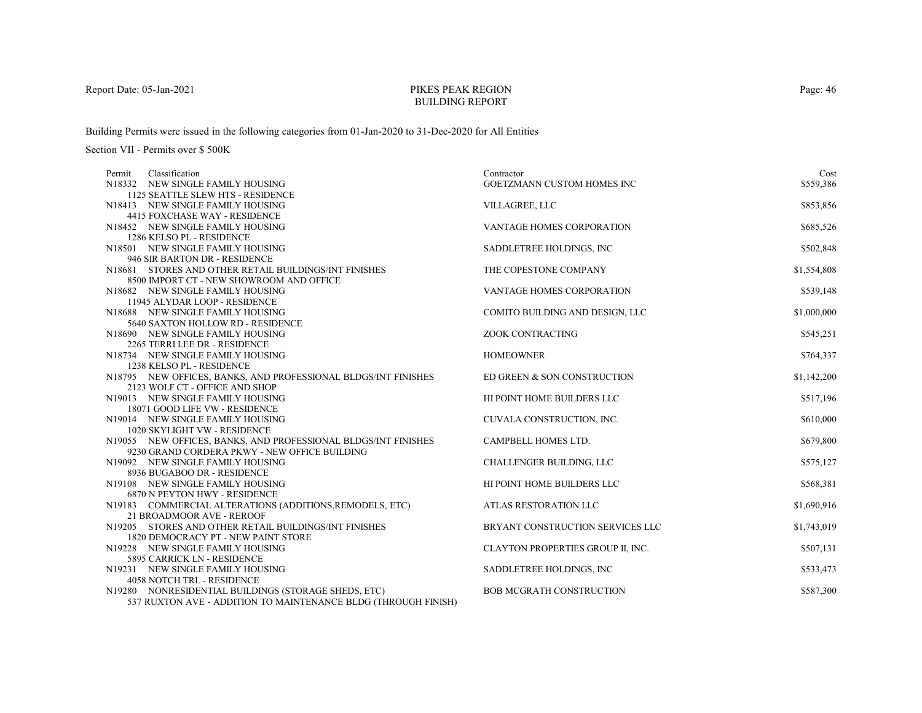# PIKES PEAK REGIONBUILDING REPORT

Building Permits were issued in the following categories from 01-Jan-2020 to 31-Dec-2020 for All Entities

| Classification<br>Permit                                       | Contractor                        | Cost        |
|----------------------------------------------------------------|-----------------------------------|-------------|
| N18332 NEW SINGLE FAMILY HOUSING                               | GOETZMANN CUSTOM HOMES INC        | \$559,386   |
| 1125 SEATTLE SLEW HTS - RESIDENCE                              |                                   |             |
| N18413 NEW SINGLE FAMILY HOUSING                               | VILLAGREE, LLC                    | \$853,856   |
| 4415 FOXCHASE WAY - RESIDENCE                                  |                                   |             |
| N18452 NEW SINGLE FAMILY HOUSING                               | VANTAGE HOMES CORPORATION         | \$685,526   |
| 1286 KELSO PL - RESIDENCE                                      |                                   |             |
| N18501 NEW SINGLE FAMILY HOUSING                               | SADDLETREE HOLDINGS, INC          | \$502,848   |
| 946 SIR BARTON DR - RESIDENCE                                  |                                   |             |
| N18681 STORES AND OTHER RETAIL BUILDINGS/INT FINISHES          | THE COPESTONE COMPANY             | \$1,554,808 |
| 8500 IMPORT CT - NEW SHOWROOM AND OFFICE                       |                                   |             |
| N18682 NEW SINGLE FAMILY HOUSING                               | VANTAGE HOMES CORPORATION         | \$539,148   |
| 11945 ALYDAR LOOP - RESIDENCE                                  |                                   |             |
| N18688 NEW SINGLE FAMILY HOUSING                               | COMITO BUILDING AND DESIGN, LLC   | \$1,000,000 |
| 5640 SAXTON HOLLOW RD - RESIDENCE                              |                                   |             |
| N18690 NEW SINGLE FAMILY HOUSING                               | ZOOK CONTRACTING                  | \$545,251   |
| 2265 TERRI LEE DR - RESIDENCE                                  | <b>HOMEOWNER</b>                  |             |
| N18734 NEW SINGLE FAMILY HOUSING<br>1238 KELSO PL - RESIDENCE  |                                   | \$764,337   |
| N18795 NEW OFFICES, BANKS, AND PROFESSIONAL BLDGS/INT FINISHES | ED GREEN & SON CONSTRUCTION       | \$1,142,200 |
| 2123 WOLF CT - OFFICE AND SHOP                                 |                                   |             |
| N19013 NEW SINGLE FAMILY HOUSING                               | HI POINT HOME BUILDERS LLC        | \$517,196   |
| 18071 GOOD LIFE VW - RESIDENCE                                 |                                   |             |
| N19014 NEW SINGLE FAMILY HOUSING                               | CUVALA CONSTRUCTION, INC.         | \$610,000   |
| 1020 SKYLIGHT VW - RESIDENCE                                   |                                   |             |
| N19055 NEW OFFICES, BANKS, AND PROFESSIONAL BLDGS/INT FINISHES | CAMPBELL HOMES LTD.               | \$679,800   |
| 9230 GRAND CORDERA PKWY - NEW OFFICE BUILDING                  |                                   |             |
| N19092 NEW SINGLE FAMILY HOUSING                               | CHALLENGER BUILDING, LLC          | \$575,127   |
| 8936 BUGABOO DR - RESIDENCE                                    |                                   |             |
| N19108 NEW SINGLE FAMILY HOUSING                               | HI POINT HOME BUILDERS LLC        | \$568,381   |
| 6870 N PEYTON HWY - RESIDENCE                                  |                                   |             |
| N19183 COMMERCIAL ALTERATIONS (ADDITIONS, REMODELS, ETC)       | ATLAS RESTORATION LLC             | \$1,690,916 |
| 21 BROADMOOR AVE - REROOF                                      |                                   |             |
| N19205 STORES AND OTHER RETAIL BUILDINGS/INT FINISHES          | BRYANT CONSTRUCTION SERVICES LLC  | \$1,743,019 |
| 1820 DEMOCRACY PT - NEW PAINT STORE                            |                                   |             |
| N19228 NEW SINGLE FAMILY HOUSING                               | CLAYTON PROPERTIES GROUP II, INC. | \$507,131   |
| 5895 CARRICK LN - RESIDENCE                                    |                                   |             |
| N19231 NEW SINGLE FAMILY HOUSING                               | SADDLETREE HOLDINGS, INC.         | \$533,473   |
| <b>4058 NOTCH TRL - RESIDENCE</b>                              |                                   |             |
| N19280 NONRESIDENTIAL BUILDINGS (STORAGE SHEDS, ETC)           | <b>BOB MCGRATH CONSTRUCTION</b>   | \$587,300   |
| 537 RUXTON AVE - ADDITION TO MAINTENANCE BLDG (THROUGH FINISH) |                                   |             |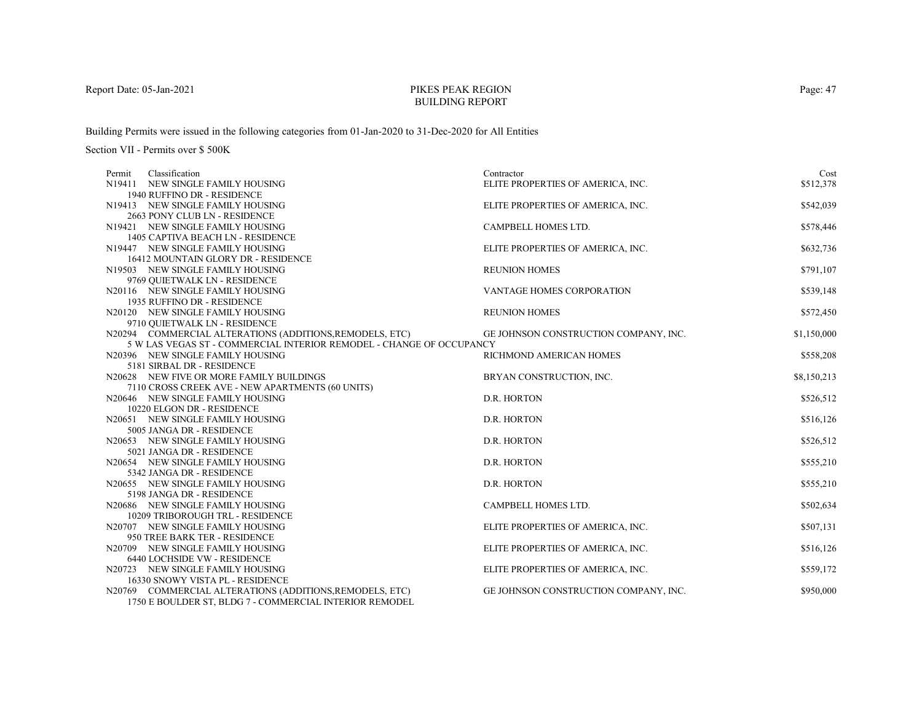# PIKES PEAK REGIONBUILDING REPORT

Building Permits were issued in the following categories from 01-Jan-2020 to 31-Dec-2020 for All Entities

Section VII - Permits over \$ 500K

| Classification<br>Permit                                             | Contractor                            | Cost        |
|----------------------------------------------------------------------|---------------------------------------|-------------|
| N19411 NEW SINGLE FAMILY HOUSING                                     | ELITE PROPERTIES OF AMERICA, INC.     | \$512,378   |
| 1940 RUFFINO DR - RESIDENCE                                          |                                       |             |
| N19413 NEW SINGLE FAMILY HOUSING                                     | ELITE PROPERTIES OF AMERICA, INC.     | \$542,039   |
| 2663 PONY CLUB LN - RESIDENCE                                        |                                       |             |
| N19421 NEW SINGLE FAMILY HOUSING                                     | CAMPBELL HOMES LTD.                   | \$578,446   |
| 1405 CAPTIVA BEACH LN - RESIDENCE                                    |                                       |             |
| N19447 NEW SINGLE FAMILY HOUSING                                     | ELITE PROPERTIES OF AMERICA, INC.     | \$632,736   |
| 16412 MOUNTAIN GLORY DR - RESIDENCE                                  |                                       |             |
| N19503 NEW SINGLE FAMILY HOUSING                                     | <b>REUNION HOMES</b>                  | \$791,107   |
| 9769 QUIETWALK LN - RESIDENCE                                        |                                       |             |
| N20116 NEW SINGLE FAMILY HOUSING                                     | <b>VANTAGE HOMES CORPORATION</b>      | \$539,148   |
| 1935 RUFFINO DR - RESIDENCE                                          |                                       |             |
| N20120 NEW SINGLE FAMILY HOUSING                                     | <b>REUNION HOMES</b>                  | \$572,450   |
| 9710 OUIETWALK LN - RESIDENCE                                        |                                       |             |
| N20294 COMMERCIAL ALTERATIONS (ADDITIONS, REMODELS, ETC)             | GE JOHNSON CONSTRUCTION COMPANY, INC. | \$1,150,000 |
| 5 W LAS VEGAS ST - COMMERCIAL INTERIOR REMODEL - CHANGE OF OCCUPANCY |                                       |             |
| N20396 NEW SINGLE FAMILY HOUSING                                     | RICHMOND AMERICAN HOMES               | \$558,208   |
| 5181 SIRBAL DR - RESIDENCE                                           |                                       |             |
| N20628 NEW FIVE OR MORE FAMILY BUILDINGS                             | BRYAN CONSTRUCTION, INC.              | \$8,150,213 |
| 7110 CROSS CREEK AVE - NEW APARTMENTS (60 UNITS)                     |                                       |             |
| N20646 NEW SINGLE FAMILY HOUSING                                     | D.R. HORTON                           | \$526,512   |
| 10220 ELGON DR - RESIDENCE                                           |                                       |             |
| N20651 NEW SINGLE FAMILY HOUSING                                     | D.R. HORTON                           | \$516,126   |
| 5005 JANGA DR - RESIDENCE                                            |                                       |             |
| N20653 NEW SINGLE FAMILY HOUSING                                     | D.R. HORTON                           | \$526,512   |
| 5021 JANGA DR - RESIDENCE                                            |                                       |             |
| N20654 NEW SINGLE FAMILY HOUSING                                     | D.R. HORTON                           | \$555,210   |
| 5342 JANGA DR - RESIDENCE                                            |                                       |             |
| N20655 NEW SINGLE FAMILY HOUSING                                     | D.R. HORTON                           | \$555,210   |
| 5198 JANGA DR - RESIDENCE                                            |                                       |             |
| N20686 NEW SINGLE FAMILY HOUSING                                     | CAMPBELL HOMES LTD.                   | \$502,634   |
| 10209 TRIBOROUGH TRL - RESIDENCE                                     |                                       |             |
| N20707 NEW SINGLE FAMILY HOUSING                                     | ELITE PROPERTIES OF AMERICA, INC.     | \$507,131   |
| 950 TREE BARK TER - RESIDENCE                                        |                                       |             |
| N20709 NEW SINGLE FAMILY HOUSING                                     | ELITE PROPERTIES OF AMERICA, INC.     | \$516,126   |
| <b>6440 LOCHSIDE VW - RESIDENCE</b>                                  |                                       |             |
| N20723 NEW SINGLE FAMILY HOUSING                                     | ELITE PROPERTIES OF AMERICA, INC.     | \$559,172   |
| 16330 SNOWY VISTA PL - RESIDENCE                                     |                                       |             |
| N20769 COMMERCIAL ALTERATIONS (ADDITIONS, REMODELS, ETC)             | GE JOHNSON CONSTRUCTION COMPANY, INC. | \$950,000   |
| 1750 E BOULDER ST, BLDG 7 - COMMERCIAL INTERIOR REMODEL              |                                       |             |

Page: 47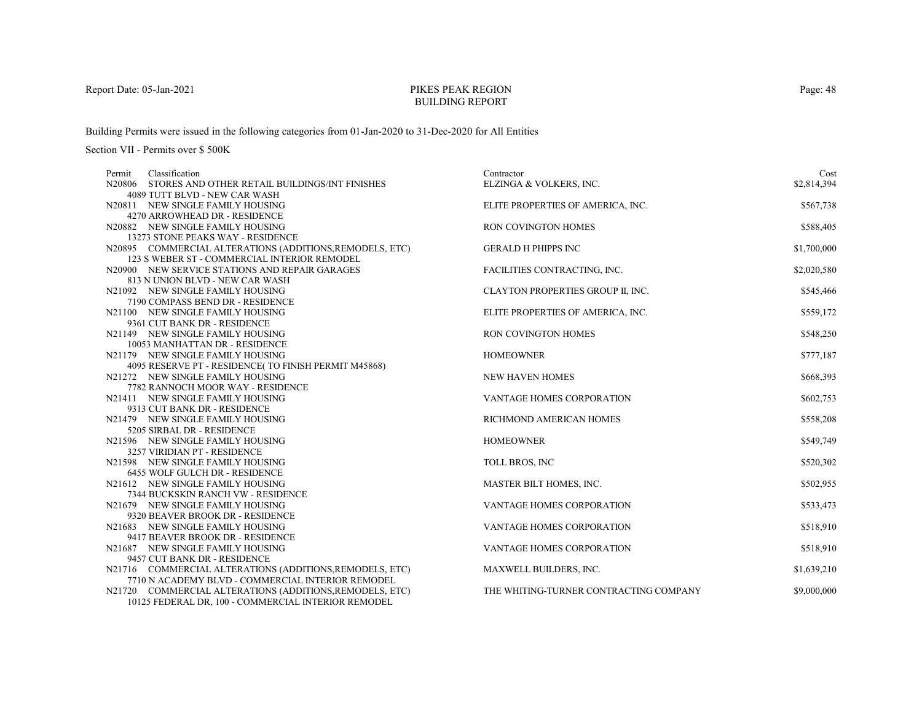# PIKES PEAK REGIONBUILDING REPORT

Building Permits were issued in the following categories from 01-Jan-2020 to 31-Dec-2020 for All Entities

| Classification<br>Permit                                           | Contractor                             | Cost        |
|--------------------------------------------------------------------|----------------------------------------|-------------|
| N20806 STORES AND OTHER RETAIL BUILDINGS/INT FINISHES              | ELZINGA & VOLKERS, INC.                | \$2,814,394 |
| 4089 TUTT BLVD - NEW CAR WASH                                      |                                        |             |
| N20811 NEW SINGLE FAMILY HOUSING                                   | ELITE PROPERTIES OF AMERICA, INC.      | \$567,738   |
| 4270 ARROWHEAD DR - RESIDENCE                                      |                                        |             |
| N20882 NEW SINGLE FAMILY HOUSING                                   | RON COVINGTON HOMES                    | \$588,405   |
| 13273 STONE PEAKS WAY - RESIDENCE                                  |                                        |             |
| N20895 COMMERCIAL ALTERATIONS (ADDITIONS, REMODELS, ETC)           | <b>GERALD H PHIPPS INC</b>             | \$1,700,000 |
| 123 S WEBER ST - COMMERCIAL INTERIOR REMODEL                       |                                        |             |
| N20900 NEW SERVICE STATIONS AND REPAIR GARAGES                     | FACILITIES CONTRACTING, INC.           | \$2,020,580 |
| 813 N UNION BLVD - NEW CAR WASH                                    |                                        |             |
| N21092 NEW SINGLE FAMILY HOUSING                                   | CLAYTON PROPERTIES GROUP II, INC.      | \$545,466   |
| 7190 COMPASS BEND DR - RESIDENCE                                   |                                        |             |
| N21100 NEW SINGLE FAMILY HOUSING                                   | ELITE PROPERTIES OF AMERICA, INC.      | \$559,172   |
| 9361 CUT BANK DR - RESIDENCE                                       | <b>RON COVINGTON HOMES</b>             |             |
| N21149 NEW SINGLE FAMILY HOUSING<br>10053 MANHATTAN DR - RESIDENCE |                                        | \$548,250   |
| N21179 NEW SINGLE FAMILY HOUSING                                   | <b>HOMEOWNER</b>                       | \$777,187   |
| 4095 RESERVE PT - RESIDENCE(TO FINISH PERMIT M45868)               |                                        |             |
| N21272 NEW SINGLE FAMILY HOUSING                                   | <b>NEW HAVEN HOMES</b>                 | \$668,393   |
| 7782 RANNOCH MOOR WAY - RESIDENCE                                  |                                        |             |
| N21411 NEW SINGLE FAMILY HOUSING                                   | VANTAGE HOMES CORPORATION              | \$602,753   |
| 9313 CUT BANK DR - RESIDENCE                                       |                                        |             |
| N21479 NEW SINGLE FAMILY HOUSING                                   | RICHMOND AMERICAN HOMES                | \$558,208   |
| 5205 SIRBAL DR - RESIDENCE                                         |                                        |             |
| N21596 NEW SINGLE FAMILY HOUSING                                   | <b>HOMEOWNER</b>                       | \$549,749   |
| 3257 VIRIDIAN PT - RESIDENCE                                       |                                        |             |
| N21598 NEW SINGLE FAMILY HOUSING                                   | TOLL BROS, INC                         | \$520,302   |
| 6455 WOLF GULCH DR - RESIDENCE                                     |                                        |             |
| N21612 NEW SINGLE FAMILY HOUSING                                   | MASTER BILT HOMES, INC.                | \$502,955   |
| 7344 BUCKSKIN RANCH VW - RESIDENCE                                 |                                        |             |
| N21679 NEW SINGLE FAMILY HOUSING                                   | VANTAGE HOMES CORPORATION              | \$533,473   |
| 9320 BEAVER BROOK DR - RESIDENCE                                   |                                        |             |
| N21683 NEW SINGLE FAMILY HOUSING                                   | VANTAGE HOMES CORPORATION              | \$518,910   |
| 9417 BEAVER BROOK DR - RESIDENCE                                   |                                        |             |
| N21687 NEW SINGLE FAMILY HOUSING                                   | <b>VANTAGE HOMES CORPORATION</b>       | \$518,910   |
| 9457 CUT BANK DR - RESIDENCE                                       |                                        |             |
| N21716 COMMERCIAL ALTERATIONS (ADDITIONS, REMODELS, ETC)           | MAXWELL BUILDERS, INC.                 | \$1,639,210 |
| 7710 N ACADEMY BLVD - COMMERCIAL INTERIOR REMODEL                  |                                        |             |
| N21720 COMMERCIAL ALTERATIONS (ADDITIONS, REMODELS, ETC)           | THE WHITING-TURNER CONTRACTING COMPANY | \$9,000,000 |
| 10125 FEDERAL DR, 100 - COMMERCIAL INTERIOR REMODEL                |                                        |             |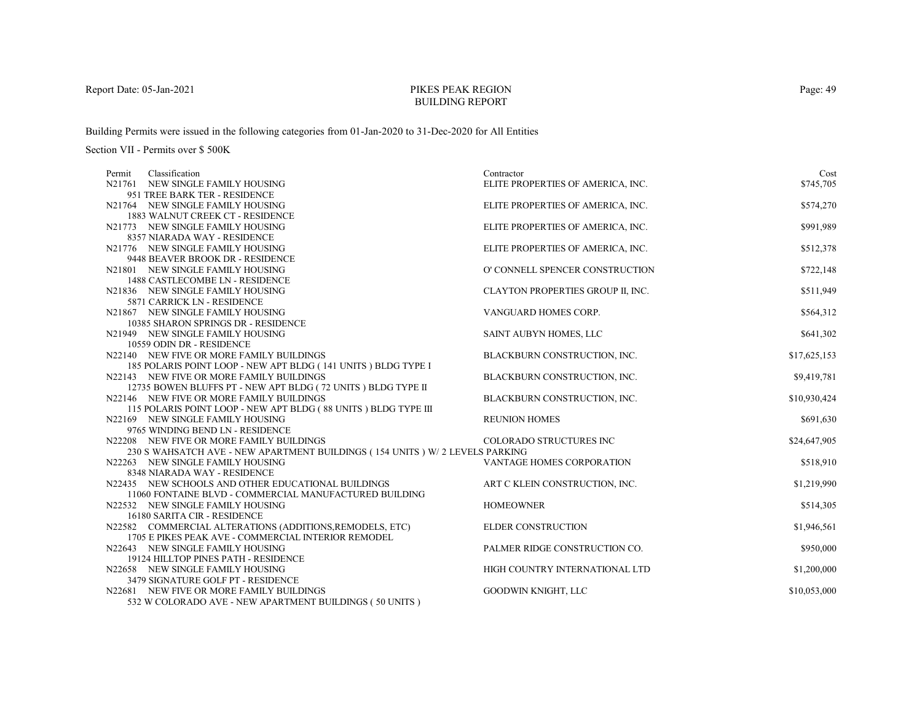# PIKES PEAK REGIONBUILDING REPORT

Building Permits were issued in the following categories from 01-Jan-2020 to 31-Dec-2020 for All Entities

| Classification<br>Permit                                                           | Contractor                        | Cost         |
|------------------------------------------------------------------------------------|-----------------------------------|--------------|
| N21761 NEW SINGLE FAMILY HOUSING                                                   | ELITE PROPERTIES OF AMERICA, INC. | \$745,705    |
| 951 TREE BARK TER - RESIDENCE                                                      |                                   |              |
| N21764 NEW SINGLE FAMILY HOUSING                                                   | ELITE PROPERTIES OF AMERICA, INC. | \$574,270    |
| 1883 WALNUT CREEK CT - RESIDENCE                                                   |                                   |              |
| N21773 NEW SINGLE FAMILY HOUSING                                                   | ELITE PROPERTIES OF AMERICA, INC. | \$991,989    |
| 8357 NIARADA WAY - RESIDENCE                                                       |                                   |              |
| N21776 NEW SINGLE FAMILY HOUSING                                                   | ELITE PROPERTIES OF AMERICA, INC. | \$512,378    |
| 9448 BEAVER BROOK DR - RESIDENCE                                                   |                                   |              |
| N21801 NEW SINGLE FAMILY HOUSING                                                   | O' CONNELL SPENCER CONSTRUCTION   | \$722,148    |
| 1488 CASTLECOMBE LN - RESIDENCE                                                    |                                   |              |
| N21836 NEW SINGLE FAMILY HOUSING                                                   | CLAYTON PROPERTIES GROUP II, INC. | \$511,949    |
| 5871 CARRICK LN - RESIDENCE                                                        |                                   |              |
| N21867 NEW SINGLE FAMILY HOUSING                                                   | VANGUARD HOMES CORP.              | \$564,312    |
| 10385 SHARON SPRINGS DR - RESIDENCE                                                |                                   |              |
| N21949 NEW SINGLE FAMILY HOUSING                                                   | SAINT AUBYN HOMES, LLC            | \$641,302    |
| 10559 ODIN DR - RESIDENCE                                                          |                                   |              |
| N22140 NEW FIVE OR MORE FAMILY BUILDINGS                                           | BLACKBURN CONSTRUCTION, INC.      | \$17,625,153 |
| 185 POLARIS POINT LOOP - NEW APT BLDG (141 UNITS) BLDG TYPE I                      |                                   |              |
| N22143 NEW FIVE OR MORE FAMILY BUILDINGS                                           | BLACKBURN CONSTRUCTION, INC.      | \$9,419,781  |
| 12735 BOWEN BLUFFS PT - NEW APT BLDG (72 UNITS) BLDG TYPE II                       |                                   |              |
| N22146 NEW FIVE OR MORE FAMILY BUILDINGS                                           | BLACKBURN CONSTRUCTION, INC.      | \$10,930,424 |
| 115 POLARIS POINT LOOP - NEW APT BLDG (88 UNITS) BLDG TYPE III                     |                                   |              |
| N22169 NEW SINGLE FAMILY HOUSING                                                   | <b>REUNION HOMES</b>              | \$691,630    |
| 9765 WINDING BEND LN - RESIDENCE                                                   |                                   |              |
| N22208 NEW FIVE OR MORE FAMILY BUILDINGS                                           | COLORADO STRUCTURES INC           | \$24,647,905 |
| 230 S WAHSATCH AVE - NEW APARTMENT BUILDINGS (154 UNITS ) W/2 LEVELS PARKING       |                                   |              |
| N22263 NEW SINGLE FAMILY HOUSING                                                   | VANTAGE HOMES CORPORATION         | \$518,910    |
| 8348 NIARADA WAY - RESIDENCE<br>N22435 NEW SCHOOLS AND OTHER EDUCATIONAL BUILDINGS |                                   |              |
| 11060 FONTAINE BLVD - COMMERCIAL MANUFACTURED BUILDING                             | ART C KLEIN CONSTRUCTION, INC.    | \$1,219,990  |
| N22532 NEW SINGLE FAMILY HOUSING                                                   | <b>HOMEOWNER</b>                  | \$514,305    |
| 16180 SARITA CIR - RESIDENCE                                                       |                                   |              |
| N22582 COMMERCIAL ALTERATIONS (ADDITIONS, REMODELS, ETC)                           | <b>ELDER CONSTRUCTION</b>         | \$1,946,561  |
| 1705 E PIKES PEAK AVE - COMMERCIAL INTERIOR REMODEL                                |                                   |              |
| N22643 NEW SINGLE FAMILY HOUSING                                                   | PALMER RIDGE CONSTRUCTION CO.     | \$950,000    |
| 19124 HILLTOP PINES PATH - RESIDENCE                                               |                                   |              |
| N22658 NEW SINGLE FAMILY HOUSING                                                   | HIGH COUNTRY INTERNATIONAL LTD    | \$1,200,000  |
| 3479 SIGNATURE GOLF PT - RESIDENCE                                                 |                                   |              |
| N22681 NEW FIVE OR MORE FAMILY BUILDINGS                                           | GOODWIN KNIGHT, LLC               | \$10,053,000 |
| 532 W COLORADO AVE - NEW APARTMENT BUILDINGS (50 UNITS)                            |                                   |              |
|                                                                                    |                                   |              |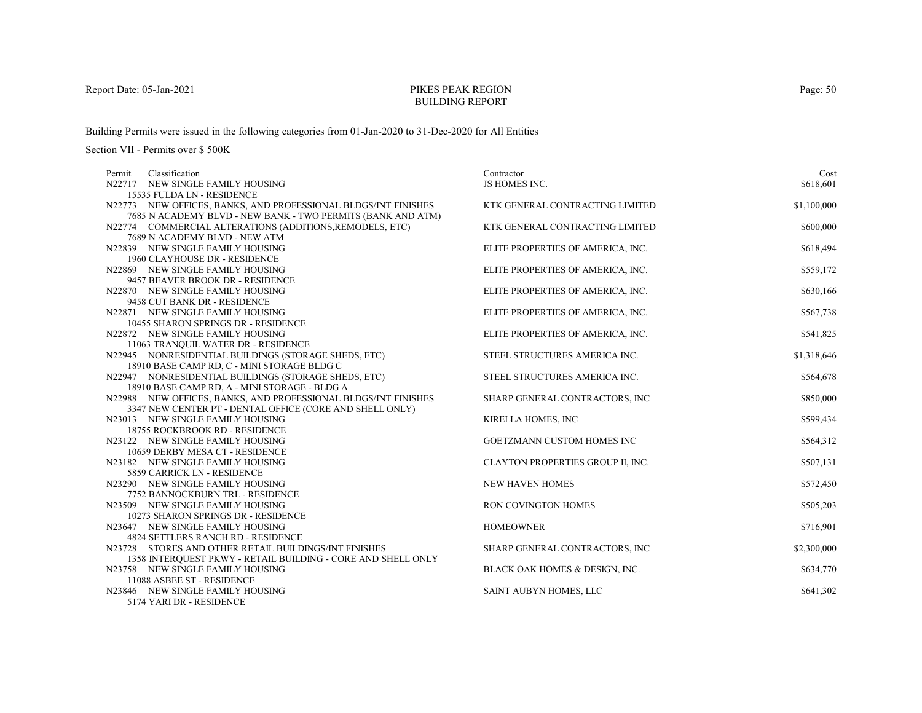# PIKES PEAK REGIONBUILDING REPORT

Building Permits were issued in the following categories from 01-Jan-2020 to 31-Dec-2020 for All Entities

| Classification<br>Permit                                       | Contractor                        | Cost        |
|----------------------------------------------------------------|-----------------------------------|-------------|
| N22717 NEW SINGLE FAMILY HOUSING                               | JS HOMES INC.                     | \$618,601   |
| 15535 FULDA LN - RESIDENCE                                     |                                   |             |
| N22773 NEW OFFICES, BANKS, AND PROFESSIONAL BLDGS/INT FINISHES | KTK GENERAL CONTRACTING LIMITED   | \$1,100,000 |
| 7685 N ACADEMY BLVD - NEW BANK - TWO PERMITS (BANK AND ATM)    |                                   |             |
| N22774 COMMERCIAL ALTERATIONS (ADDITIONS, REMODELS, ETC)       | KTK GENERAL CONTRACTING LIMITED   | \$600,000   |
| 7689 N ACADEMY BLVD - NEW ATM                                  |                                   |             |
| N22839 NEW SINGLE FAMILY HOUSING                               | ELITE PROPERTIES OF AMERICA, INC. | \$618,494   |
| 1960 CLAYHOUSE DR - RESIDENCE                                  |                                   |             |
| N22869 NEW SINGLE FAMILY HOUSING                               | ELITE PROPERTIES OF AMERICA, INC. | \$559,172   |
| 9457 BEAVER BROOK DR - RESIDENCE                               |                                   |             |
| N22870 NEW SINGLE FAMILY HOUSING                               | ELITE PROPERTIES OF AMERICA, INC. | \$630,166   |
| 9458 CUT BANK DR - RESIDENCE                                   |                                   |             |
| N22871 NEW SINGLE FAMILY HOUSING                               | ELITE PROPERTIES OF AMERICA, INC. | \$567,738   |
| 10455 SHARON SPRINGS DR - RESIDENCE                            |                                   |             |
| N22872 NEW SINGLE FAMILY HOUSING                               | ELITE PROPERTIES OF AMERICA, INC. | \$541,825   |
| 11063 TRANQUIL WATER DR - RESIDENCE                            |                                   |             |
| N22945 NONRESIDENTIAL BUILDINGS (STORAGE SHEDS, ETC)           | STEEL STRUCTURES AMERICA INC.     | \$1,318,646 |
| 18910 BASE CAMP RD, C - MINI STORAGE BLDG C                    |                                   |             |
| N22947 NONRESIDENTIAL BUILDINGS (STORAGE SHEDS, ETC)           | STEEL STRUCTURES AMERICA INC.     | \$564,678   |
| 18910 BASE CAMP RD, A - MINI STORAGE - BLDG A                  |                                   |             |
| N22988 NEW OFFICES, BANKS, AND PROFESSIONAL BLDGS/INT FINISHES | SHARP GENERAL CONTRACTORS, INC    | \$850,000   |
| 3347 NEW CENTER PT - DENTAL OFFICE (CORE AND SHELL ONLY)       |                                   |             |
| N23013 NEW SINGLE FAMILY HOUSING                               | KIRELLA HOMES, INC                | \$599,434   |
| 18755 ROCKBROOK RD - RESIDENCE                                 |                                   |             |
| N23122 NEW SINGLE FAMILY HOUSING                               | GOETZMANN CUSTOM HOMES INC        | \$564,312   |
| 10659 DERBY MESA CT - RESIDENCE                                |                                   |             |
| N23182 NEW SINGLE FAMILY HOUSING                               | CLAYTON PROPERTIES GROUP II, INC. | \$507,131   |
| 5859 CARRICK LN - RESIDENCE                                    |                                   |             |
| N23290 NEW SINGLE FAMILY HOUSING                               | <b>NEW HAVEN HOMES</b>            | \$572,450   |
| 7752 BANNOCKBURN TRL - RESIDENCE                               |                                   |             |
| N23509 NEW SINGLE FAMILY HOUSING                               | RON COVINGTON HOMES               | \$505,203   |
| 10273 SHARON SPRINGS DR - RESIDENCE                            |                                   |             |
| N23647 NEW SINGLE FAMILY HOUSING                               | <b>HOMEOWNER</b>                  | \$716,901   |
| 4824 SETTLERS RANCH RD - RESIDENCE                             |                                   |             |
| N23728 STORES AND OTHER RETAIL BUILDINGS/INT FINISHES          | SHARP GENERAL CONTRACTORS, INC    | \$2,300,000 |
| 1358 INTERQUEST PKWY - RETAIL BUILDING - CORE AND SHELL ONLY   |                                   |             |
| N23758 NEW SINGLE FAMILY HOUSING                               | BLACK OAK HOMES & DESIGN, INC.    | \$634,770   |
| 11088 ASBEE ST - RESIDENCE                                     |                                   |             |
| N23846 NEW SINGLE FAMILY HOUSING                               | SAINT AUBYN HOMES, LLC            | \$641,302   |
| 5174 YARI DR - RESIDENCE                                       |                                   |             |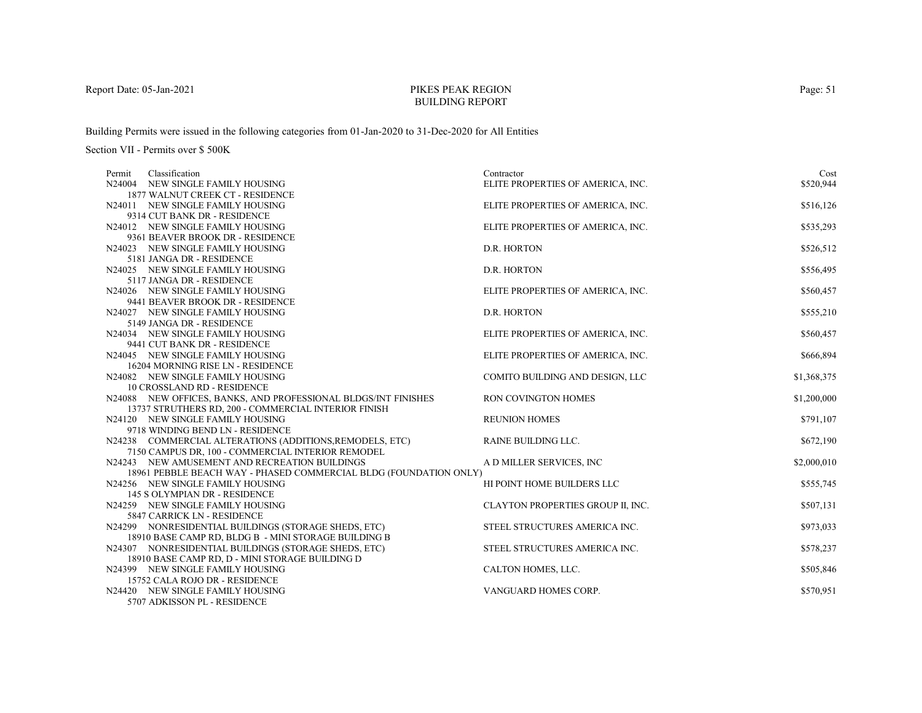# PIKES PEAK REGIONBUILDING REPORT

Building Permits were issued in the following categories from 01-Jan-2020 to 31-Dec-2020 for All Entities

| Classification<br>Permit                                                                                               | Contractor                        | Cost        |
|------------------------------------------------------------------------------------------------------------------------|-----------------------------------|-------------|
| N24004 NEW SINGLE FAMILY HOUSING                                                                                       | ELITE PROPERTIES OF AMERICA, INC. | \$520,944   |
| 1877 WALNUT CREEK CT - RESIDENCE                                                                                       |                                   |             |
| N24011 NEW SINGLE FAMILY HOUSING                                                                                       | ELITE PROPERTIES OF AMERICA, INC. | \$516,126   |
| 9314 CUT BANK DR - RESIDENCE                                                                                           |                                   |             |
| N24012 NEW SINGLE FAMILY HOUSING                                                                                       | ELITE PROPERTIES OF AMERICA, INC. | \$535,293   |
| 9361 BEAVER BROOK DR - RESIDENCE                                                                                       |                                   |             |
| N24023 NEW SINGLE FAMILY HOUSING                                                                                       | D.R. HORTON                       | \$526,512   |
| 5181 JANGA DR - RESIDENCE                                                                                              |                                   |             |
| N24025 NEW SINGLE FAMILY HOUSING                                                                                       | D.R. HORTON                       | \$556,495   |
| 5117 JANGA DR - RESIDENCE                                                                                              |                                   |             |
| N24026 NEW SINGLE FAMILY HOUSING                                                                                       | ELITE PROPERTIES OF AMERICA, INC. | \$560,457   |
| 9441 BEAVER BROOK DR - RESIDENCE                                                                                       |                                   |             |
| N24027 NEW SINGLE FAMILY HOUSING                                                                                       | D.R. HORTON                       | \$555,210   |
| 5149 JANGA DR - RESIDENCE                                                                                              |                                   |             |
| N24034 NEW SINGLE FAMILY HOUSING                                                                                       | ELITE PROPERTIES OF AMERICA, INC. | \$560,457   |
| 9441 CUT BANK DR - RESIDENCE                                                                                           |                                   |             |
| N24045 NEW SINGLE FAMILY HOUSING                                                                                       | ELITE PROPERTIES OF AMERICA, INC. | \$666,894   |
| 16204 MORNING RISE LN - RESIDENCE                                                                                      |                                   |             |
| N24082 NEW SINGLE FAMILY HOUSING                                                                                       | COMITO BUILDING AND DESIGN, LLC   | \$1,368,375 |
| <b>10 CROSSLAND RD - RESIDENCE</b>                                                                                     | <b>RON COVINGTON HOMES</b>        |             |
| N24088 NEW OFFICES, BANKS, AND PROFESSIONAL BLDGS/INT FINISHES<br>13737 STRUTHERS RD, 200 - COMMERCIAL INTERIOR FINISH |                                   | \$1,200,000 |
| N24120 NEW SINGLE FAMILY HOUSING                                                                                       | <b>REUNION HOMES</b>              | \$791,107   |
| 9718 WINDING BEND LN - RESIDENCE                                                                                       |                                   |             |
| N24238 COMMERCIAL ALTERATIONS (ADDITIONS, REMODELS, ETC)                                                               | <b>RAINE BUILDING LLC.</b>        | \$672,190   |
| 7150 CAMPUS DR, 100 - COMMERCIAL INTERIOR REMODEL                                                                      |                                   |             |
| N24243 NEW AMUSEMENT AND RECREATION BUILDINGS                                                                          | A D MILLER SERVICES, INC          | \$2,000,010 |
| 18961 PEBBLE BEACH WAY - PHASED COMMERCIAL BLDG (FOUNDATION ONLY)                                                      |                                   |             |
| N24256 NEW SINGLE FAMILY HOUSING                                                                                       | HI POINT HOME BUILDERS LLC        | \$555,745   |
| 145 S OLYMPIAN DR - RESIDENCE                                                                                          |                                   |             |
| N24259 NEW SINGLE FAMILY HOUSING                                                                                       | CLAYTON PROPERTIES GROUP II, INC. | \$507,131   |
| 5847 CARRICK LN - RESIDENCE                                                                                            |                                   |             |
| N24299 NONRESIDENTIAL BUILDINGS (STORAGE SHEDS, ETC)                                                                   | STEEL STRUCTURES AMERICA INC.     | \$973,033   |
| 18910 BASE CAMP RD, BLDG B - MINI STORAGE BUILDING B                                                                   |                                   |             |
| N24307 NONRESIDENTIAL BUILDINGS (STORAGE SHEDS, ETC)                                                                   | STEEL STRUCTURES AMERICA INC.     | \$578,237   |
| 18910 BASE CAMP RD, D - MINI STORAGE BUILDING D                                                                        |                                   |             |
| N24399 NEW SINGLE FAMILY HOUSING                                                                                       | CALTON HOMES, LLC.                | \$505,846   |
| 15752 CALA ROJO DR - RESIDENCE                                                                                         |                                   |             |
| N24420 NEW SINGLE FAMILY HOUSING                                                                                       | VANGUARD HOMES CORP.              | \$570,951   |
| 5707 ADKISSON PL - RESIDENCE                                                                                           |                                   |             |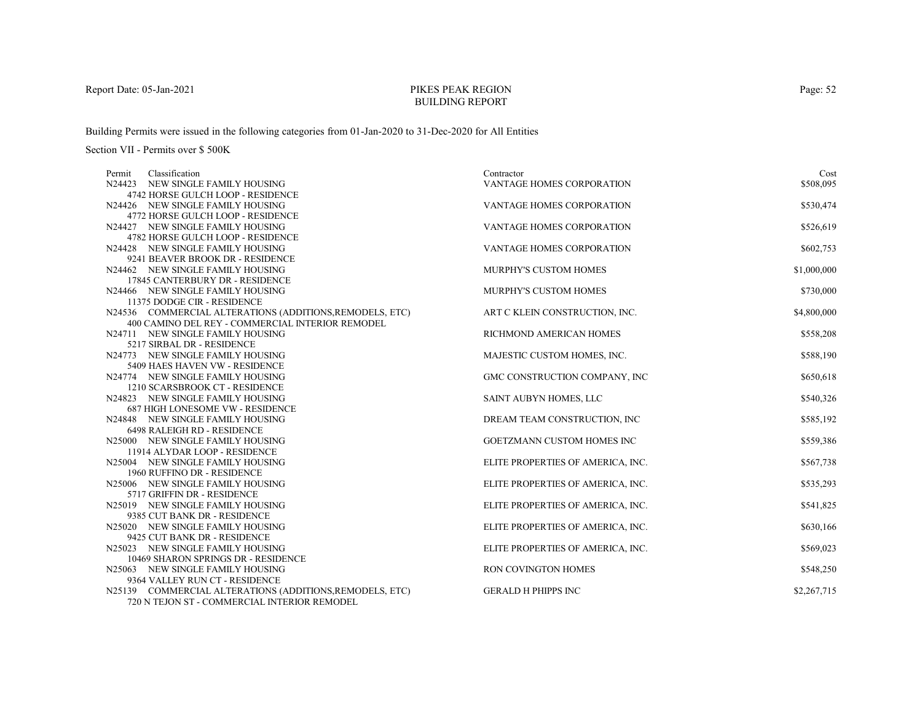# PIKES PEAK REGIONBUILDING REPORT

Building Permits were issued in the following categories from 01-Jan-2020 to 31-Dec-2020 for All Entities

Section VII - Permits over \$ 500K

| Classification<br>Permit                                           | Contractor                        | Cost        |
|--------------------------------------------------------------------|-----------------------------------|-------------|
| N24423 NEW SINGLE FAMILY HOUSING                                   | VANTAGE HOMES CORPORATION         | \$508,095   |
| 4742 HORSE GULCH LOOP - RESIDENCE                                  |                                   |             |
| N24426 NEW SINGLE FAMILY HOUSING                                   | <b>VANTAGE HOMES CORPORATION</b>  | \$530,474   |
| 4772 HORSE GULCH LOOP - RESIDENCE                                  |                                   |             |
| N24427 NEW SINGLE FAMILY HOUSING                                   | VANTAGE HOMES CORPORATION         | \$526,619   |
| 4782 HORSE GULCH LOOP - RESIDENCE                                  |                                   |             |
| N24428 NEW SINGLE FAMILY HOUSING                                   | <b>VANTAGE HOMES CORPORATION</b>  | \$602,753   |
| 9241 BEAVER BROOK DR - RESIDENCE                                   |                                   |             |
| N24462 NEW SINGLE FAMILY HOUSING                                   | <b>MURPHY'S CUSTOM HOMES</b>      | \$1,000,000 |
| 17845 CANTERBURY DR - RESIDENCE                                    |                                   |             |
| N24466 NEW SINGLE FAMILY HOUSING                                   | MURPHY'S CUSTOM HOMES             | \$730,000   |
| 11375 DODGE CIR - RESIDENCE                                        |                                   |             |
| N24536 COMMERCIAL ALTERATIONS (ADDITIONS, REMODELS, ETC)           | ART C KLEIN CONSTRUCTION, INC.    | \$4,800,000 |
| 400 CAMINO DEL REY - COMMERCIAL INTERIOR REMODEL                   |                                   |             |
| N24711 NEW SINGLE FAMILY HOUSING                                   | RICHMOND AMERICAN HOMES           | \$558,208   |
| 5217 SIRBAL DR - RESIDENCE                                         |                                   |             |
| N24773 NEW SINGLE FAMILY HOUSING<br>5409 HAES HAVEN VW - RESIDENCE | MAJESTIC CUSTOM HOMES, INC.       | \$588,190   |
| N24774 NEW SINGLE FAMILY HOUSING                                   | GMC CONSTRUCTION COMPANY, INC     | \$650,618   |
| 1210 SCARSBROOK CT - RESIDENCE                                     |                                   |             |
| N24823 NEW SINGLE FAMILY HOUSING                                   | SAINT AUBYN HOMES, LLC            | \$540,326   |
| <b>687 HIGH LONESOME VW - RESIDENCE</b>                            |                                   |             |
| N24848 NEW SINGLE FAMILY HOUSING                                   | DREAM TEAM CONSTRUCTION, INC      | \$585,192   |
| 6498 RALEIGH RD - RESIDENCE                                        |                                   |             |
| N25000 NEW SINGLE FAMILY HOUSING                                   | GOETZMANN CUSTOM HOMES INC        | \$559,386   |
| 11914 ALYDAR LOOP - RESIDENCE                                      |                                   |             |
| N25004 NEW SINGLE FAMILY HOUSING                                   | ELITE PROPERTIES OF AMERICA, INC. | \$567,738   |
| 1960 RUFFINO DR - RESIDENCE                                        |                                   |             |
| N25006 NEW SINGLE FAMILY HOUSING                                   | ELITE PROPERTIES OF AMERICA, INC. | \$535,293   |
| 5717 GRIFFIN DR - RESIDENCE                                        |                                   |             |
| N25019 NEW SINGLE FAMILY HOUSING                                   | ELITE PROPERTIES OF AMERICA, INC. | \$541,825   |
| 9385 CUT BANK DR - RESIDENCE                                       |                                   |             |
| N25020 NEW SINGLE FAMILY HOUSING                                   | ELITE PROPERTIES OF AMERICA, INC. | \$630,166   |
| 9425 CUT BANK DR - RESIDENCE                                       |                                   |             |
| N25023 NEW SINGLE FAMILY HOUSING                                   | ELITE PROPERTIES OF AMERICA, INC. | \$569,023   |
| 10469 SHARON SPRINGS DR - RESIDENCE                                |                                   |             |
| N25063 NEW SINGLE FAMILY HOUSING                                   | <b>RON COVINGTON HOMES</b>        | \$548,250   |
| 9364 VALLEY RUN CT - RESIDENCE                                     |                                   |             |
| N25139 COMMERCIAL ALTERATIONS (ADDITIONS, REMODELS, ETC)           | <b>GERALD H PHIPPS INC</b>        | \$2,267,715 |
| 720 N TEJON ST - COMMERCIAL INTERIOR REMODEL                       |                                   |             |

Page: 52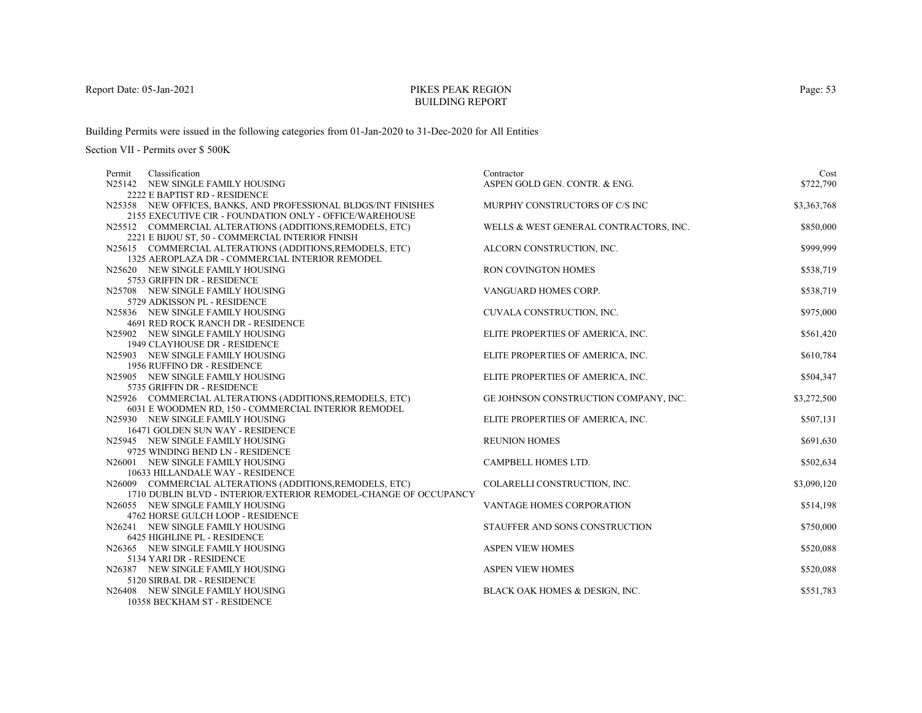# PIKES PEAK REGIONBUILDING REPORT

Building Permits were issued in the following categories from 01-Jan-2020 to 31-Dec-2020 for All Entities

| Permit | Classification                                                   | Contractor                             | Cost        |
|--------|------------------------------------------------------------------|----------------------------------------|-------------|
|        | N25142 NEW SINGLE FAMILY HOUSING                                 | ASPEN GOLD GEN. CONTR. & ENG.          | \$722,790   |
|        | 2222 E BAPTIST RD - RESIDENCE                                    |                                        |             |
|        | N25358 NEW OFFICES, BANKS, AND PROFESSIONAL BLDGS/INT FINISHES   | MURPHY CONSTRUCTORS OF C/S INC         | \$3,363,768 |
|        | 2155 EXECUTIVE CIR - FOUNDATION ONLY - OFFICE/WAREHOUSE          |                                        |             |
|        | N25512 COMMERCIAL ALTERATIONS (ADDITIONS, REMODELS, ETC)         | WELLS & WEST GENERAL CONTRACTORS, INC. | \$850,000   |
|        | 2221 E BIJOU ST, 50 - COMMERCIAL INTERIOR FINISH                 |                                        |             |
|        | N25615 COMMERCIAL ALTERATIONS (ADDITIONS, REMODELS, ETC)         | ALCORN CONSTRUCTION, INC.              | \$999,999   |
|        | 1325 AEROPLAZA DR - COMMERCIAL INTERIOR REMODEL                  |                                        |             |
|        | N25620 NEW SINGLE FAMILY HOUSING                                 | RON COVINGTON HOMES                    | \$538,719   |
|        | 5753 GRIFFIN DR - RESIDENCE                                      |                                        |             |
|        | N25708 NEW SINGLE FAMILY HOUSING                                 | VANGUARD HOMES CORP.                   | \$538,719   |
|        | 5729 ADKISSON PL - RESIDENCE                                     |                                        |             |
|        | N25836 NEW SINGLE FAMILY HOUSING                                 | CUVALA CONSTRUCTION, INC.              | \$975,000   |
|        | 4691 RED ROCK RANCH DR - RESIDENCE                               |                                        |             |
|        | N25902 NEW SINGLE FAMILY HOUSING                                 | ELITE PROPERTIES OF AMERICA, INC.      | \$561,420   |
|        | 1949 CLAYHOUSE DR - RESIDENCE                                    | ELITE PROPERTIES OF AMERICA, INC.      | \$610,784   |
|        | N25903 NEW SINGLE FAMILY HOUSING<br>1956 RUFFINO DR - RESIDENCE  |                                        |             |
|        | N25905 NEW SINGLE FAMILY HOUSING                                 | ELITE PROPERTIES OF AMERICA, INC.      | \$504,347   |
|        | 5735 GRIFFIN DR - RESIDENCE                                      |                                        |             |
|        | N25926 COMMERCIAL ALTERATIONS (ADDITIONS, REMODELS, ETC)         | GE JOHNSON CONSTRUCTION COMPANY, INC.  | \$3,272,500 |
|        | 6031 E WOODMEN RD, 150 - COMMERCIAL INTERIOR REMODEL             |                                        |             |
|        | N25930 NEW SINGLE FAMILY HOUSING                                 | ELITE PROPERTIES OF AMERICA, INC.      | \$507,131   |
|        | 16471 GOLDEN SUN WAY - RESIDENCE                                 |                                        |             |
|        | N25945 NEW SINGLE FAMILY HOUSING                                 | <b>REUNION HOMES</b>                   | \$691,630   |
|        | 9725 WINDING BEND LN - RESIDENCE                                 |                                        |             |
|        | N26001 NEW SINGLE FAMILY HOUSING                                 | CAMPBELL HOMES LTD.                    | \$502,634   |
|        | 10633 HILLANDALE WAY - RESIDENCE                                 |                                        |             |
|        | N26009 COMMERCIAL ALTERATIONS (ADDITIONS, REMODELS, ETC)         | COLARELLI CONSTRUCTION, INC.           | \$3,090,120 |
|        | 1710 DUBLIN BLVD - INTERIOR/EXTERIOR REMODEL-CHANGE OF OCCUPANCY |                                        |             |
|        | N26055 NEW SINGLE FAMILY HOUSING                                 | VANTAGE HOMES CORPORATION              | \$514,198   |
|        | 4762 HORSE GULCH LOOP - RESIDENCE                                |                                        |             |
|        | N26241 NEW SINGLE FAMILY HOUSING                                 | STAUFFER AND SONS CONSTRUCTION         | \$750,000   |
|        | 6425 HIGHLINE PL - RESIDENCE                                     |                                        |             |
|        | N26365 NEW SINGLE FAMILY HOUSING                                 | <b>ASPEN VIEW HOMES</b>                | \$520,088   |
|        | 5134 YARI DR - RESIDENCE                                         |                                        |             |
|        | N26387 NEW SINGLE FAMILY HOUSING                                 | <b>ASPEN VIEW HOMES</b>                | \$520,088   |
|        | 5120 SIRBAL DR - RESIDENCE                                       |                                        |             |
|        | N26408 NEW SINGLE FAMILY HOUSING                                 | BLACK OAK HOMES & DESIGN, INC.         | \$551,783   |
|        | 10358 BECKHAM ST - RESIDENCE                                     |                                        |             |